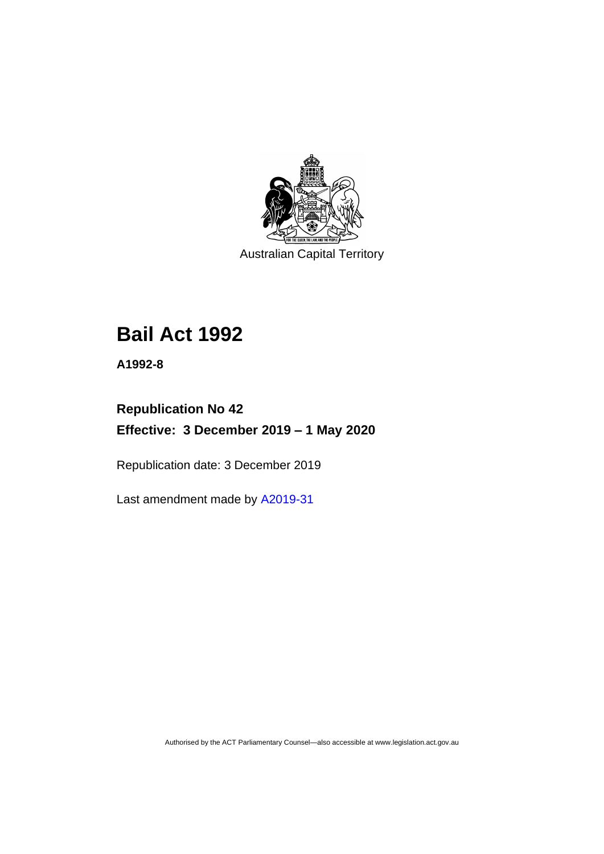

Australian Capital Territory

# **Bail Act 1992**

**A1992-8**

## **Republication No 42 Effective: 3 December 2019 – 1 May 2020**

Republication date: 3 December 2019

Last amendment made by [A2019-31](http://www.legislation.act.gov.au/a/2019-31/)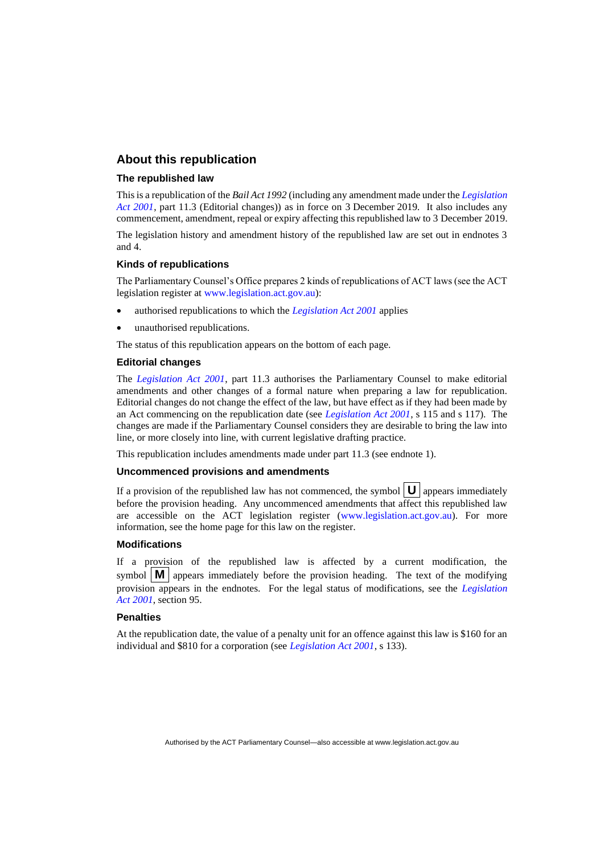#### **About this republication**

#### **The republished law**

This is a republication of the *Bail Act 1992* (including any amendment made under the *[Legislation](http://www.legislation.act.gov.au/a/2001-14)  [Act 2001](http://www.legislation.act.gov.au/a/2001-14)*, part 11.3 (Editorial changes)) as in force on 3 December 2019*.* It also includes any commencement, amendment, repeal or expiry affecting this republished law to 3 December 2019.

The legislation history and amendment history of the republished law are set out in endnotes 3 and 4.

#### **Kinds of republications**

The Parliamentary Counsel's Office prepares 2 kinds of republications of ACT laws (see the ACT legislation register at [www.legislation.act.gov.au\)](http://www.legislation.act.gov.au/):

- authorised republications to which the *[Legislation Act 2001](http://www.legislation.act.gov.au/a/2001-14)* applies
- unauthorised republications.

The status of this republication appears on the bottom of each page.

#### **Editorial changes**

The *[Legislation Act 2001](http://www.legislation.act.gov.au/a/2001-14)*, part 11.3 authorises the Parliamentary Counsel to make editorial amendments and other changes of a formal nature when preparing a law for republication. Editorial changes do not change the effect of the law, but have effect as if they had been made by an Act commencing on the republication date (see *[Legislation Act 2001](http://www.legislation.act.gov.au/a/2001-14)*, s 115 and s 117). The changes are made if the Parliamentary Counsel considers they are desirable to bring the law into line, or more closely into line, with current legislative drafting practice.

This republication includes amendments made under part 11.3 (see endnote 1).

#### **Uncommenced provisions and amendments**

If a provision of the republished law has not commenced, the symbol  $\mathbf{U}$  appears immediately before the provision heading. Any uncommenced amendments that affect this republished law are accessible on the ACT legislation register [\(www.legislation.act.gov.au\)](http://www.legislation.act.gov.au/). For more information, see the home page for this law on the register.

#### **Modifications**

If a provision of the republished law is affected by a current modification, the symbol  $\|\mathbf{M}\|$  appears immediately before the provision heading. The text of the modifying provision appears in the endnotes. For the legal status of modifications, see the *[Legislation](http://www.legislation.act.gov.au/a/2001-14)  Act [2001](http://www.legislation.act.gov.au/a/2001-14)*, section 95.

#### **Penalties**

At the republication date, the value of a penalty unit for an offence against this law is \$160 for an individual and \$810 for a corporation (see *[Legislation Act 2001](http://www.legislation.act.gov.au/a/2001-14)*, s 133).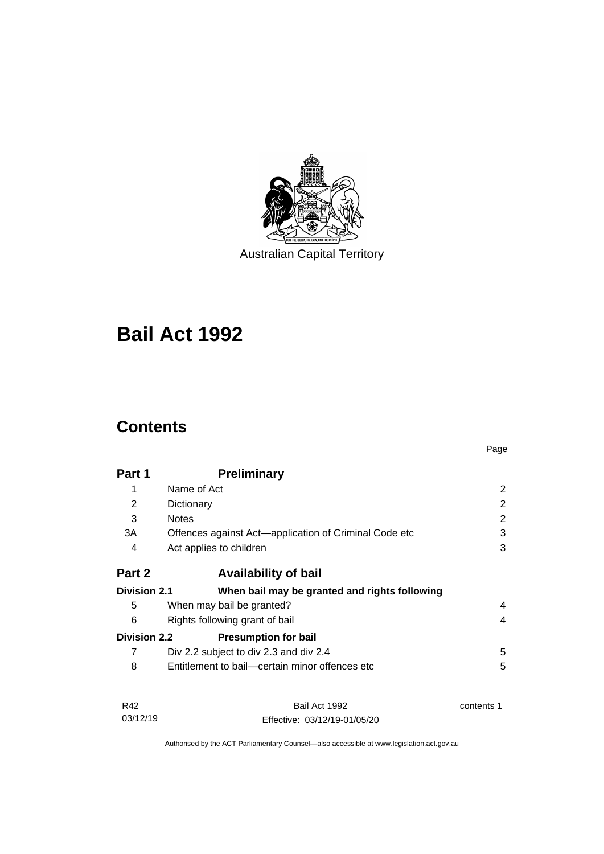

Australian Capital Territory

# **Bail Act 1992**

## **Contents**

|                     |                                                       | Page       |
|---------------------|-------------------------------------------------------|------------|
| Part 1              | <b>Preliminary</b>                                    |            |
| 1                   | Name of Act                                           | 2          |
| 2                   | Dictionary                                            | 2          |
| 3                   | <b>Notes</b>                                          | 2          |
| 3A                  | Offences against Act—application of Criminal Code etc | 3          |
| 4                   | Act applies to children                               | 3          |
| Part 2              | <b>Availability of bail</b>                           |            |
| <b>Division 2.1</b> | When bail may be granted and rights following         |            |
| 5                   | When may bail be granted?                             | 4          |
| 6                   | Rights following grant of bail                        | 4          |
| <b>Division 2.2</b> | <b>Presumption for bail</b>                           |            |
| 7                   | Div 2.2 subject to div 2.3 and div 2.4                | 5          |
| 8                   | Entitlement to bail—certain minor offences etc        | 5          |
| R42                 | Bail Act 1992                                         | contents 1 |
| 03/12/19            | Effective: 03/12/19-01/05/20                          |            |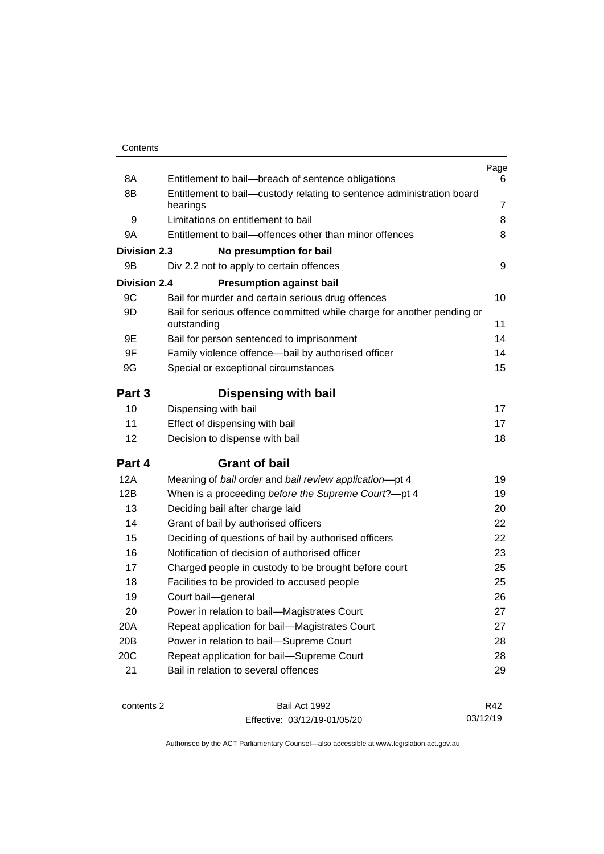| Contents |
|----------|
|----------|

| 8A                  | Entitlement to bail-breach of sentence obligations                                    | Page<br>6      |
|---------------------|---------------------------------------------------------------------------------------|----------------|
| 8B                  | Entitlement to bail-custody relating to sentence administration board                 |                |
|                     | hearings                                                                              | $\overline{7}$ |
| 9                   | Limitations on entitlement to bail                                                    | 8              |
| 9A                  | Entitlement to bail-offences other than minor offences                                | 8              |
| <b>Division 2.3</b> | No presumption for bail                                                               |                |
| 9B                  | Div 2.2 not to apply to certain offences                                              | 9              |
| <b>Division 2.4</b> | <b>Presumption against bail</b>                                                       |                |
| 9C                  | Bail for murder and certain serious drug offences                                     | 10             |
| 9D                  | Bail for serious offence committed while charge for another pending or<br>outstanding | 11             |
| 9E                  | Bail for person sentenced to imprisonment                                             | 14             |
| 9F                  | Family violence offence-bail by authorised officer                                    | 14             |
| 9G                  | Special or exceptional circumstances                                                  | 15             |
| Part 3              | <b>Dispensing with bail</b>                                                           |                |
| 10                  | Dispensing with bail                                                                  | 17             |
| 11                  | Effect of dispensing with bail                                                        | 17             |
| 12                  | Decision to dispense with bail                                                        | 18             |
| Part 4              | <b>Grant of bail</b>                                                                  |                |
| 12A                 | Meaning of bail order and bail review application-pt 4                                | 19             |
| 12B                 | When is a proceeding before the Supreme Court?-pt 4                                   | 19             |
| 13                  | Deciding bail after charge laid                                                       | 20             |
| 14                  | Grant of bail by authorised officers                                                  | 22             |
| 15                  | Deciding of questions of bail by authorised officers                                  | 22             |
| 16                  | Notification of decision of authorised officer                                        | 23             |
| 17                  | Charged people in custody to be brought before court                                  | 25             |
| 18                  | Facilities to be provided to accused people                                           | 25             |
| 19                  | Court bail-general                                                                    | 26             |
| 20                  | Power in relation to bail-Magistrates Court                                           | 27             |
| 20A                 | Repeat application for bail-Magistrates Court                                         | 27             |
| 20B                 | Power in relation to bail-Supreme Court                                               | 28             |
| 20C                 | Repeat application for bail-Supreme Court                                             | 28             |
| 21                  | Bail in relation to several offences                                                  | 29             |
|                     |                                                                                       |                |

contents 2 Bail Act 1992 Effective: 03/12/19-01/05/20

R42 03/12/19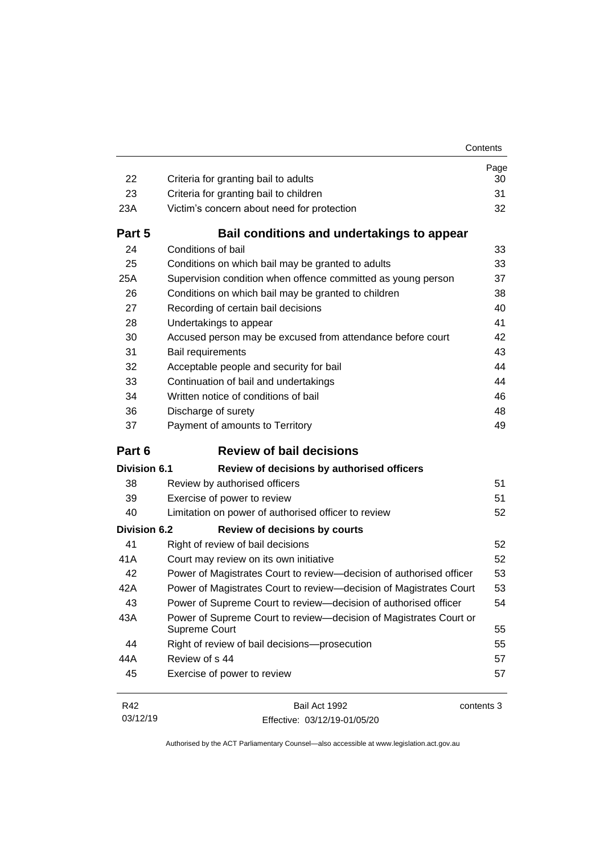| Contents |
|----------|
|----------|

| 22                  | Criteria for granting bail to adults                                               | Page<br>30 |
|---------------------|------------------------------------------------------------------------------------|------------|
| 23                  | Criteria for granting bail to children                                             | 31         |
| 23A                 | Victim's concern about need for protection                                         | 32         |
| Part 5              | Bail conditions and undertakings to appear                                         |            |
| 24                  | Conditions of bail                                                                 | 33         |
| 25                  | Conditions on which bail may be granted to adults                                  | 33         |
| 25A                 | Supervision condition when offence committed as young person                       | 37         |
| 26                  | Conditions on which bail may be granted to children                                | 38         |
| 27                  | Recording of certain bail decisions                                                | 40         |
| 28                  | Undertakings to appear                                                             | 41         |
| 30                  | Accused person may be excused from attendance before court                         | 42         |
| 31                  | Bail requirements                                                                  | 43         |
| 32                  | Acceptable people and security for bail                                            | 44         |
| 33                  | Continuation of bail and undertakings                                              | 44         |
| 34                  | Written notice of conditions of bail                                               | 46         |
| 36                  | Discharge of surety                                                                | 48         |
| 37                  | Payment of amounts to Territory                                                    | 49         |
| Part 6              | <b>Review of bail decisions</b>                                                    |            |
| <b>Division 6.1</b> | Review of decisions by authorised officers                                         |            |
| 38                  | Review by authorised officers                                                      | 51         |
| 39                  | Exercise of power to review                                                        | 51         |
| 40                  | Limitation on power of authorised officer to review                                | 52         |
| <b>Division 6.2</b> | <b>Review of decisions by courts</b>                                               |            |
| 41                  | Right of review of bail decisions                                                  | 52         |
| 41A                 | Court may review on its own initiative                                             | 52         |
| 42                  | Power of Magistrates Court to review-decision of authorised officer                | 53         |
| 42A                 | Power of Magistrates Court to review-decision of Magistrates Court                 | 53         |
| 43                  | Power of Supreme Court to review—decision of authorised officer                    | 54         |
| 43A                 | Power of Supreme Court to review-decision of Magistrates Court or<br>Supreme Court | 55         |
| 44                  | Right of review of bail decisions-prosecution                                      | 55         |
| 44A                 | Review of s 44                                                                     | 57         |
| 45                  | Exercise of power to review                                                        | 57         |

| R42      | Bail Act 1992                | contents 3 |
|----------|------------------------------|------------|
| 03/12/19 | Effective: 03/12/19-01/05/20 |            |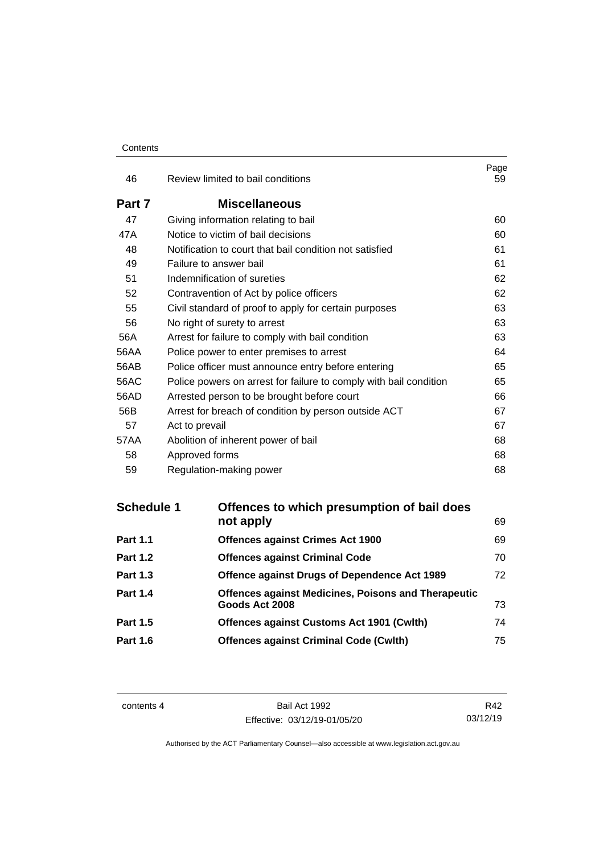#### **Contents**

| 46     | Review limited to bail conditions                                 | Page<br>59 |
|--------|-------------------------------------------------------------------|------------|
| Part 7 | <b>Miscellaneous</b>                                              |            |
| 47     | Giving information relating to bail                               | 60         |
| 47A    | Notice to victim of bail decisions                                | 60         |
| 48     | Notification to court that bail condition not satisfied           | 61         |
| 49     | Failure to answer bail                                            | 61         |
| 51     | Indemnification of sureties                                       | 62         |
| 52     | Contravention of Act by police officers                           | 62         |
| 55     | Civil standard of proof to apply for certain purposes             | 63         |
| 56     | No right of surety to arrest                                      | 63         |
| 56A    | Arrest for failure to comply with bail condition                  | 63         |
| 56AA   | Police power to enter premises to arrest                          | 64         |
| 56AB   | Police officer must announce entry before entering                | 65         |
| 56AC   | Police powers on arrest for failure to comply with bail condition | 65         |
| 56AD   | Arrested person to be brought before court                        | 66         |
| 56B    | Arrest for breach of condition by person outside ACT              | 67         |
| 57     | Act to prevail                                                    | 67         |
| 57AA   | Abolition of inherent power of bail                               | 68         |
| 58     | Approved forms                                                    | 68         |
| 59     | Regulation-making power                                           | 68         |

| <b>Schedule 1</b> | Offences to which presumption of bail does                 |    |
|-------------------|------------------------------------------------------------|----|
|                   | not apply                                                  | 69 |
| <b>Part 1.1</b>   | <b>Offences against Crimes Act 1900</b>                    | 69 |
| <b>Part 1.2</b>   | <b>Offences against Criminal Code</b>                      | 70 |
| <b>Part 1.3</b>   | <b>Offence against Drugs of Dependence Act 1989</b>        | 72 |
| <b>Part 1.4</b>   | <b>Offences against Medicines, Poisons and Therapeutic</b> |    |
|                   | Goods Act 2008                                             | 73 |
| <b>Part 1.5</b>   | Offences against Customs Act 1901 (Cwlth)                  | 74 |
| <b>Part 1.6</b>   | <b>Offences against Criminal Code (Cwlth)</b>              | 75 |
|                   |                                                            |    |

contents 4 Bail Act 1992 Effective: 03/12/19-01/05/20

R42 03/12/19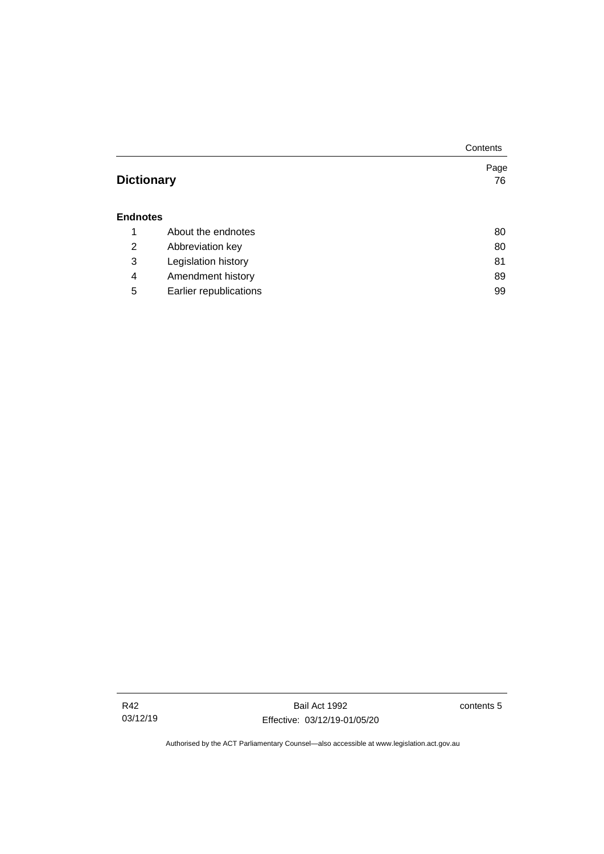|                   |                        | Contents |
|-------------------|------------------------|----------|
|                   |                        | Page     |
| <b>Dictionary</b> |                        | 76       |
|                   |                        |          |
| <b>Endnotes</b>   |                        |          |
| 1                 | About the endnotes     | 80       |
| 2                 | Abbreviation key       | 80       |
| 3                 | Legislation history    | 81       |
| 4                 | Amendment history      | 89       |
| 5                 | Earlier republications | 99       |

Bail Act 1992 Effective: 03/12/19-01/05/20 contents 5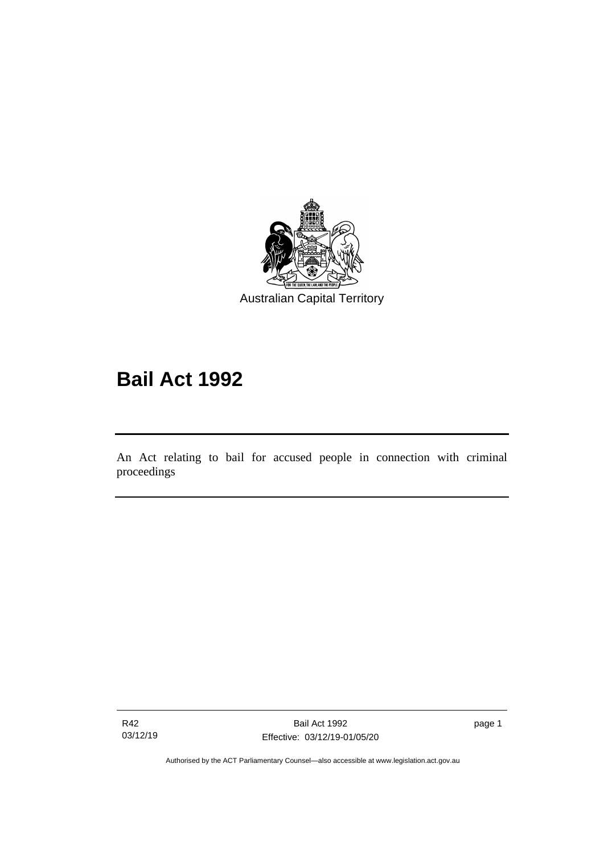

# **Bail Act 1992**

An Act relating to bail for accused people in connection with criminal proceedings

R42 03/12/19

ׅ֖֖֚֚֡֡֬֝֬

page 1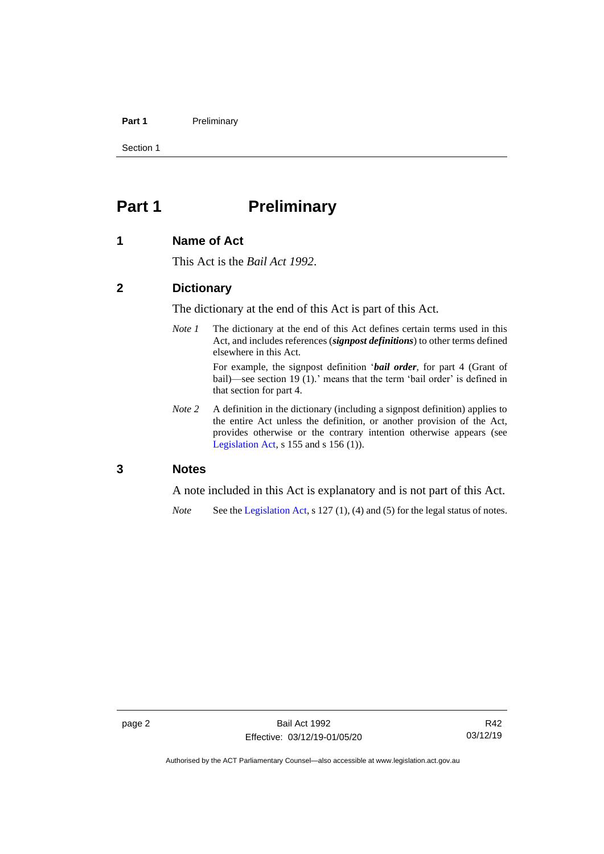#### Part 1 Preliminary

Section 1

## <span id="page-9-0"></span>**Part 1 Preliminary**

#### <span id="page-9-1"></span>**1 Name of Act**

This Act is the *Bail Act 1992*.

#### <span id="page-9-2"></span>**2 Dictionary**

The dictionary at the end of this Act is part of this Act.

*Note 1* The dictionary at the end of this Act defines certain terms used in this Act, and includes references (*signpost definitions*) to other terms defined elsewhere in this Act.

> For example, the signpost definition '*bail order*, for part 4 (Grant of bail)—see section 19 (1).' means that the term 'bail order' is defined in that section for part 4.

*Note 2* A definition in the dictionary (including a signpost definition) applies to the entire Act unless the definition, or another provision of the Act, provides otherwise or the contrary intention otherwise appears (see [Legislation Act,](http://www.legislation.act.gov.au/a/2001-14) s  $155$  and s  $156$  (1)).

#### <span id="page-9-3"></span>**3 Notes**

A note included in this Act is explanatory and is not part of this Act.

*Note* See the [Legislation Act,](http://www.legislation.act.gov.au/a/2001-14) s 127 (1), (4) and (5) for the legal status of notes.

Authorised by the ACT Parliamentary Counsel—also accessible at www.legislation.act.gov.au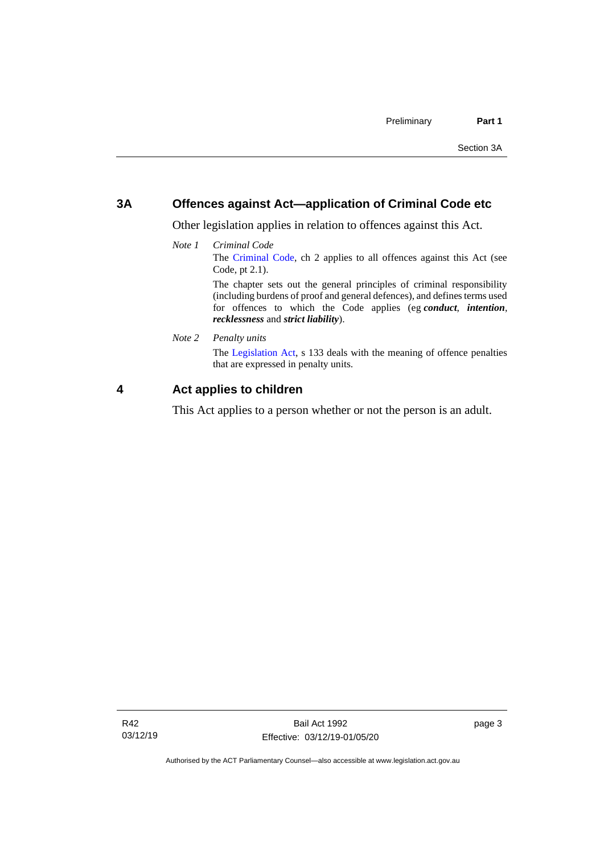#### <span id="page-10-0"></span>**3A Offences against Act—application of Criminal Code etc**

Other legislation applies in relation to offences against this Act.

*Note 1 Criminal Code* The [Criminal Code,](http://www.legislation.act.gov.au/a/2002-51) ch 2 applies to all offences against this Act (see Code, pt 2.1). The chapter sets out the general principles of criminal responsibility

(including burdens of proof and general defences), and defines terms used for offences to which the Code applies (eg *conduct*, *intention*, *recklessness* and *strict liability*).

*Note 2 Penalty units*

The [Legislation Act,](http://www.legislation.act.gov.au/a/2001-14) s 133 deals with the meaning of offence penalties that are expressed in penalty units.

### <span id="page-10-1"></span>**4 Act applies to children**

This Act applies to a person whether or not the person is an adult.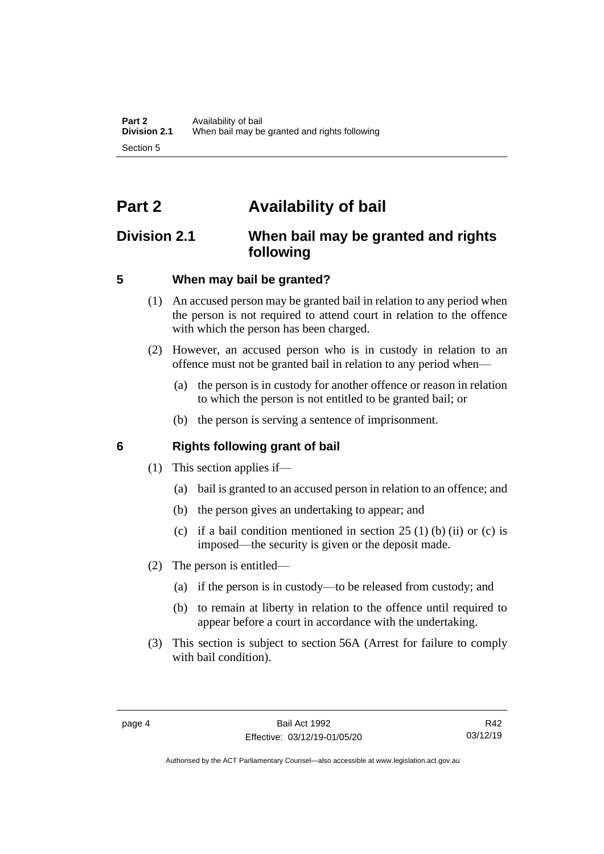## <span id="page-11-0"></span>**Part 2 Availability of bail**

## <span id="page-11-1"></span>**Division 2.1 When bail may be granted and rights following**

## <span id="page-11-2"></span>**5 When may bail be granted?**

- (1) An accused person may be granted bail in relation to any period when the person is not required to attend court in relation to the offence with which the person has been charged.
- (2) However, an accused person who is in custody in relation to an offence must not be granted bail in relation to any period when—
	- (a) the person is in custody for another offence or reason in relation to which the person is not entitled to be granted bail; or
	- (b) the person is serving a sentence of imprisonment.

## <span id="page-11-3"></span>**6 Rights following grant of bail**

- (1) This section applies if—
	- (a) bail is granted to an accused person in relation to an offence; and
	- (b) the person gives an undertaking to appear; and
	- (c) if a bail condition mentioned in section  $25(1)$  (b) (ii) or (c) is imposed—the security is given or the deposit made.
- (2) The person is entitled—
	- (a) if the person is in custody—to be released from custody; and
	- (b) to remain at liberty in relation to the offence until required to appear before a court in accordance with the undertaking.
- (3) This section is subject to section 56A (Arrest for failure to comply with bail condition).

R42 03/12/19

Authorised by the ACT Parliamentary Counsel—also accessible at www.legislation.act.gov.au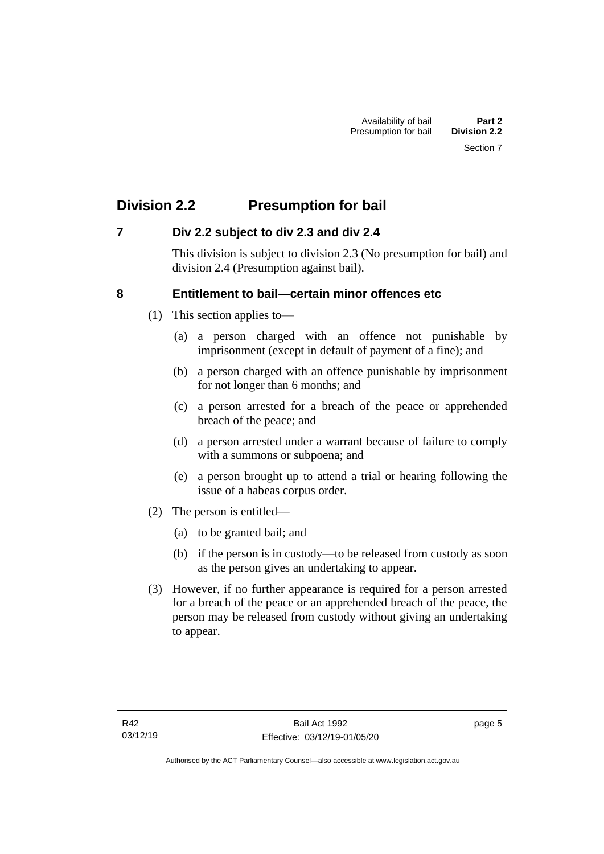## <span id="page-12-0"></span>**Division 2.2 Presumption for bail**

## <span id="page-12-1"></span>**7 Div 2.2 subject to div 2.3 and div 2.4**

This division is subject to division 2.3 (No presumption for bail) and division 2.4 (Presumption against bail).

## <span id="page-12-2"></span>**8 Entitlement to bail—certain minor offences etc**

- (1) This section applies to—
	- (a) a person charged with an offence not punishable by imprisonment (except in default of payment of a fine); and
	- (b) a person charged with an offence punishable by imprisonment for not longer than 6 months; and
	- (c) a person arrested for a breach of the peace or apprehended breach of the peace; and
	- (d) a person arrested under a warrant because of failure to comply with a summons or subpoena; and
	- (e) a person brought up to attend a trial or hearing following the issue of a habeas corpus order.
- (2) The person is entitled—
	- (a) to be granted bail; and
	- (b) if the person is in custody—to be released from custody as soon as the person gives an undertaking to appear.
- (3) However, if no further appearance is required for a person arrested for a breach of the peace or an apprehended breach of the peace, the person may be released from custody without giving an undertaking to appear.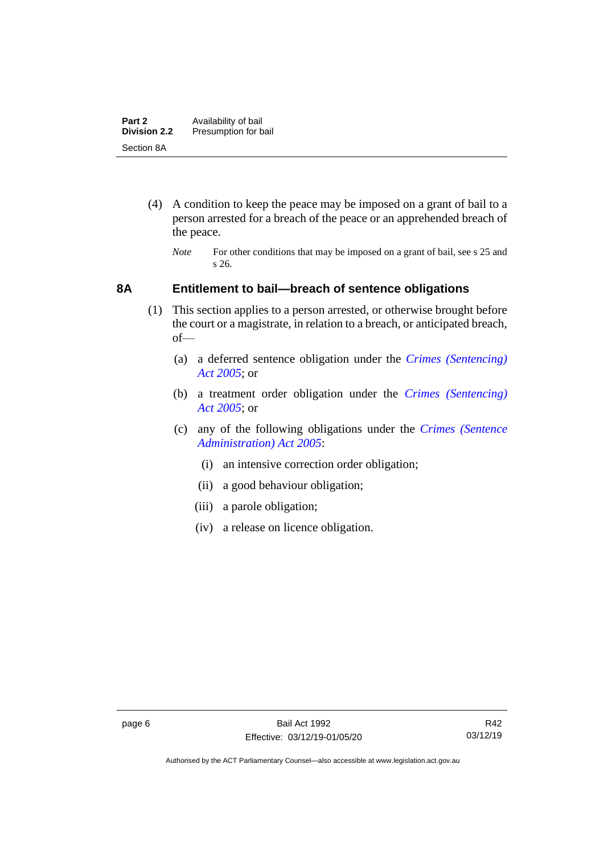- (4) A condition to keep the peace may be imposed on a grant of bail to a person arrested for a breach of the peace or an apprehended breach of the peace.
	- *Note* For other conditions that may be imposed on a grant of bail, see s 25 and s 26.

### <span id="page-13-0"></span>**8A Entitlement to bail—breach of sentence obligations**

- (1) This section applies to a person arrested, or otherwise brought before the court or a magistrate, in relation to a breach, or anticipated breach, of—
	- (a) a deferred sentence obligation under the *[Crimes \(Sentencing\)](http://www.legislation.act.gov.au/a/2005-58)  [Act 2005](http://www.legislation.act.gov.au/a/2005-58)*; or
	- (b) a treatment order obligation under the *[Crimes \(Sentencing\)](http://www.legislation.act.gov.au/a/2005-58)  Act [2005](http://www.legislation.act.gov.au/a/2005-58)*; or
	- (c) any of the following obligations under the *[Crimes \(Sentence](http://www.legislation.act.gov.au/a/2005-59)  [Administration\) Act 2005](http://www.legislation.act.gov.au/a/2005-59)*:
		- (i) an intensive correction order obligation;
		- (ii) a good behaviour obligation;
		- (iii) a parole obligation;
		- (iv) a release on licence obligation.

Authorised by the ACT Parliamentary Counsel—also accessible at www.legislation.act.gov.au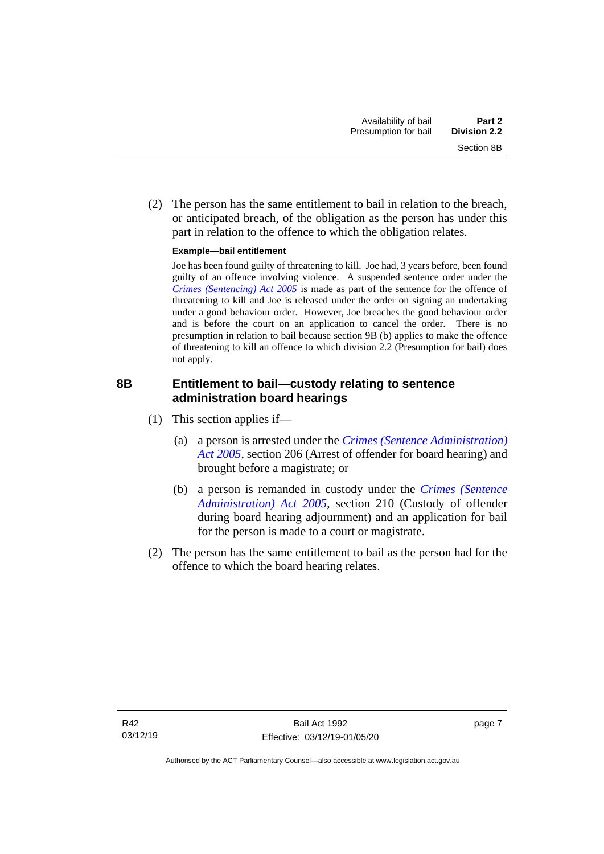(2) The person has the same entitlement to bail in relation to the breach, or anticipated breach, of the obligation as the person has under this part in relation to the offence to which the obligation relates.

#### **Example—bail entitlement**

Joe has been found guilty of threatening to kill. Joe had, 3 years before, been found guilty of an offence involving violence. A suspended sentence order under the *[Crimes \(Sentencing\) Act 2005](http://www.legislation.act.gov.au/a/2005-58)* is made as part of the sentence for the offence of threatening to kill and Joe is released under the order on signing an undertaking under a good behaviour order. However, Joe breaches the good behaviour order and is before the court on an application to cancel the order. There is no presumption in relation to bail because section 9B (b) applies to make the offence of threatening to kill an offence to which division 2.2 (Presumption for bail) does not apply.

## <span id="page-14-0"></span>**8B Entitlement to bail—custody relating to sentence administration board hearings**

- (1) This section applies if—
	- (a) a person is arrested under the *[Crimes \(Sentence Administration\)](http://www.legislation.act.gov.au/a/2005-59)  [Act 2005](http://www.legislation.act.gov.au/a/2005-59)*, section 206 (Arrest of offender for board hearing) and brought before a magistrate; or
	- (b) a person is remanded in custody under the *[Crimes \(Sentence](http://www.legislation.act.gov.au/a/2005-59)  [Administration\) Act 2005](http://www.legislation.act.gov.au/a/2005-59)*, section 210 (Custody of offender during board hearing adjournment) and an application for bail for the person is made to a court or magistrate.
- (2) The person has the same entitlement to bail as the person had for the offence to which the board hearing relates.

page 7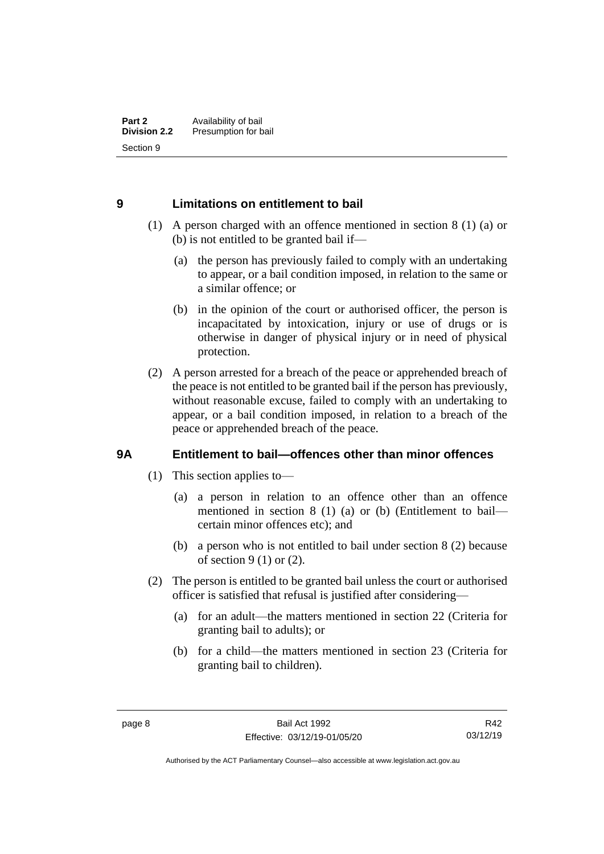### <span id="page-15-0"></span>**9 Limitations on entitlement to bail**

- (1) A person charged with an offence mentioned in section 8 (1) (a) or (b) is not entitled to be granted bail if—
	- (a) the person has previously failed to comply with an undertaking to appear, or a bail condition imposed, in relation to the same or a similar offence; or
	- (b) in the opinion of the court or authorised officer, the person is incapacitated by intoxication, injury or use of drugs or is otherwise in danger of physical injury or in need of physical protection.
- (2) A person arrested for a breach of the peace or apprehended breach of the peace is not entitled to be granted bail if the person has previously, without reasonable excuse, failed to comply with an undertaking to appear, or a bail condition imposed, in relation to a breach of the peace or apprehended breach of the peace.

## <span id="page-15-1"></span>**9A Entitlement to bail—offences other than minor offences**

- (1) This section applies to—
	- (a) a person in relation to an offence other than an offence mentioned in section 8 (1) (a) or (b) (Entitlement to bail certain minor offences etc); and
	- (b) a person who is not entitled to bail under section 8 (2) because of section 9 (1) or (2).
- (2) The person is entitled to be granted bail unless the court or authorised officer is satisfied that refusal is justified after considering—
	- (a) for an adult—the matters mentioned in section 22 (Criteria for granting bail to adults); or
	- (b) for a child—the matters mentioned in section 23 (Criteria for granting bail to children).

R42 03/12/19

Authorised by the ACT Parliamentary Counsel—also accessible at www.legislation.act.gov.au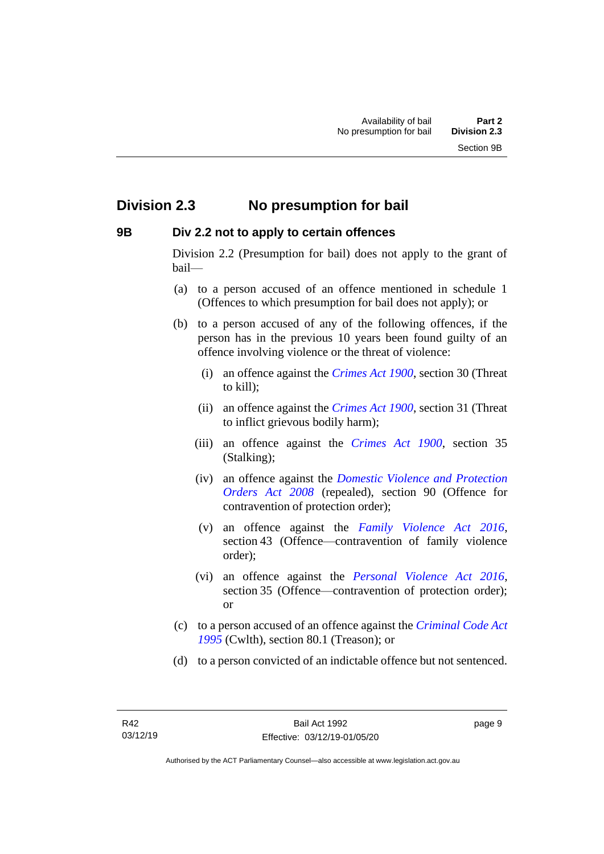## <span id="page-16-0"></span>**Division 2.3 No presumption for bail**

#### <span id="page-16-1"></span>**9B Div 2.2 not to apply to certain offences**

Division 2.2 (Presumption for bail) does not apply to the grant of bail—

- (a) to a person accused of an offence mentioned in schedule 1 (Offences to which presumption for bail does not apply); or
- (b) to a person accused of any of the following offences, if the person has in the previous 10 years been found guilty of an offence involving violence or the threat of violence:
	- (i) an offence against the *[Crimes Act 1900](http://www.legislation.act.gov.au/a/1900-40)*, section 30 (Threat to kill);
	- (ii) an offence against the *[Crimes Act 1900](http://www.legislation.act.gov.au/a/1900-40)*, section 31 (Threat to inflict grievous bodily harm);
	- (iii) an offence against the *[Crimes Act 1900](http://www.legislation.act.gov.au/a/1900-40)*, section 35 (Stalking);
	- (iv) an offence against the *[Domestic Violence and Protection](http://www.legislation.act.gov.au/a/2008-46)  [Orders Act 2008](http://www.legislation.act.gov.au/a/2008-46)* (repealed), section 90 (Offence for contravention of protection order);
	- (v) an offence against the *[Family Violence Act 2016](http://www.legislation.act.gov.au/a/2016-42)*, section 43 (Offence—contravention of family violence order);
	- (vi) an offence against the *[Personal Violence Act 2016](http://www.legislation.act.gov.au/a/2016-43)*, section 35 (Offence—contravention of protection order); or
- (c) to a person accused of an offence against the *[Criminal Code Act](http://www.comlaw.gov.au/Details/C2013C00138)  [1995](http://www.comlaw.gov.au/Details/C2013C00138)* (Cwlth), section 80.1 (Treason); or
- (d) to a person convicted of an indictable offence but not sentenced.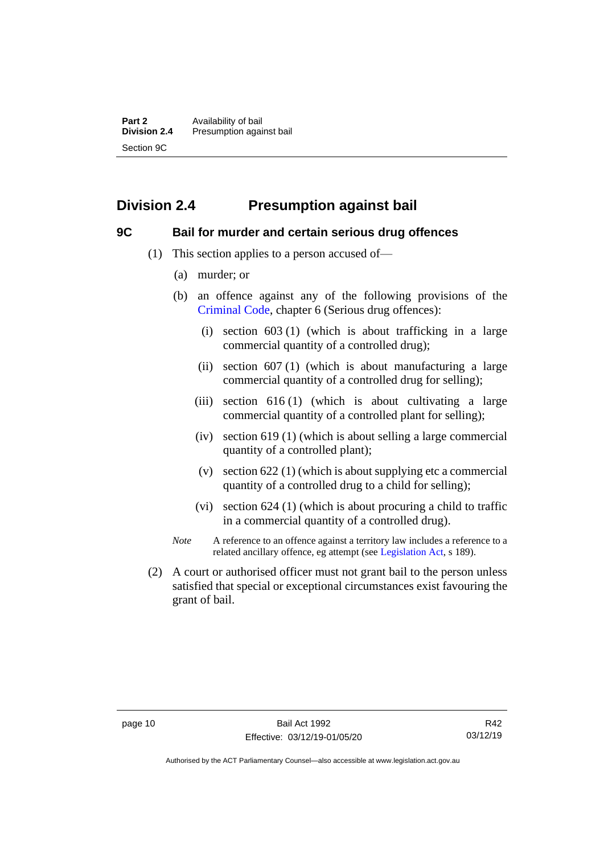## <span id="page-17-0"></span>**Division 2.4 Presumption against bail**

#### <span id="page-17-1"></span>**9C Bail for murder and certain serious drug offences**

- (1) This section applies to a person accused of—
	- (a) murder; or
	- (b) an offence against any of the following provisions of the [Criminal Code,](http://www.legislation.act.gov.au/a/2002-51) chapter 6 (Serious drug offences):
		- (i) section 603 (1) (which is about trafficking in a large commercial quantity of a controlled drug);
		- (ii) section 607 (1) (which is about manufacturing a large commercial quantity of a controlled drug for selling);
		- (iii) section 616 (1) (which is about cultivating a large commercial quantity of a controlled plant for selling);
		- (iv) section 619 (1) (which is about selling a large commercial quantity of a controlled plant);
		- (v) section 622 (1) (which is about supplying etc a commercial quantity of a controlled drug to a child for selling);
		- (vi) section 624 (1) (which is about procuring a child to traffic in a commercial quantity of a controlled drug).
	- *Note* A reference to an offence against a territory law includes a reference to a related ancillary offence, eg attempt (see [Legislation Act,](http://www.legislation.act.gov.au/a/2001-14) s 189).
- (2) A court or authorised officer must not grant bail to the person unless satisfied that special or exceptional circumstances exist favouring the grant of bail.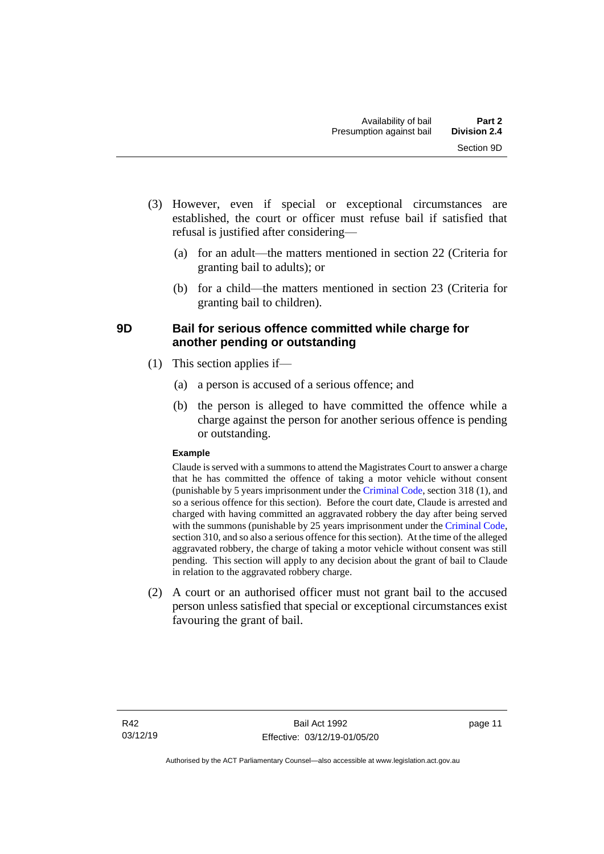- (3) However, even if special or exceptional circumstances are established, the court or officer must refuse bail if satisfied that refusal is justified after considering—
	- (a) for an adult—the matters mentioned in section 22 (Criteria for granting bail to adults); or
	- (b) for a child—the matters mentioned in section 23 (Criteria for granting bail to children).

## <span id="page-18-0"></span>**9D Bail for serious offence committed while charge for another pending or outstanding**

- (1) This section applies if—
	- (a) a person is accused of a serious offence; and
	- (b) the person is alleged to have committed the offence while a charge against the person for another serious offence is pending or outstanding.

#### **Example**

Claude is served with a summons to attend the Magistrates Court to answer a charge that he has committed the offence of taking a motor vehicle without consent (punishable by 5 years imprisonment under the [Criminal Code,](http://www.legislation.act.gov.au/a/2002-51) section 318 (1), and so a serious offence for this section). Before the court date, Claude is arrested and charged with having committed an aggravated robbery the day after being served with the summons (punishable by 25 years imprisonment under the [Criminal Code,](http://www.legislation.act.gov.au/a/2002-51) section 310, and so also a serious offence for this section). At the time of the alleged aggravated robbery, the charge of taking a motor vehicle without consent was still pending. This section will apply to any decision about the grant of bail to Claude in relation to the aggravated robbery charge.

(2) A court or an authorised officer must not grant bail to the accused person unless satisfied that special or exceptional circumstances exist favouring the grant of bail.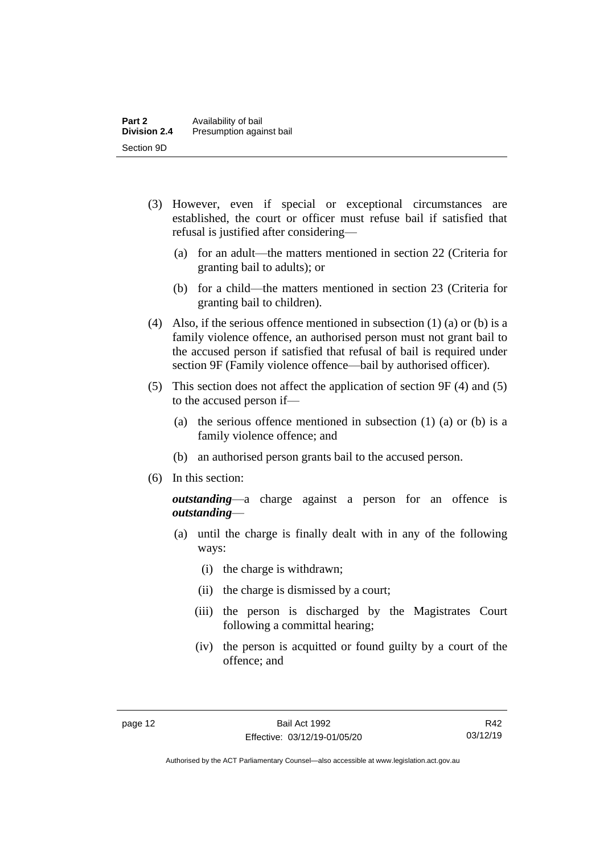- (3) However, even if special or exceptional circumstances are established, the court or officer must refuse bail if satisfied that refusal is justified after considering—
	- (a) for an adult—the matters mentioned in section 22 (Criteria for granting bail to adults); or
	- (b) for a child—the matters mentioned in section 23 (Criteria for granting bail to children).
- (4) Also, if the serious offence mentioned in subsection (1) (a) or (b) is a family violence offence, an authorised person must not grant bail to the accused person if satisfied that refusal of bail is required under section 9F (Family violence offence—bail by authorised officer).
- (5) This section does not affect the application of section 9F (4) and (5) to the accused person if—
	- (a) the serious offence mentioned in subsection (1) (a) or (b) is a family violence offence; and
	- (b) an authorised person grants bail to the accused person.
- (6) In this section:

*outstanding*—a charge against a person for an offence is *outstanding*—

- (a) until the charge is finally dealt with in any of the following ways:
	- (i) the charge is withdrawn;
	- (ii) the charge is dismissed by a court;
	- (iii) the person is discharged by the Magistrates Court following a committal hearing;
	- (iv) the person is acquitted or found guilty by a court of the offence; and

Authorised by the ACT Parliamentary Counsel—also accessible at www.legislation.act.gov.au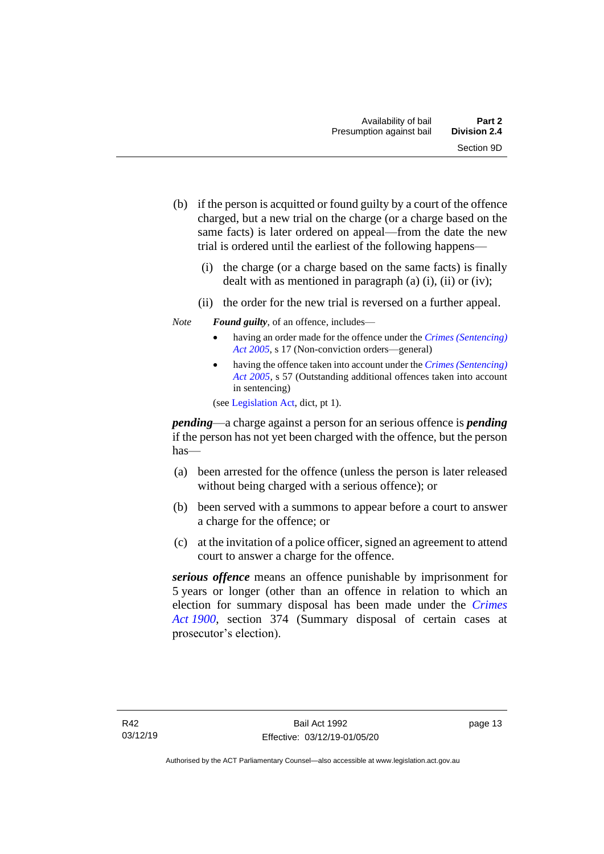- (b) if the person is acquitted or found guilty by a court of the offence charged, but a new trial on the charge (or a charge based on the same facts) is later ordered on appeal—from the date the new trial is ordered until the earliest of the following happens—
	- (i) the charge (or a charge based on the same facts) is finally dealt with as mentioned in paragraph  $(a)$   $(i)$ ,  $(ii)$  or  $(iv)$ ;
	- (ii) the order for the new trial is reversed on a further appeal.
- *Note Found guilty*, of an offence, includes—
	- having an order made for the offence under the *[Crimes \(Sentencing\)](http://www.legislation.act.gov.au/a/2005-58)  [Act 2005](http://www.legislation.act.gov.au/a/2005-58)*, s 17 (Non-conviction orders—general)
	- having the offence taken into account under the *[Crimes \(Sentencing\)](http://www.legislation.act.gov.au/a/2005-58)  [Act 2005](http://www.legislation.act.gov.au/a/2005-58)*, s 57 (Outstanding additional offences taken into account in sentencing)

(se[e Legislation Act,](http://www.legislation.act.gov.au/a/2001-14) dict, pt 1).

*pending*—a charge against a person for an serious offence is *pending*  if the person has not yet been charged with the offence, but the person has—

- (a) been arrested for the offence (unless the person is later released without being charged with a serious offence); or
- (b) been served with a summons to appear before a court to answer a charge for the offence; or
- (c) at the invitation of a police officer, signed an agreement to attend court to answer a charge for the offence.

*serious offence* means an offence punishable by imprisonment for 5 years or longer (other than an offence in relation to which an election for summary disposal has been made under the *[Crimes](http://www.legislation.act.gov.au/a/1900-40)  Act [1900](http://www.legislation.act.gov.au/a/1900-40)*, section 374 (Summary disposal of certain cases at prosecutor's election).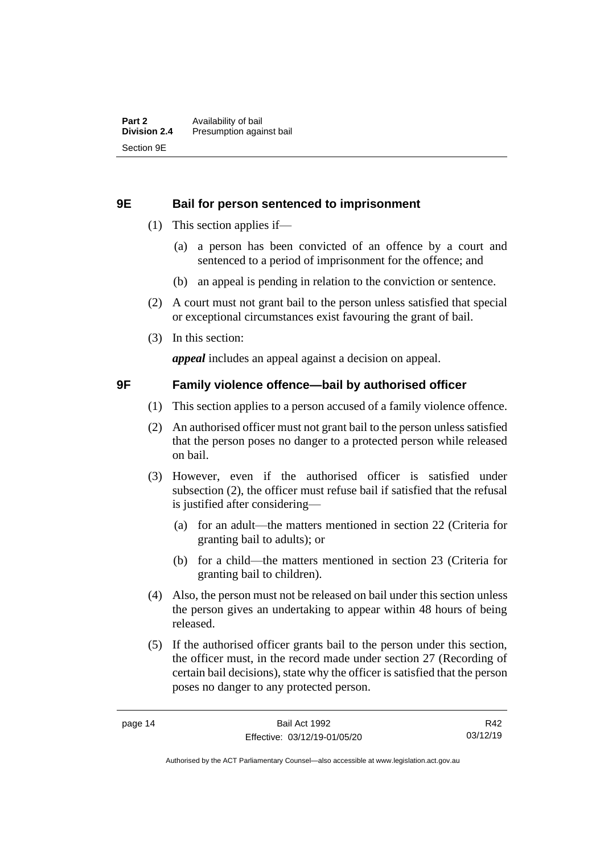#### <span id="page-21-0"></span>**9E Bail for person sentenced to imprisonment**

- (1) This section applies if—
	- (a) a person has been convicted of an offence by a court and sentenced to a period of imprisonment for the offence; and
	- (b) an appeal is pending in relation to the conviction or sentence.
- (2) A court must not grant bail to the person unless satisfied that special or exceptional circumstances exist favouring the grant of bail.
- (3) In this section:

*appeal* includes an appeal against a decision on appeal.

#### <span id="page-21-1"></span>**9F Family violence offence—bail by authorised officer**

- (1) This section applies to a person accused of a family violence offence.
- (2) An authorised officer must not grant bail to the person unless satisfied that the person poses no danger to a protected person while released on bail.
- (3) However, even if the authorised officer is satisfied under subsection (2), the officer must refuse bail if satisfied that the refusal is justified after considering—
	- (a) for an adult—the matters mentioned in section 22 (Criteria for granting bail to adults); or
	- (b) for a child—the matters mentioned in section 23 (Criteria for granting bail to children).
- (4) Also, the person must not be released on bail under this section unless the person gives an undertaking to appear within 48 hours of being released.
- (5) If the authorised officer grants bail to the person under this section, the officer must, in the record made under section 27 (Recording of certain bail decisions), state why the officer is satisfied that the person poses no danger to any protected person.

R42 03/12/19

Authorised by the ACT Parliamentary Counsel—also accessible at www.legislation.act.gov.au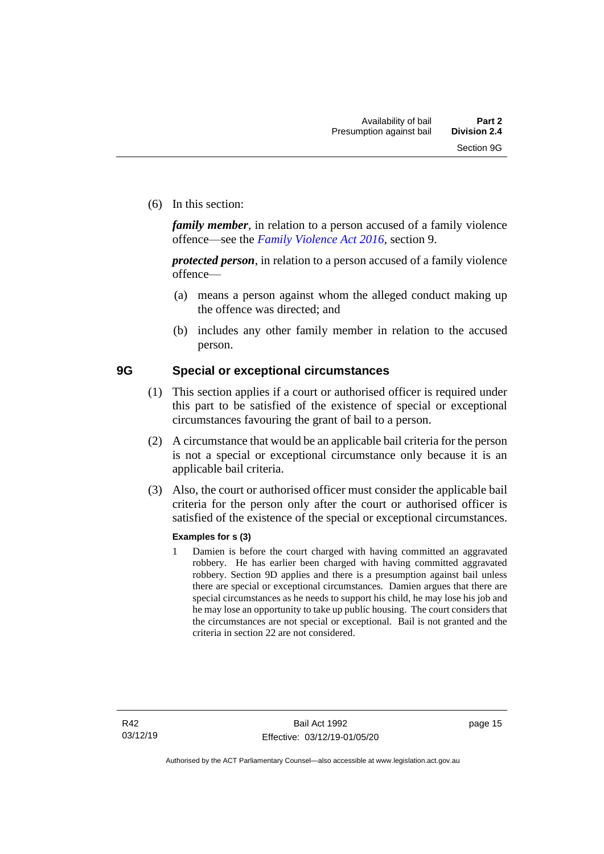(6) In this section:

*family member*, in relation to a person accused of a family violence offence—see the *[Family Violence Act 2016](http://www.legislation.act.gov.au/a/2016-42)*, section 9.

*protected person*, in relation to a person accused of a family violence offence—

- (a) means a person against whom the alleged conduct making up the offence was directed; and
- (b) includes any other family member in relation to the accused person.

#### <span id="page-22-0"></span>**9G Special or exceptional circumstances**

- (1) This section applies if a court or authorised officer is required under this part to be satisfied of the existence of special or exceptional circumstances favouring the grant of bail to a person.
- (2) A circumstance that would be an applicable bail criteria for the person is not a special or exceptional circumstance only because it is an applicable bail criteria.
- (3) Also, the court or authorised officer must consider the applicable bail criteria for the person only after the court or authorised officer is satisfied of the existence of the special or exceptional circumstances.

#### **Examples for s (3)**

1 Damien is before the court charged with having committed an aggravated robbery. He has earlier been charged with having committed aggravated robbery. Section 9D applies and there is a presumption against bail unless there are special or exceptional circumstances. Damien argues that there are special circumstances as he needs to support his child, he may lose his job and he may lose an opportunity to take up public housing. The court considers that the circumstances are not special or exceptional. Bail is not granted and the criteria in section 22 are not considered.

page 15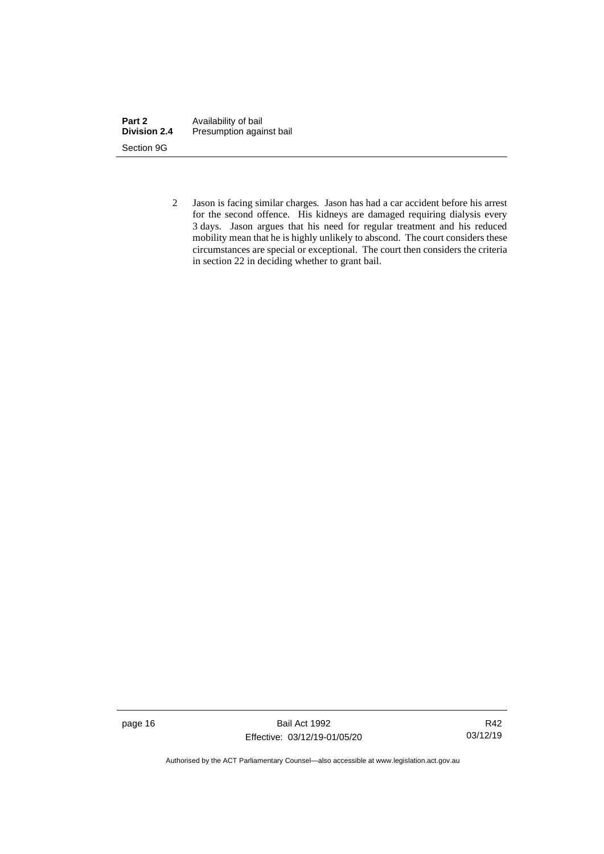| Part 2              | Availability of bail     |
|---------------------|--------------------------|
| <b>Division 2.4</b> | Presumption against bail |
| Section 9G          |                          |

2 Jason is facing similar charges. Jason has had a car accident before his arrest for the second offence. His kidneys are damaged requiring dialysis every 3 days. Jason argues that his need for regular treatment and his reduced mobility mean that he is highly unlikely to abscond. The court considers these circumstances are special or exceptional. The court then considers the criteria in section 22 in deciding whether to grant bail.

page 16 Bail Act 1992 Effective: 03/12/19-01/05/20

R42 03/12/19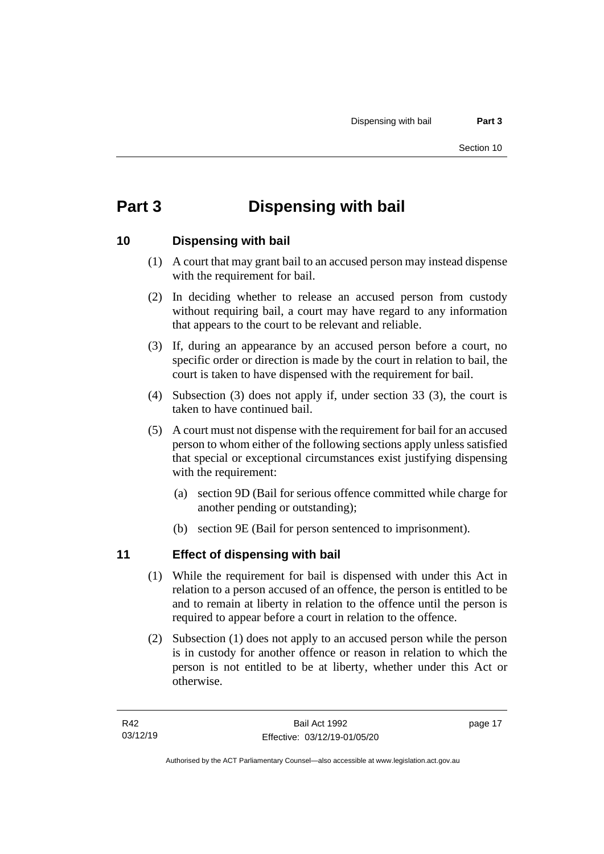## <span id="page-24-0"></span>**Part 3 Dispensing with bail**

## <span id="page-24-1"></span>**10 Dispensing with bail**

- (1) A court that may grant bail to an accused person may instead dispense with the requirement for bail.
- (2) In deciding whether to release an accused person from custody without requiring bail, a court may have regard to any information that appears to the court to be relevant and reliable.
- (3) If, during an appearance by an accused person before a court, no specific order or direction is made by the court in relation to bail, the court is taken to have dispensed with the requirement for bail.
- (4) Subsection (3) does not apply if, under section 33 (3), the court is taken to have continued bail.
- (5) A court must not dispense with the requirement for bail for an accused person to whom either of the following sections apply unless satisfied that special or exceptional circumstances exist justifying dispensing with the requirement:
	- (a) section 9D (Bail for serious offence committed while charge for another pending or outstanding);
	- (b) section 9E (Bail for person sentenced to imprisonment).

## <span id="page-24-2"></span>**11 Effect of dispensing with bail**

- (1) While the requirement for bail is dispensed with under this Act in relation to a person accused of an offence, the person is entitled to be and to remain at liberty in relation to the offence until the person is required to appear before a court in relation to the offence.
- (2) Subsection (1) does not apply to an accused person while the person is in custody for another offence or reason in relation to which the person is not entitled to be at liberty, whether under this Act or otherwise.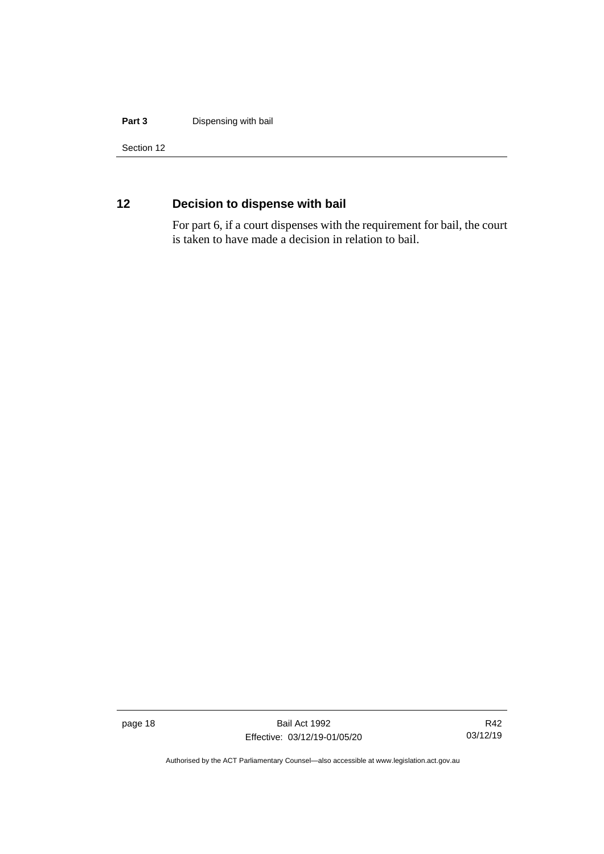#### **Part 3** Dispensing with bail

Section 12

## <span id="page-25-0"></span>**12 Decision to dispense with bail**

For part 6, if a court dispenses with the requirement for bail, the court is taken to have made a decision in relation to bail.

page 18 Bail Act 1992 Effective: 03/12/19-01/05/20

R42 03/12/19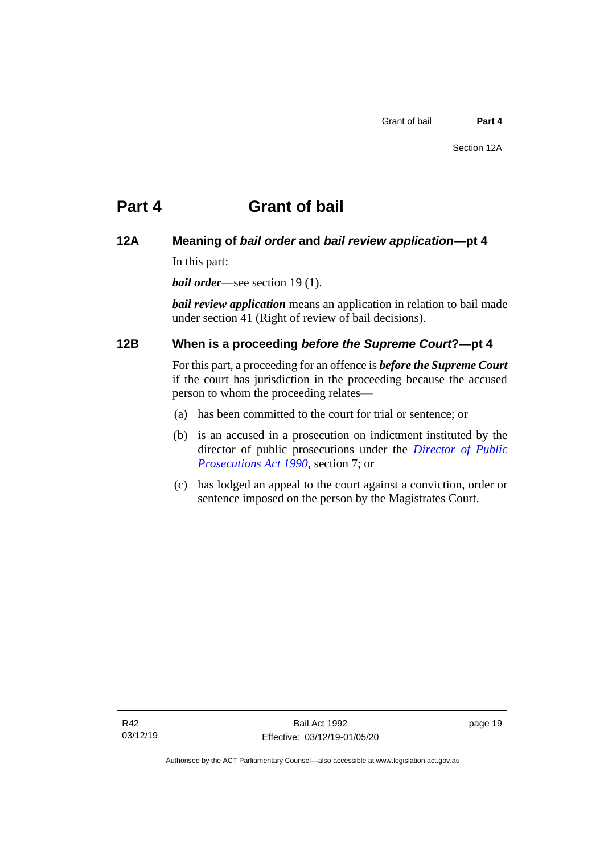## <span id="page-26-0"></span>**Part 4 Grant of bail**

#### <span id="page-26-1"></span>**12A Meaning of** *bail order* **and** *bail review application***—pt 4**

In this part:

*bail order*—see section 19 (1).

*bail review application* means an application in relation to bail made under section 41 (Right of review of bail decisions).

### <span id="page-26-2"></span>**12B When is a proceeding** *before the Supreme Court***?—pt 4**

For this part, a proceeding for an offence is *before the Supreme Court* if the court has jurisdiction in the proceeding because the accused person to whom the proceeding relates—

- (a) has been committed to the court for trial or sentence; or
- (b) is an accused in a prosecution on indictment instituted by the director of public prosecutions under the *[Director of Public](http://www.legislation.act.gov.au/a/1990-22)  [Prosecutions Act 1990](http://www.legislation.act.gov.au/a/1990-22)*, section 7; or
- (c) has lodged an appeal to the court against a conviction, order or sentence imposed on the person by the Magistrates Court.

page 19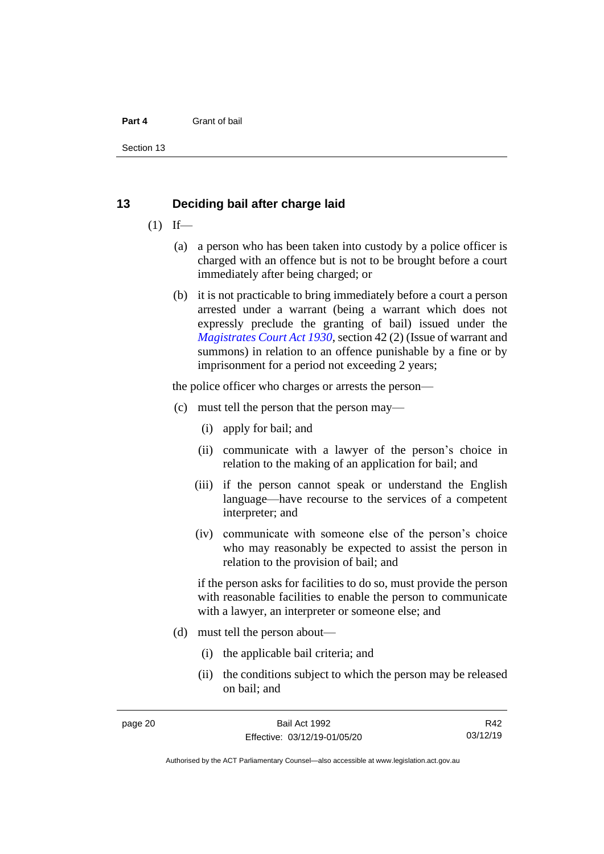#### **Part 4** Grant of bail

Section 13

#### <span id="page-27-0"></span>**13 Deciding bail after charge laid**

- $(1)$  If—
	- (a) a person who has been taken into custody by a police officer is charged with an offence but is not to be brought before a court immediately after being charged; or
	- (b) it is not practicable to bring immediately before a court a person arrested under a warrant (being a warrant which does not expressly preclude the granting of bail) issued under the *[Magistrates Court Act 1930](http://www.legislation.act.gov.au/a/1930-21)*, section 42 (2) (Issue of warrant and summons) in relation to an offence punishable by a fine or by imprisonment for a period not exceeding 2 years;

the police officer who charges or arrests the person—

- (c) must tell the person that the person may—
	- (i) apply for bail; and
	- (ii) communicate with a lawyer of the person's choice in relation to the making of an application for bail; and
	- (iii) if the person cannot speak or understand the English language—have recourse to the services of a competent interpreter; and
	- (iv) communicate with someone else of the person's choice who may reasonably be expected to assist the person in relation to the provision of bail; and

if the person asks for facilities to do so, must provide the person with reasonable facilities to enable the person to communicate with a lawyer, an interpreter or someone else; and

- (d) must tell the person about—
	- (i) the applicable bail criteria; and
	- (ii) the conditions subject to which the person may be released on bail; and

R42 03/12/19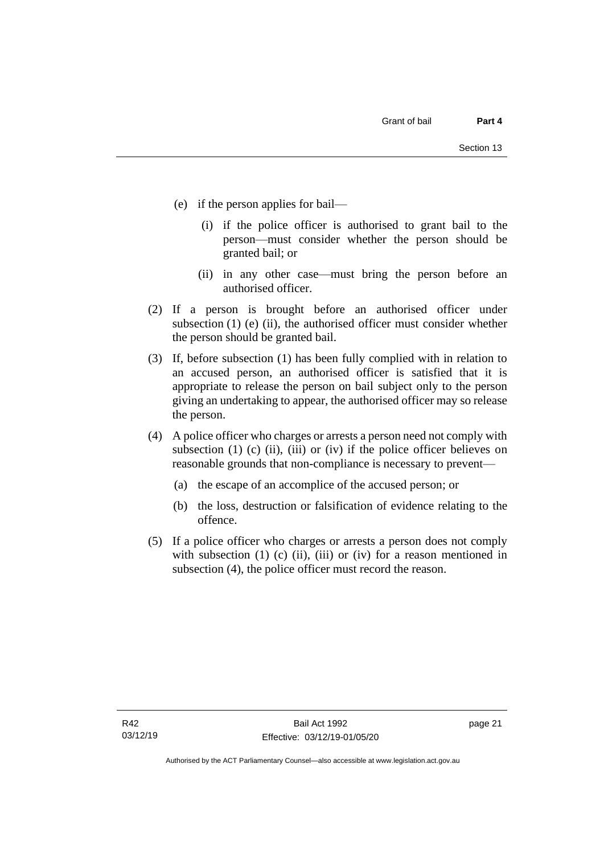- (e) if the person applies for bail—
	- (i) if the police officer is authorised to grant bail to the person—must consider whether the person should be granted bail; or
	- (ii) in any other case—must bring the person before an authorised officer.
- (2) If a person is brought before an authorised officer under subsection  $(1)$  (e)  $(ii)$ , the authorised officer must consider whether the person should be granted bail.
- (3) If, before subsection (1) has been fully complied with in relation to an accused person, an authorised officer is satisfied that it is appropriate to release the person on bail subject only to the person giving an undertaking to appear, the authorised officer may so release the person.
- (4) A police officer who charges or arrests a person need not comply with subsection (1) (c) (ii), (iii) or (iv) if the police officer believes on reasonable grounds that non-compliance is necessary to prevent—
	- (a) the escape of an accomplice of the accused person; or
	- (b) the loss, destruction or falsification of evidence relating to the offence.
- (5) If a police officer who charges or arrests a person does not comply with subsection  $(1)$   $(c)$   $(ii)$ ,  $(iii)$  or  $(iv)$  for a reason mentioned in subsection (4), the police officer must record the reason.

page 21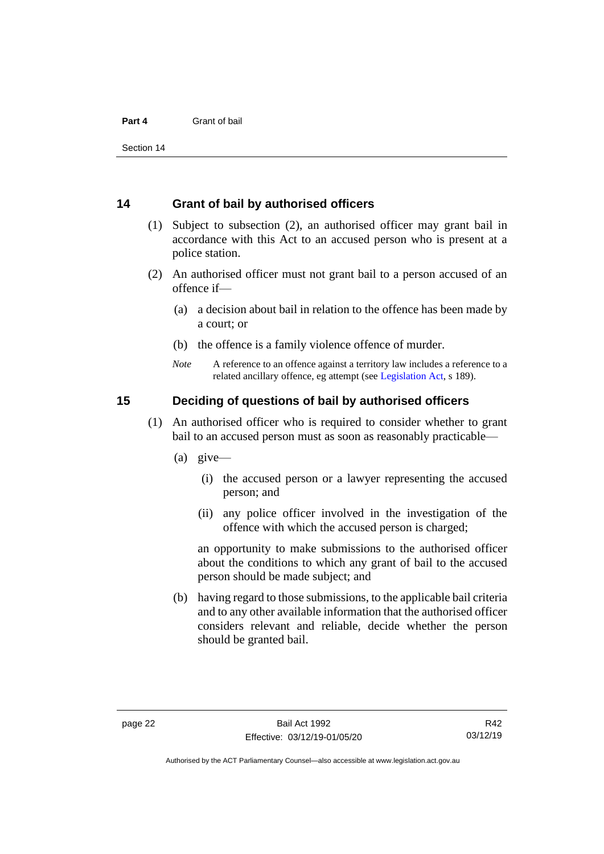#### **Part 4** Grant of bail

Section 14

#### <span id="page-29-0"></span>**14 Grant of bail by authorised officers**

- (1) Subject to subsection (2), an authorised officer may grant bail in accordance with this Act to an accused person who is present at a police station.
- (2) An authorised officer must not grant bail to a person accused of an offence if—
	- (a) a decision about bail in relation to the offence has been made by a court; or
	- (b) the offence is a family violence offence of murder.
	- *Note* A reference to an offence against a territory law includes a reference to a related ancillary offence, eg attempt (see [Legislation Act,](http://www.legislation.act.gov.au/a/2001-14) s 189).

#### <span id="page-29-1"></span>**15 Deciding of questions of bail by authorised officers**

- (1) An authorised officer who is required to consider whether to grant bail to an accused person must as soon as reasonably practicable—
	- (a) give—
		- (i) the accused person or a lawyer representing the accused person; and
		- (ii) any police officer involved in the investigation of the offence with which the accused person is charged;

an opportunity to make submissions to the authorised officer about the conditions to which any grant of bail to the accused person should be made subject; and

(b) having regard to those submissions, to the applicable bail criteria and to any other available information that the authorised officer considers relevant and reliable, decide whether the person should be granted bail.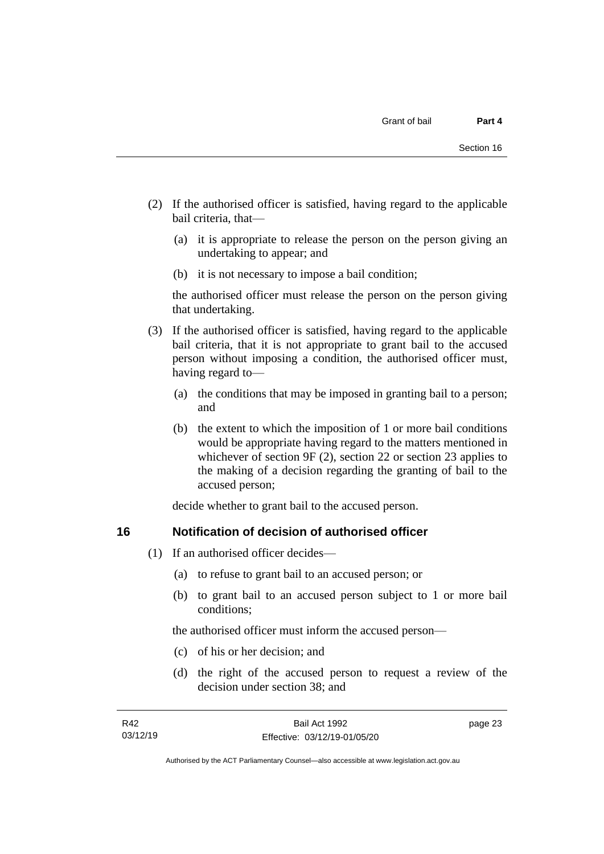- (2) If the authorised officer is satisfied, having regard to the applicable bail criteria, that—
	- (a) it is appropriate to release the person on the person giving an undertaking to appear; and
	- (b) it is not necessary to impose a bail condition;

the authorised officer must release the person on the person giving that undertaking.

- (3) If the authorised officer is satisfied, having regard to the applicable bail criteria, that it is not appropriate to grant bail to the accused person without imposing a condition, the authorised officer must, having regard to—
	- (a) the conditions that may be imposed in granting bail to a person; and
	- (b) the extent to which the imposition of 1 or more bail conditions would be appropriate having regard to the matters mentioned in whichever of section 9F (2), section 22 or section 23 applies to the making of a decision regarding the granting of bail to the accused person;

decide whether to grant bail to the accused person.

#### <span id="page-30-0"></span>**16 Notification of decision of authorised officer**

- (1) If an authorised officer decides—
	- (a) to refuse to grant bail to an accused person; or
	- (b) to grant bail to an accused person subject to 1 or more bail conditions;

the authorised officer must inform the accused person—

- (c) of his or her decision; and
- (d) the right of the accused person to request a review of the decision under section 38; and

page 23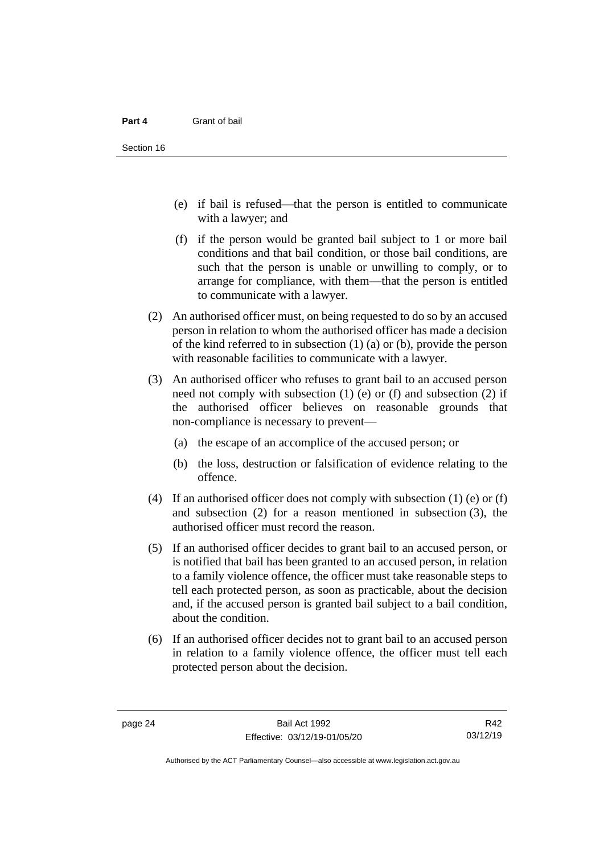- (e) if bail is refused—that the person is entitled to communicate with a lawyer; and
- (f) if the person would be granted bail subject to 1 or more bail conditions and that bail condition, or those bail conditions, are such that the person is unable or unwilling to comply, or to arrange for compliance, with them—that the person is entitled to communicate with a lawyer.
- (2) An authorised officer must, on being requested to do so by an accused person in relation to whom the authorised officer has made a decision of the kind referred to in subsection (1) (a) or (b), provide the person with reasonable facilities to communicate with a lawyer.
- (3) An authorised officer who refuses to grant bail to an accused person need not comply with subsection (1) (e) or (f) and subsection (2) if the authorised officer believes on reasonable grounds that non-compliance is necessary to prevent—
	- (a) the escape of an accomplice of the accused person; or
	- (b) the loss, destruction or falsification of evidence relating to the offence.
- (4) If an authorised officer does not comply with subsection (1) (e) or (f) and subsection (2) for a reason mentioned in subsection (3), the authorised officer must record the reason.
- (5) If an authorised officer decides to grant bail to an accused person, or is notified that bail has been granted to an accused person, in relation to a family violence offence, the officer must take reasonable steps to tell each protected person, as soon as practicable, about the decision and, if the accused person is granted bail subject to a bail condition, about the condition.
- (6) If an authorised officer decides not to grant bail to an accused person in relation to a family violence offence, the officer must tell each protected person about the decision.

R42 03/12/19

Authorised by the ACT Parliamentary Counsel—also accessible at www.legislation.act.gov.au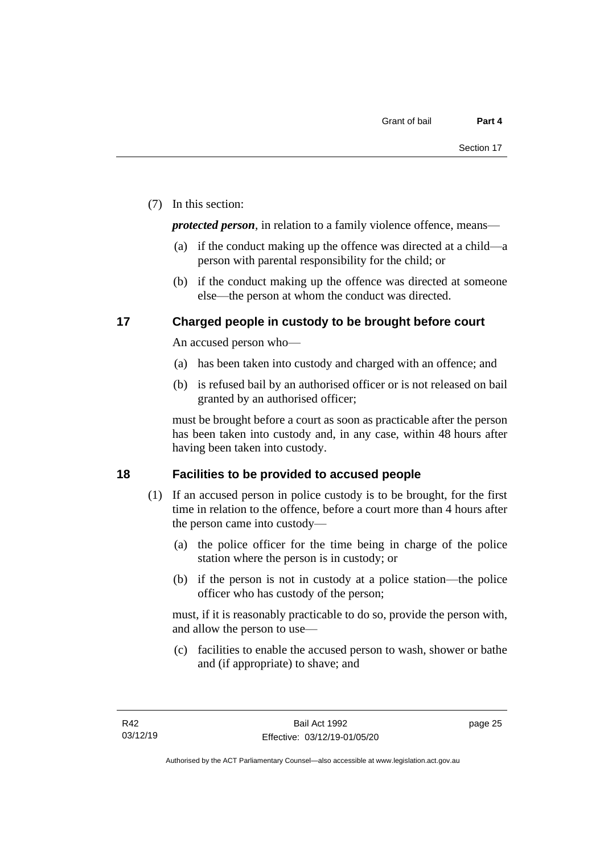(7) In this section:

*protected person*, in relation to a family violence offence, means—

- (a) if the conduct making up the offence was directed at a child—a person with parental responsibility for the child; or
- (b) if the conduct making up the offence was directed at someone else—the person at whom the conduct was directed.

### <span id="page-32-0"></span>**17 Charged people in custody to be brought before court**

An accused person who—

- (a) has been taken into custody and charged with an offence; and
- (b) is refused bail by an authorised officer or is not released on bail granted by an authorised officer;

must be brought before a court as soon as practicable after the person has been taken into custody and, in any case, within 48 hours after having been taken into custody.

## <span id="page-32-1"></span>**18 Facilities to be provided to accused people**

- (1) If an accused person in police custody is to be brought, for the first time in relation to the offence, before a court more than 4 hours after the person came into custody—
	- (a) the police officer for the time being in charge of the police station where the person is in custody; or
	- (b) if the person is not in custody at a police station—the police officer who has custody of the person;

must, if it is reasonably practicable to do so, provide the person with, and allow the person to use—

(c) facilities to enable the accused person to wash, shower or bathe and (if appropriate) to shave; and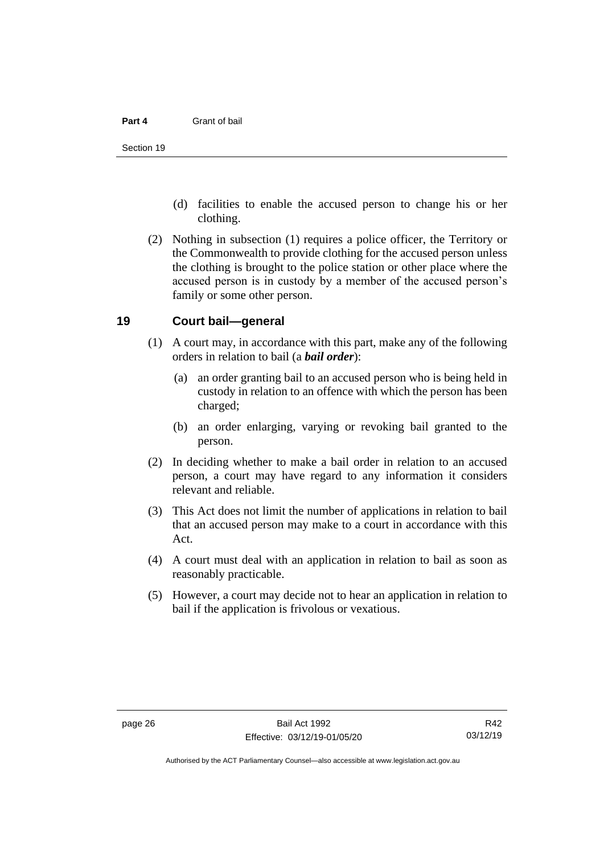#### **Part 4** Grant of bail

- (d) facilities to enable the accused person to change his or her clothing.
- (2) Nothing in subsection (1) requires a police officer, the Territory or the Commonwealth to provide clothing for the accused person unless the clothing is brought to the police station or other place where the accused person is in custody by a member of the accused person's family or some other person.

#### <span id="page-33-0"></span>**19 Court bail—general**

- (1) A court may, in accordance with this part, make any of the following orders in relation to bail (a *bail order*):
	- (a) an order granting bail to an accused person who is being held in custody in relation to an offence with which the person has been charged;
	- (b) an order enlarging, varying or revoking bail granted to the person.
- (2) In deciding whether to make a bail order in relation to an accused person, a court may have regard to any information it considers relevant and reliable.
- (3) This Act does not limit the number of applications in relation to bail that an accused person may make to a court in accordance with this Act.
- (4) A court must deal with an application in relation to bail as soon as reasonably practicable.
- (5) However, a court may decide not to hear an application in relation to bail if the application is frivolous or vexatious.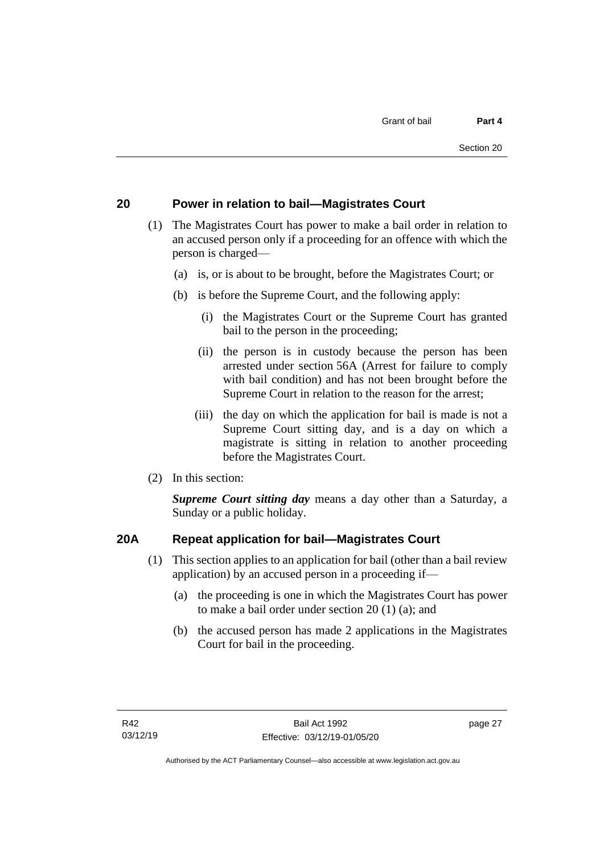### <span id="page-34-0"></span>**20 Power in relation to bail—Magistrates Court**

- (1) The Magistrates Court has power to make a bail order in relation to an accused person only if a proceeding for an offence with which the person is charged—
	- (a) is, or is about to be brought, before the Magistrates Court; or
	- (b) is before the Supreme Court, and the following apply:
		- (i) the Magistrates Court or the Supreme Court has granted bail to the person in the proceeding;
		- (ii) the person is in custody because the person has been arrested under section 56A (Arrest for failure to comply with bail condition) and has not been brought before the Supreme Court in relation to the reason for the arrest;
		- (iii) the day on which the application for bail is made is not a Supreme Court sitting day, and is a day on which a magistrate is sitting in relation to another proceeding before the Magistrates Court.
- (2) In this section:

*Supreme Court sitting day* means a day other than a Saturday, a Sunday or a public holiday.

#### <span id="page-34-1"></span>**20A Repeat application for bail—Magistrates Court**

- (1) This section applies to an application for bail (other than a bail review application) by an accused person in a proceeding if—
	- (a) the proceeding is one in which the Magistrates Court has power to make a bail order under section 20 (1) (a); and
	- (b) the accused person has made 2 applications in the Magistrates Court for bail in the proceeding.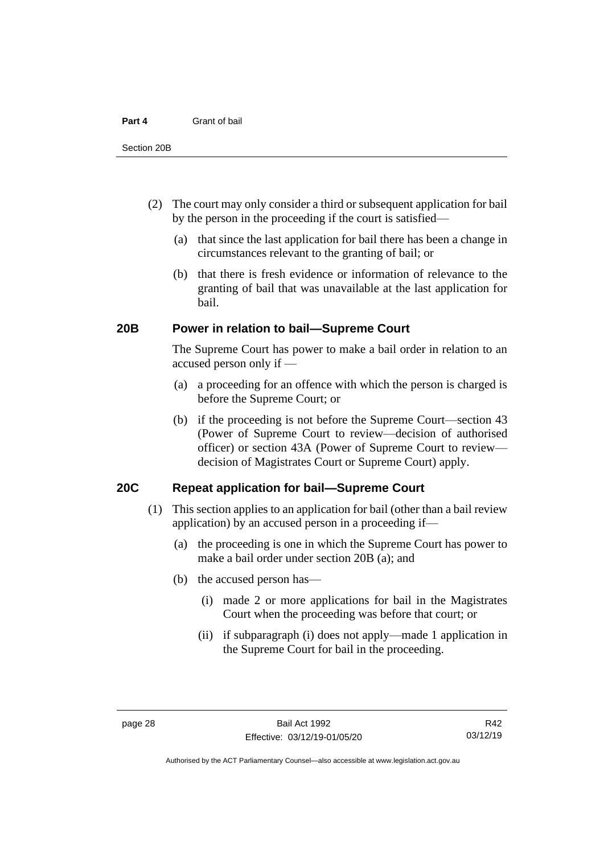#### **Part 4** Grant of bail

- (2) The court may only consider a third or subsequent application for bail by the person in the proceeding if the court is satisfied—
	- (a) that since the last application for bail there has been a change in circumstances relevant to the granting of bail; or
	- (b) that there is fresh evidence or information of relevance to the granting of bail that was unavailable at the last application for bail.

#### <span id="page-35-0"></span>**20B Power in relation to bail—Supreme Court**

The Supreme Court has power to make a bail order in relation to an accused person only if —

- (a) a proceeding for an offence with which the person is charged is before the Supreme Court; or
- (b) if the proceeding is not before the Supreme Court—section 43 (Power of Supreme Court to review—decision of authorised officer) or section 43A (Power of Supreme Court to review decision of Magistrates Court or Supreme Court) apply.

#### <span id="page-35-1"></span>**20C Repeat application for bail—Supreme Court**

- (1) This section applies to an application for bail (other than a bail review application) by an accused person in a proceeding if—
	- (a) the proceeding is one in which the Supreme Court has power to make a bail order under section 20B (a); and
	- (b) the accused person has—
		- (i) made 2 or more applications for bail in the Magistrates Court when the proceeding was before that court; or
		- (ii) if subparagraph (i) does not apply—made 1 application in the Supreme Court for bail in the proceeding.

Authorised by the ACT Parliamentary Counsel—also accessible at www.legislation.act.gov.au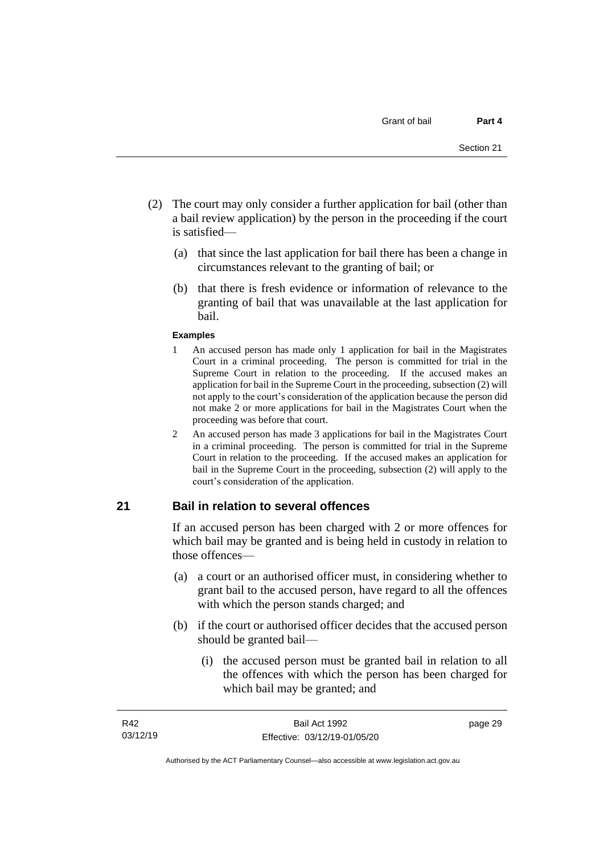- (2) The court may only consider a further application for bail (other than a bail review application) by the person in the proceeding if the court is satisfied—
	- (a) that since the last application for bail there has been a change in circumstances relevant to the granting of bail; or
	- (b) that there is fresh evidence or information of relevance to the granting of bail that was unavailable at the last application for bail.

#### **Examples**

- 1 An accused person has made only 1 application for bail in the Magistrates Court in a criminal proceeding. The person is committed for trial in the Supreme Court in relation to the proceeding. If the accused makes an application for bail in the Supreme Court in the proceeding, subsection (2) will not apply to the court's consideration of the application because the person did not make 2 or more applications for bail in the Magistrates Court when the proceeding was before that court.
- 2 An accused person has made 3 applications for bail in the Magistrates Court in a criminal proceeding. The person is committed for trial in the Supreme Court in relation to the proceeding. If the accused makes an application for bail in the Supreme Court in the proceeding, subsection (2) will apply to the court's consideration of the application.

## **21 Bail in relation to several offences**

If an accused person has been charged with 2 or more offences for which bail may be granted and is being held in custody in relation to those offences—

- (a) a court or an authorised officer must, in considering whether to grant bail to the accused person, have regard to all the offences with which the person stands charged; and
- (b) if the court or authorised officer decides that the accused person should be granted bail—
	- (i) the accused person must be granted bail in relation to all the offences with which the person has been charged for which bail may be granted; and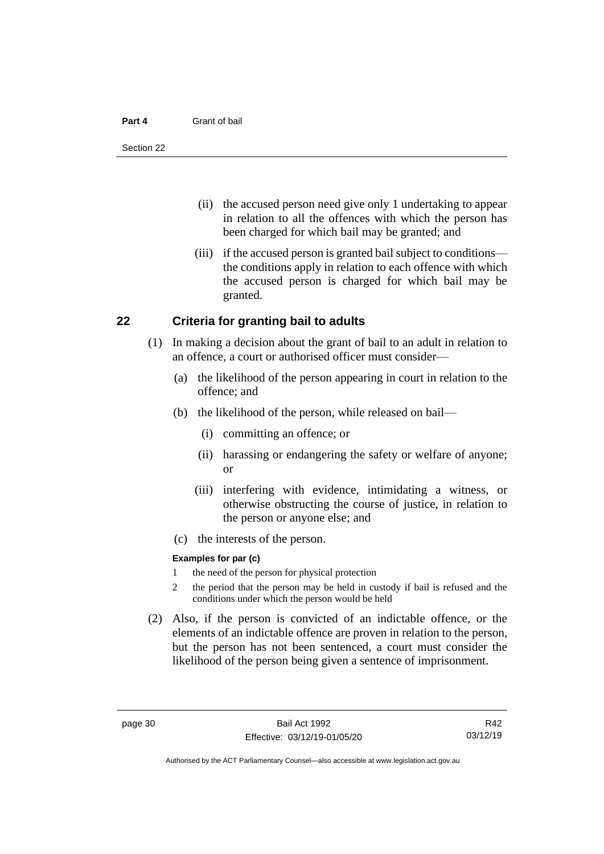#### **Part 4** Grant of bail

- (ii) the accused person need give only 1 undertaking to appear in relation to all the offences with which the person has been charged for which bail may be granted; and
- (iii) if the accused person is granted bail subject to conditions the conditions apply in relation to each offence with which the accused person is charged for which bail may be granted.

## **22 Criteria for granting bail to adults**

- (1) In making a decision about the grant of bail to an adult in relation to an offence, a court or authorised officer must consider—
	- (a) the likelihood of the person appearing in court in relation to the offence; and
	- (b) the likelihood of the person, while released on bail—
		- (i) committing an offence; or
		- (ii) harassing or endangering the safety or welfare of anyone; or
		- (iii) interfering with evidence, intimidating a witness, or otherwise obstructing the course of justice, in relation to the person or anyone else; and
	- (c) the interests of the person.

#### **Examples for par (c)**

- 1 the need of the person for physical protection
- 2 the period that the person may be held in custody if bail is refused and the conditions under which the person would be held
- (2) Also, if the person is convicted of an indictable offence, or the elements of an indictable offence are proven in relation to the person, but the person has not been sentenced, a court must consider the likelihood of the person being given a sentence of imprisonment.

R42 03/12/19

Authorised by the ACT Parliamentary Counsel—also accessible at www.legislation.act.gov.au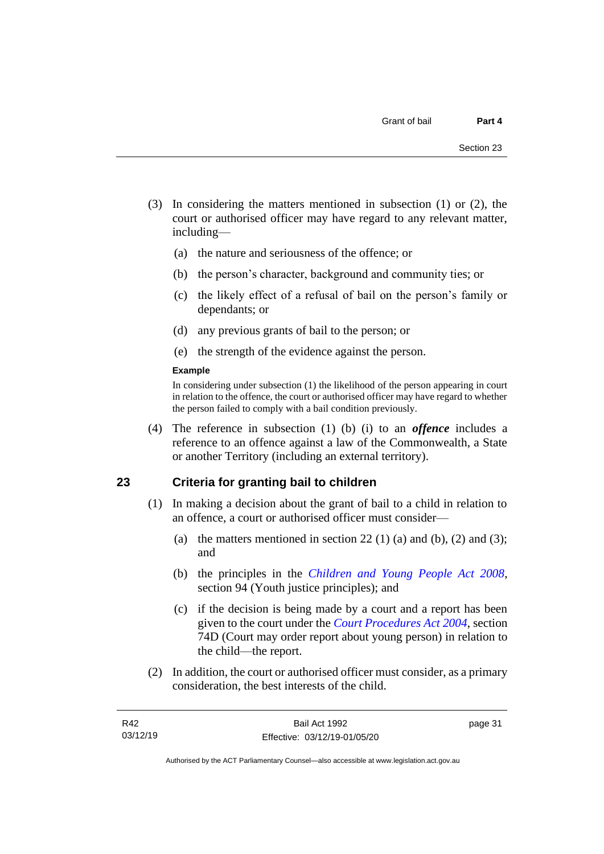- (3) In considering the matters mentioned in subsection (1) or (2), the court or authorised officer may have regard to any relevant matter, including—
	- (a) the nature and seriousness of the offence; or
	- (b) the person's character, background and community ties; or
	- (c) the likely effect of a refusal of bail on the person's family or dependants; or
	- (d) any previous grants of bail to the person; or
	- (e) the strength of the evidence against the person.

#### **Example**

In considering under subsection (1) the likelihood of the person appearing in court in relation to the offence, the court or authorised officer may have regard to whether the person failed to comply with a bail condition previously.

(4) The reference in subsection (1) (b) (i) to an *offence* includes a reference to an offence against a law of the Commonwealth, a State or another Territory (including an external territory).

## **23 Criteria for granting bail to children**

- (1) In making a decision about the grant of bail to a child in relation to an offence, a court or authorised officer must consider—
	- (a) the matters mentioned in section 22 (1) (a) and (b), (2) and (3); and
	- (b) the principles in the *[Children and Young People Act 2008](http://www.legislation.act.gov.au/a/2008-19)*, section 94 (Youth justice principles); and
	- (c) if the decision is being made by a court and a report has been given to the court under the *[Court Procedures Act 2004](http://www.legislation.act.gov.au/a/2004-59)*, section 74D (Court may order report about young person) in relation to the child—the report.
- (2) In addition, the court or authorised officer must consider, as a primary consideration, the best interests of the child.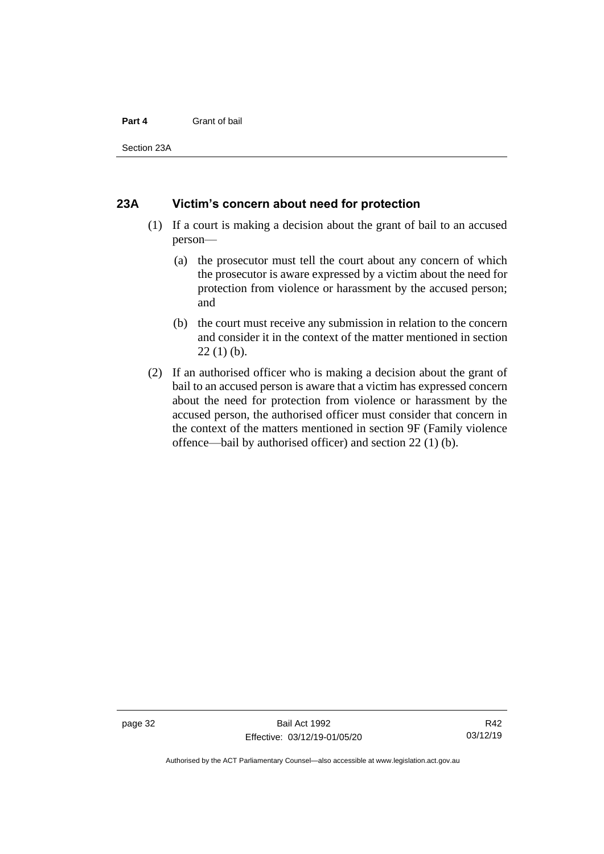#### **Part 4** Grant of bail

Section 23A

#### **23A Victim's concern about need for protection**

- (1) If a court is making a decision about the grant of bail to an accused person—
	- (a) the prosecutor must tell the court about any concern of which the prosecutor is aware expressed by a victim about the need for protection from violence or harassment by the accused person; and
	- (b) the court must receive any submission in relation to the concern and consider it in the context of the matter mentioned in section  $22(1)$  (b).
- (2) If an authorised officer who is making a decision about the grant of bail to an accused person is aware that a victim has expressed concern about the need for protection from violence or harassment by the accused person, the authorised officer must consider that concern in the context of the matters mentioned in section 9F (Family violence offence—bail by authorised officer) and section 22 (1) (b).

Authorised by the ACT Parliamentary Counsel—also accessible at www.legislation.act.gov.au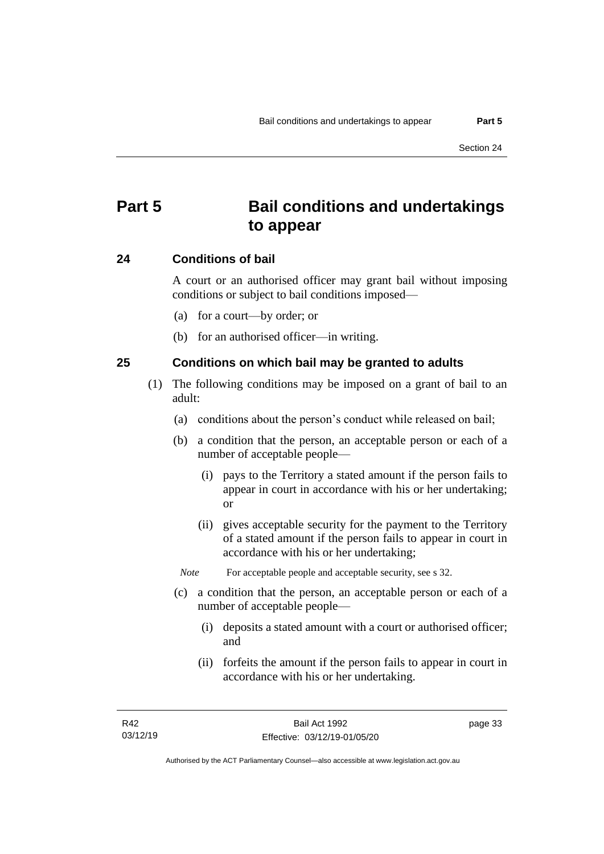# **Part 5 Bail conditions and undertakings to appear**

## **24 Conditions of bail**

A court or an authorised officer may grant bail without imposing conditions or subject to bail conditions imposed—

- (a) for a court—by order; or
- (b) for an authorised officer—in writing.

## **25 Conditions on which bail may be granted to adults**

- (1) The following conditions may be imposed on a grant of bail to an adult:
	- (a) conditions about the person's conduct while released on bail;
	- (b) a condition that the person, an acceptable person or each of a number of acceptable people—
		- (i) pays to the Territory a stated amount if the person fails to appear in court in accordance with his or her undertaking; or
		- (ii) gives acceptable security for the payment to the Territory of a stated amount if the person fails to appear in court in accordance with his or her undertaking;

*Note* For acceptable people and acceptable security, see s 32.

- (c) a condition that the person, an acceptable person or each of a number of acceptable people—
	- (i) deposits a stated amount with a court or authorised officer; and
	- (ii) forfeits the amount if the person fails to appear in court in accordance with his or her undertaking.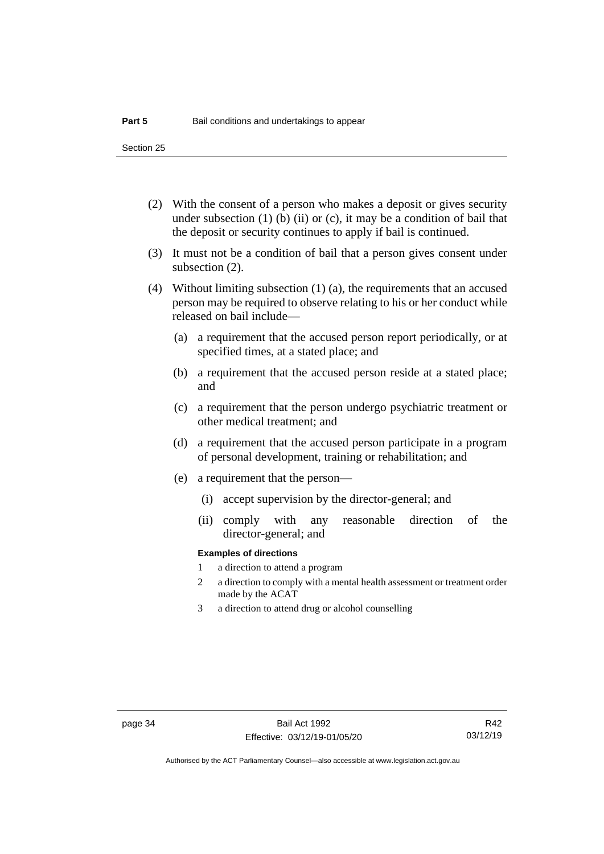Section 25

- (2) With the consent of a person who makes a deposit or gives security under subsection  $(1)$  (b)  $(ii)$  or  $(c)$ , it may be a condition of bail that the deposit or security continues to apply if bail is continued.
- (3) It must not be a condition of bail that a person gives consent under subsection (2).
- (4) Without limiting subsection (1) (a), the requirements that an accused person may be required to observe relating to his or her conduct while released on bail include—
	- (a) a requirement that the accused person report periodically, or at specified times, at a stated place; and
	- (b) a requirement that the accused person reside at a stated place; and
	- (c) a requirement that the person undergo psychiatric treatment or other medical treatment; and
	- (d) a requirement that the accused person participate in a program of personal development, training or rehabilitation; and
	- (e) a requirement that the person—
		- (i) accept supervision by the director-general; and
		- (ii) comply with any reasonable direction of the director-general; and

#### **Examples of directions**

- 1 a direction to attend a program
- 2 a direction to comply with a mental health assessment or treatment order made by the ACAT
- 3 a direction to attend drug or alcohol counselling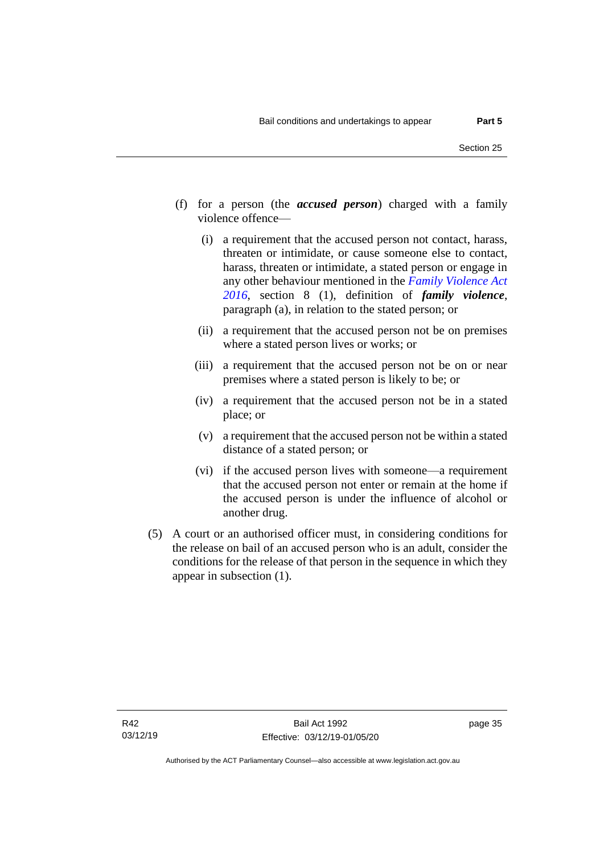- (f) for a person (the *accused person*) charged with a family violence offence—
	- (i) a requirement that the accused person not contact, harass, threaten or intimidate, or cause someone else to contact, harass, threaten or intimidate, a stated person or engage in any other behaviour mentioned in the *[Family Violence Act](http://www.legislation.act.gov.au/a/2016-42)  [2016](http://www.legislation.act.gov.au/a/2016-42)*, section 8 (1), definition of *family violence*, paragraph (a), in relation to the stated person; or
	- (ii) a requirement that the accused person not be on premises where a stated person lives or works; or
	- (iii) a requirement that the accused person not be on or near premises where a stated person is likely to be; or
	- (iv) a requirement that the accused person not be in a stated place; or
	- (v) a requirement that the accused person not be within a stated distance of a stated person; or
	- (vi) if the accused person lives with someone—a requirement that the accused person not enter or remain at the home if the accused person is under the influence of alcohol or another drug.
- (5) A court or an authorised officer must, in considering conditions for the release on bail of an accused person who is an adult, consider the conditions for the release of that person in the sequence in which they appear in subsection (1).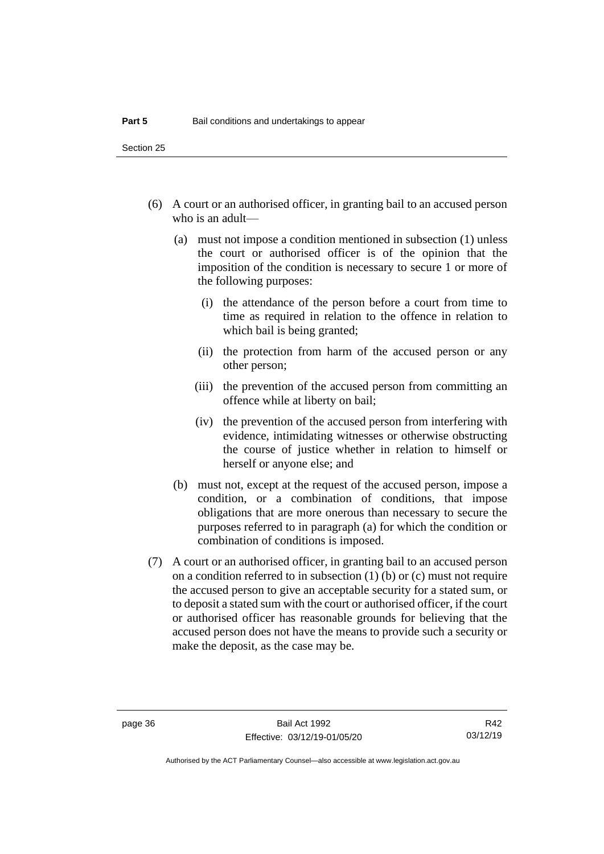Section 25

- (6) A court or an authorised officer, in granting bail to an accused person who is an adult—
	- (a) must not impose a condition mentioned in subsection (1) unless the court or authorised officer is of the opinion that the imposition of the condition is necessary to secure 1 or more of the following purposes:
		- (i) the attendance of the person before a court from time to time as required in relation to the offence in relation to which bail is being granted;
		- (ii) the protection from harm of the accused person or any other person;
		- (iii) the prevention of the accused person from committing an offence while at liberty on bail;
		- (iv) the prevention of the accused person from interfering with evidence, intimidating witnesses or otherwise obstructing the course of justice whether in relation to himself or herself or anyone else; and
	- (b) must not, except at the request of the accused person, impose a condition, or a combination of conditions, that impose obligations that are more onerous than necessary to secure the purposes referred to in paragraph (a) for which the condition or combination of conditions is imposed.
- (7) A court or an authorised officer, in granting bail to an accused person on a condition referred to in subsection (1) (b) or (c) must not require the accused person to give an acceptable security for a stated sum, or to deposit a stated sum with the court or authorised officer, if the court or authorised officer has reasonable grounds for believing that the accused person does not have the means to provide such a security or make the deposit, as the case may be.

R42 03/12/19

Authorised by the ACT Parliamentary Counsel—also accessible at www.legislation.act.gov.au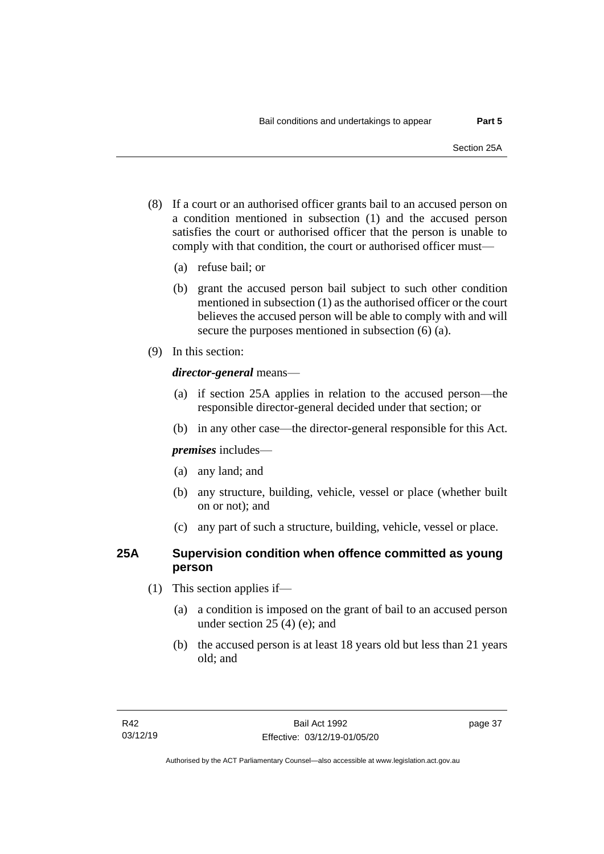- (8) If a court or an authorised officer grants bail to an accused person on a condition mentioned in subsection (1) and the accused person satisfies the court or authorised officer that the person is unable to comply with that condition, the court or authorised officer must—
	- (a) refuse bail; or
	- (b) grant the accused person bail subject to such other condition mentioned in subsection (1) as the authorised officer or the court believes the accused person will be able to comply with and will secure the purposes mentioned in subsection (6) (a).
- (9) In this section:

## *director-general* means—

- (a) if section 25A applies in relation to the accused person—the responsible director-general decided under that section; or
- (b) in any other case—the director-general responsible for this Act.

*premises* includes—

- (a) any land; and
- (b) any structure, building, vehicle, vessel or place (whether built on or not); and
- (c) any part of such a structure, building, vehicle, vessel or place.

## **25A Supervision condition when offence committed as young person**

- (1) This section applies if—
	- (a) a condition is imposed on the grant of bail to an accused person under section 25 (4) (e); and
	- (b) the accused person is at least 18 years old but less than 21 years old; and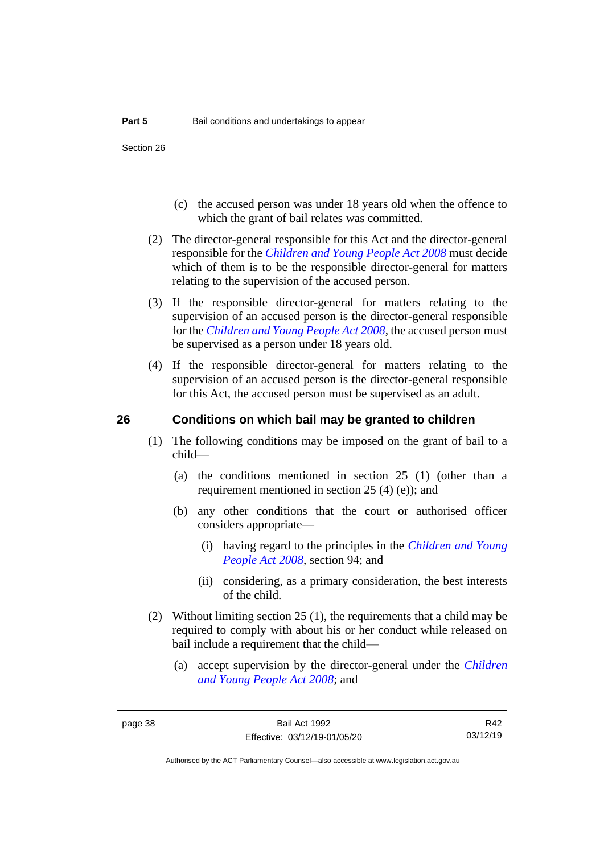- (c) the accused person was under 18 years old when the offence to which the grant of bail relates was committed.
- (2) The director-general responsible for this Act and the director-general responsible for the *[Children and Young People Act 2008](http://www.legislation.act.gov.au/a/2008-19)* must decide which of them is to be the responsible director-general for matters relating to the supervision of the accused person.
- (3) If the responsible director-general for matters relating to the supervision of an accused person is the director-general responsible for the *[Children and Young People Act 2008](http://www.legislation.act.gov.au/a/2008-19)*, the accused person must be supervised as a person under 18 years old.
- (4) If the responsible director-general for matters relating to the supervision of an accused person is the director-general responsible for this Act, the accused person must be supervised as an adult.

## **26 Conditions on which bail may be granted to children**

- (1) The following conditions may be imposed on the grant of bail to a child—
	- (a) the conditions mentioned in section 25 (1) (other than a requirement mentioned in section 25 (4) (e)); and
	- (b) any other conditions that the court or authorised officer considers appropriate—
		- (i) having regard to the principles in the *[Children and Young](http://www.legislation.act.gov.au/a/2008-19)  [People Act 2008](http://www.legislation.act.gov.au/a/2008-19)*, section 94; and
		- (ii) considering, as a primary consideration, the best interests of the child.
- (2) Without limiting section 25 (1), the requirements that a child may be required to comply with about his or her conduct while released on bail include a requirement that the child—
	- (a) accept supervision by the director-general under the *[Children](http://www.legislation.act.gov.au/a/2008-19)  [and Young People Act 2008](http://www.legislation.act.gov.au/a/2008-19)*; and

R42 03/12/19

Authorised by the ACT Parliamentary Counsel—also accessible at www.legislation.act.gov.au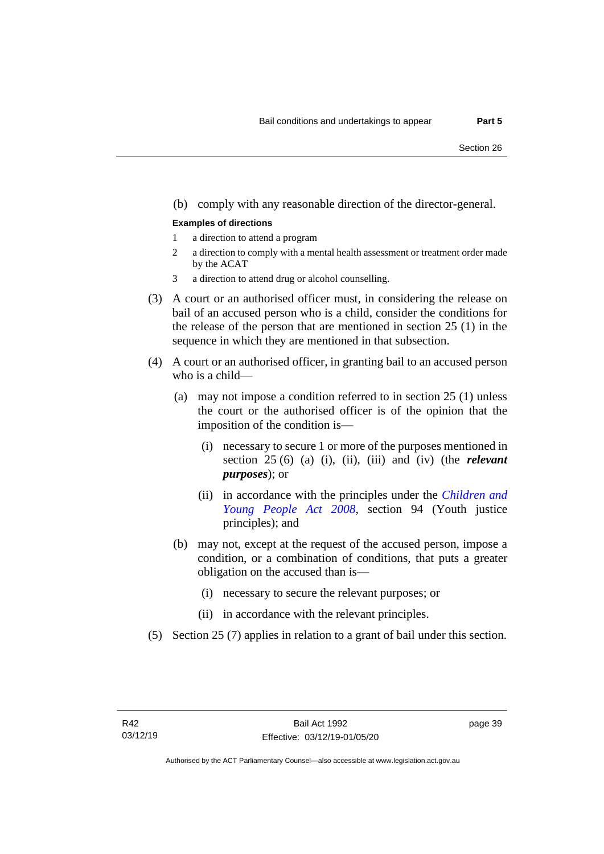#### (b) comply with any reasonable direction of the director-general.

#### **Examples of directions**

- 1 a direction to attend a program
- 2 a direction to comply with a mental health assessment or treatment order made by the ACAT
- 3 a direction to attend drug or alcohol counselling.
- (3) A court or an authorised officer must, in considering the release on bail of an accused person who is a child, consider the conditions for the release of the person that are mentioned in section 25 (1) in the sequence in which they are mentioned in that subsection.
- (4) A court or an authorised officer, in granting bail to an accused person who is a child—
	- (a) may not impose a condition referred to in section 25 (1) unless the court or the authorised officer is of the opinion that the imposition of the condition is—
		- (i) necessary to secure 1 or more of the purposes mentioned in section 25 (6) (a) (i), (ii), (iii) and (iv) (the *relevant purposes*); or
		- (ii) in accordance with the principles under the *[Children and](http://www.legislation.act.gov.au/a/2008-19)  [Young People Act 2008](http://www.legislation.act.gov.au/a/2008-19)*, section 94 (Youth justice principles); and
	- (b) may not, except at the request of the accused person, impose a condition, or a combination of conditions, that puts a greater obligation on the accused than is—
		- (i) necessary to secure the relevant purposes; or
		- (ii) in accordance with the relevant principles.
- (5) Section 25 (7) applies in relation to a grant of bail under this section.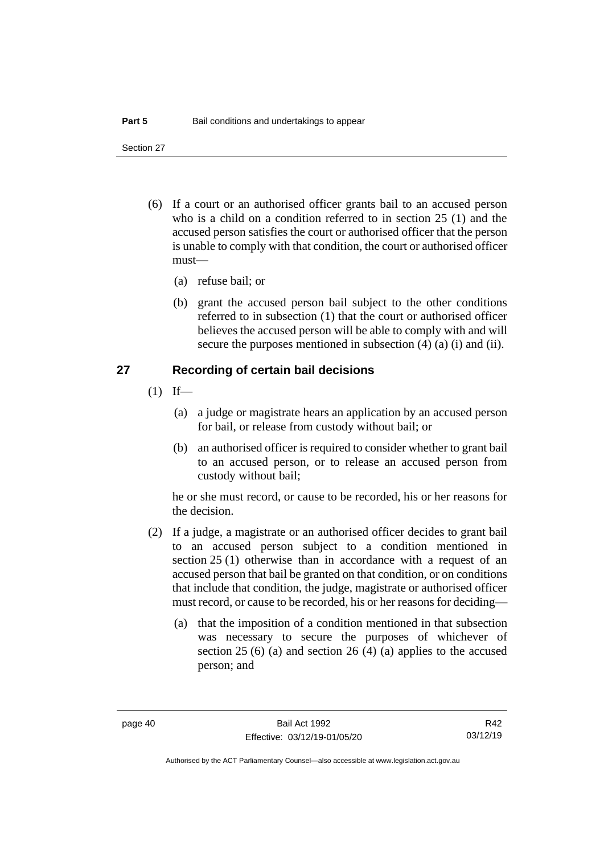Section 27

- (6) If a court or an authorised officer grants bail to an accused person who is a child on a condition referred to in section 25 (1) and the accused person satisfies the court or authorised officer that the person is unable to comply with that condition, the court or authorised officer must—
	- (a) refuse bail; or
	- (b) grant the accused person bail subject to the other conditions referred to in subsection (1) that the court or authorised officer believes the accused person will be able to comply with and will secure the purposes mentioned in subsection (4) (a) (i) and (ii).

## **27 Recording of certain bail decisions**

- $(1)$  If—
	- (a) a judge or magistrate hears an application by an accused person for bail, or release from custody without bail; or
	- (b) an authorised officer is required to consider whether to grant bail to an accused person, or to release an accused person from custody without bail;

he or she must record, or cause to be recorded, his or her reasons for the decision.

- (2) If a judge, a magistrate or an authorised officer decides to grant bail to an accused person subject to a condition mentioned in section 25 (1) otherwise than in accordance with a request of an accused person that bail be granted on that condition, or on conditions that include that condition, the judge, magistrate or authorised officer must record, or cause to be recorded, his or her reasons for deciding—
	- (a) that the imposition of a condition mentioned in that subsection was necessary to secure the purposes of whichever of section 25 (6) (a) and section 26 (4) (a) applies to the accused person; and

R42 03/12/19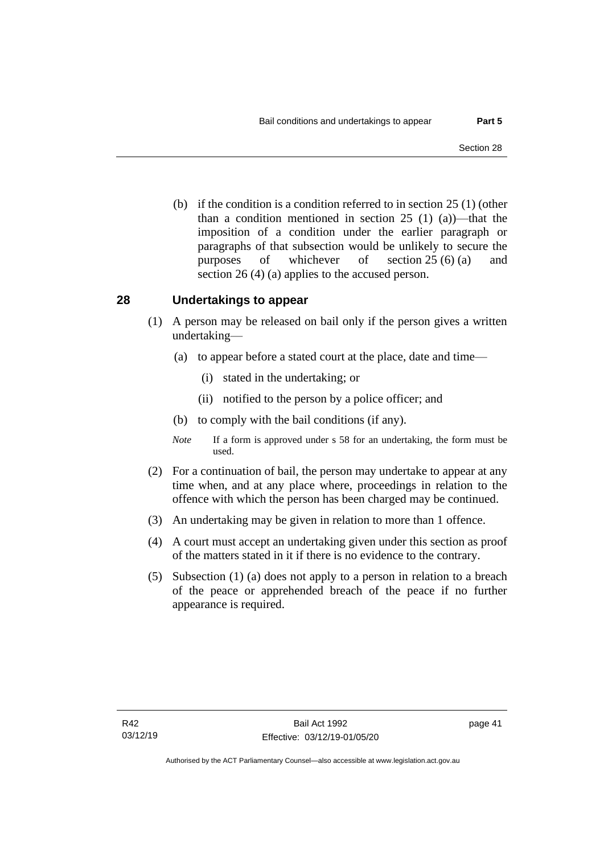(b) if the condition is a condition referred to in section 25 (1) (other than a condition mentioned in section 25 (1) (a))—that the imposition of a condition under the earlier paragraph or paragraphs of that subsection would be unlikely to secure the purposes of whichever of section 25 (6) (a) and section 26 (4) (a) applies to the accused person.

## **28 Undertakings to appear**

- (1) A person may be released on bail only if the person gives a written undertaking—
	- (a) to appear before a stated court at the place, date and time—
		- (i) stated in the undertaking; or
		- (ii) notified to the person by a police officer; and
	- (b) to comply with the bail conditions (if any).
	- *Note* If a form is approved under s 58 for an undertaking, the form must be used.
- (2) For a continuation of bail, the person may undertake to appear at any time when, and at any place where, proceedings in relation to the offence with which the person has been charged may be continued.
- (3) An undertaking may be given in relation to more than 1 offence.
- (4) A court must accept an undertaking given under this section as proof of the matters stated in it if there is no evidence to the contrary.
- (5) Subsection (1) (a) does not apply to a person in relation to a breach of the peace or apprehended breach of the peace if no further appearance is required.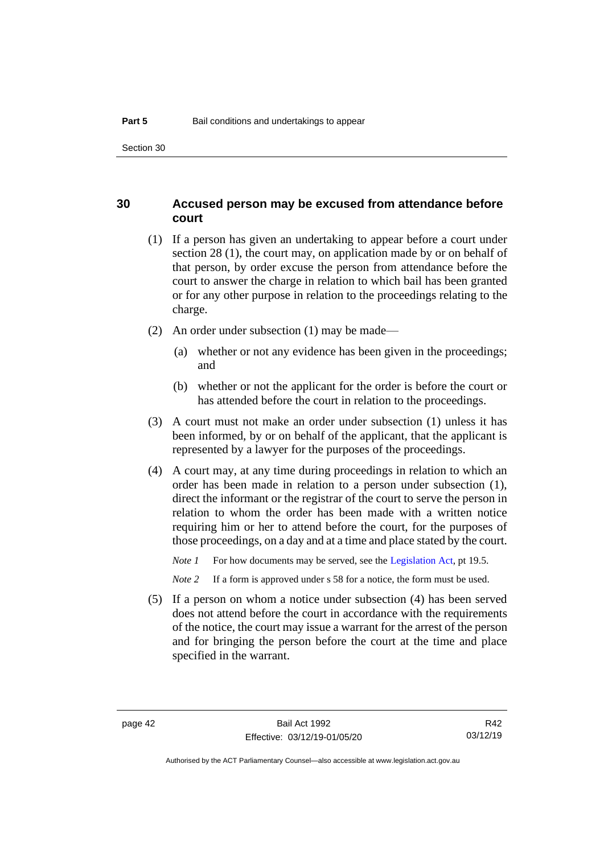## **30 Accused person may be excused from attendance before court**

- (1) If a person has given an undertaking to appear before a court under section 28 (1), the court may, on application made by or on behalf of that person, by order excuse the person from attendance before the court to answer the charge in relation to which bail has been granted or for any other purpose in relation to the proceedings relating to the charge.
- (2) An order under subsection (1) may be made—
	- (a) whether or not any evidence has been given in the proceedings; and
	- (b) whether or not the applicant for the order is before the court or has attended before the court in relation to the proceedings.
- (3) A court must not make an order under subsection (1) unless it has been informed, by or on behalf of the applicant, that the applicant is represented by a lawyer for the purposes of the proceedings.
- (4) A court may, at any time during proceedings in relation to which an order has been made in relation to a person under subsection (1), direct the informant or the registrar of the court to serve the person in relation to whom the order has been made with a written notice requiring him or her to attend before the court, for the purposes of those proceedings, on a day and at a time and place stated by the court.

*Note 1* For how documents may be served, see th[e Legislation Act,](http://www.legislation.act.gov.au/a/2001-14) pt 19.5.

*Note 2* If a form is approved under s 58 for a notice, the form must be used.

(5) If a person on whom a notice under subsection (4) has been served does not attend before the court in accordance with the requirements of the notice, the court may issue a warrant for the arrest of the person and for bringing the person before the court at the time and place specified in the warrant.

Authorised by the ACT Parliamentary Counsel—also accessible at www.legislation.act.gov.au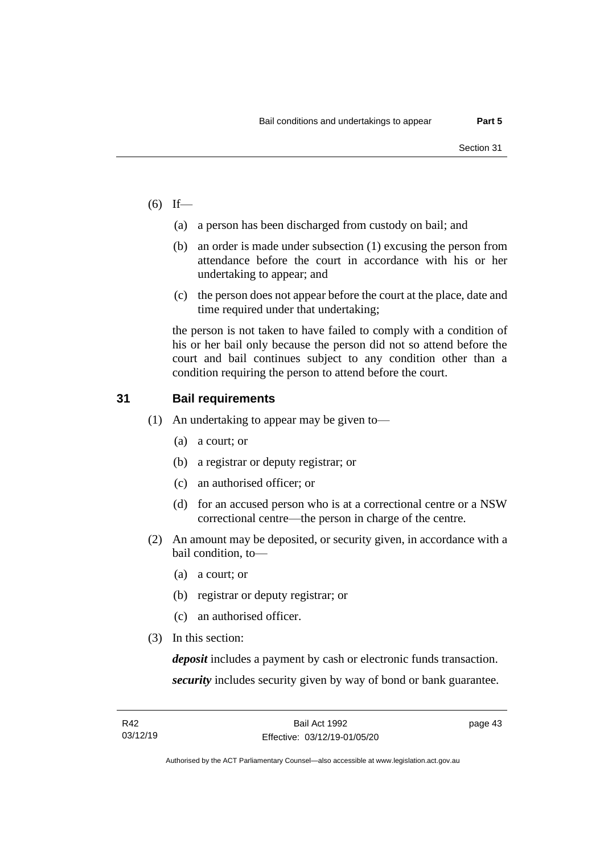- $(6)$  If—
	- (a) a person has been discharged from custody on bail; and
	- (b) an order is made under subsection (1) excusing the person from attendance before the court in accordance with his or her undertaking to appear; and
	- (c) the person does not appear before the court at the place, date and time required under that undertaking;

the person is not taken to have failed to comply with a condition of his or her bail only because the person did not so attend before the court and bail continues subject to any condition other than a condition requiring the person to attend before the court.

## **31 Bail requirements**

- (1) An undertaking to appear may be given to—
	- (a) a court; or
	- (b) a registrar or deputy registrar; or
	- (c) an authorised officer; or
	- (d) for an accused person who is at a correctional centre or a NSW correctional centre—the person in charge of the centre.
- (2) An amount may be deposited, or security given, in accordance with a bail condition, to—
	- (a) a court; or
	- (b) registrar or deputy registrar; or
	- (c) an authorised officer.
- (3) In this section:

*deposit* includes a payment by cash or electronic funds transaction. *security* includes security given by way of bond or bank guarantee.

Authorised by the ACT Parliamentary Counsel—also accessible at www.legislation.act.gov.au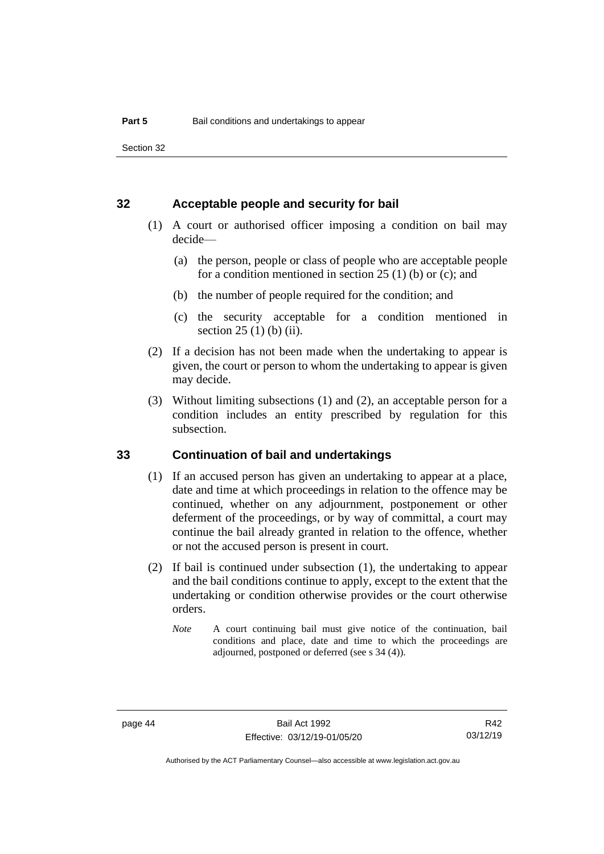Section 32

## **32 Acceptable people and security for bail**

- (1) A court or authorised officer imposing a condition on bail may decide—
	- (a) the person, people or class of people who are acceptable people for a condition mentioned in section 25 (1) (b) or (c); and
	- (b) the number of people required for the condition; and
	- (c) the security acceptable for a condition mentioned in section 25 (1) (b) (ii).
- (2) If a decision has not been made when the undertaking to appear is given, the court or person to whom the undertaking to appear is given may decide.
- (3) Without limiting subsections (1) and (2), an acceptable person for a condition includes an entity prescribed by regulation for this subsection.

## **33 Continuation of bail and undertakings**

- (1) If an accused person has given an undertaking to appear at a place, date and time at which proceedings in relation to the offence may be continued, whether on any adjournment, postponement or other deferment of the proceedings, or by way of committal, a court may continue the bail already granted in relation to the offence, whether or not the accused person is present in court.
- (2) If bail is continued under subsection (1), the undertaking to appear and the bail conditions continue to apply, except to the extent that the undertaking or condition otherwise provides or the court otherwise orders.
	- *Note* A court continuing bail must give notice of the continuation, bail conditions and place, date and time to which the proceedings are adjourned, postponed or deferred (see s 34 (4)).

R42 03/12/19

Authorised by the ACT Parliamentary Counsel—also accessible at www.legislation.act.gov.au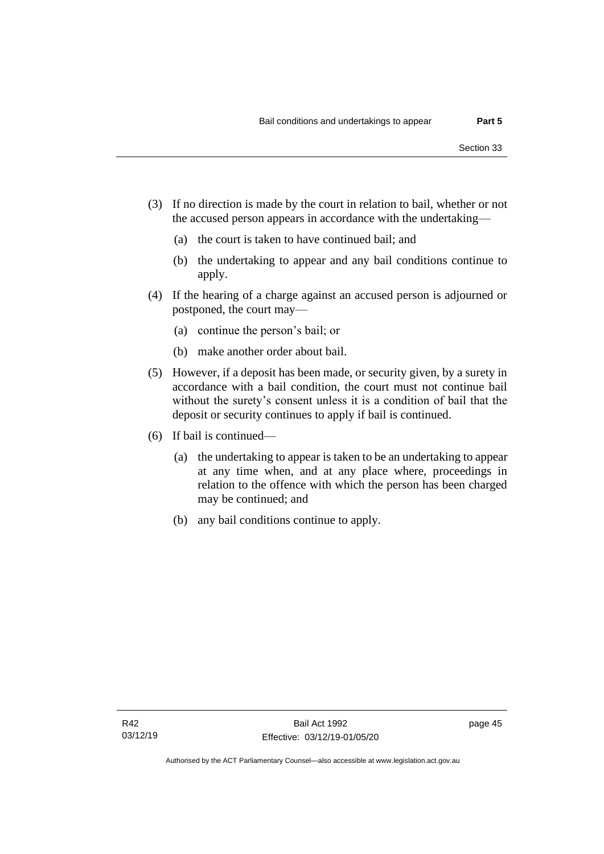- (3) If no direction is made by the court in relation to bail, whether or not the accused person appears in accordance with the undertaking—
	- (a) the court is taken to have continued bail; and
	- (b) the undertaking to appear and any bail conditions continue to apply.
- (4) If the hearing of a charge against an accused person is adjourned or postponed, the court may—
	- (a) continue the person's bail; or
	- (b) make another order about bail.
- (5) However, if a deposit has been made, or security given, by a surety in accordance with a bail condition, the court must not continue bail without the surety's consent unless it is a condition of bail that the deposit or security continues to apply if bail is continued.
- (6) If bail is continued—
	- (a) the undertaking to appear is taken to be an undertaking to appear at any time when, and at any place where, proceedings in relation to the offence with which the person has been charged may be continued; and
	- (b) any bail conditions continue to apply.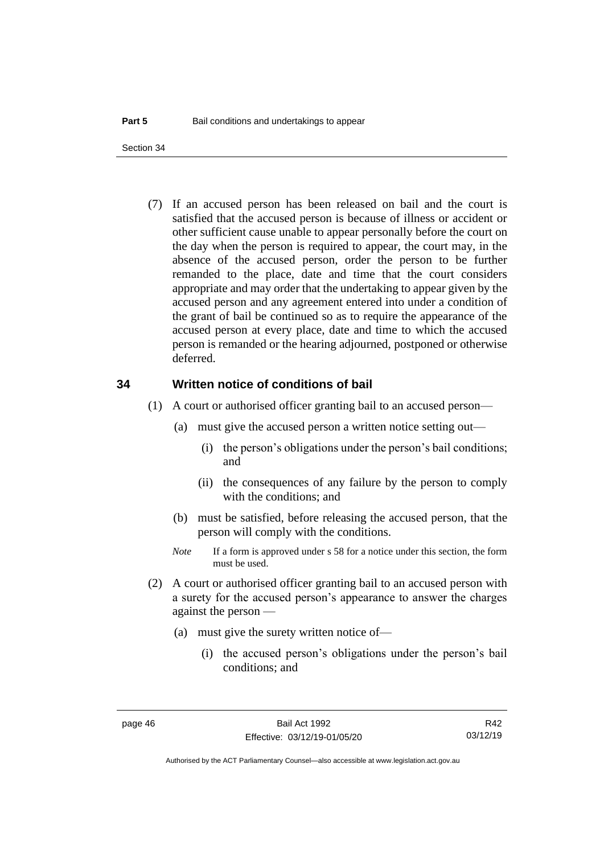(7) If an accused person has been released on bail and the court is satisfied that the accused person is because of illness or accident or other sufficient cause unable to appear personally before the court on the day when the person is required to appear, the court may, in the absence of the accused person, order the person to be further remanded to the place, date and time that the court considers appropriate and may order that the undertaking to appear given by the accused person and any agreement entered into under a condition of the grant of bail be continued so as to require the appearance of the accused person at every place, date and time to which the accused person is remanded or the hearing adjourned, postponed or otherwise deferred.

#### **34 Written notice of conditions of bail**

- (1) A court or authorised officer granting bail to an accused person—
	- (a) must give the accused person a written notice setting out—
		- (i) the person's obligations under the person's bail conditions; and
		- (ii) the consequences of any failure by the person to comply with the conditions; and
	- (b) must be satisfied, before releasing the accused person, that the person will comply with the conditions.
	- *Note* If a form is approved under s 58 for a notice under this section, the form must be used.
- (2) A court or authorised officer granting bail to an accused person with a surety for the accused person's appearance to answer the charges against the person —
	- (a) must give the surety written notice of—
		- (i) the accused person's obligations under the person's bail conditions; and

R42 03/12/19

Authorised by the ACT Parliamentary Counsel—also accessible at www.legislation.act.gov.au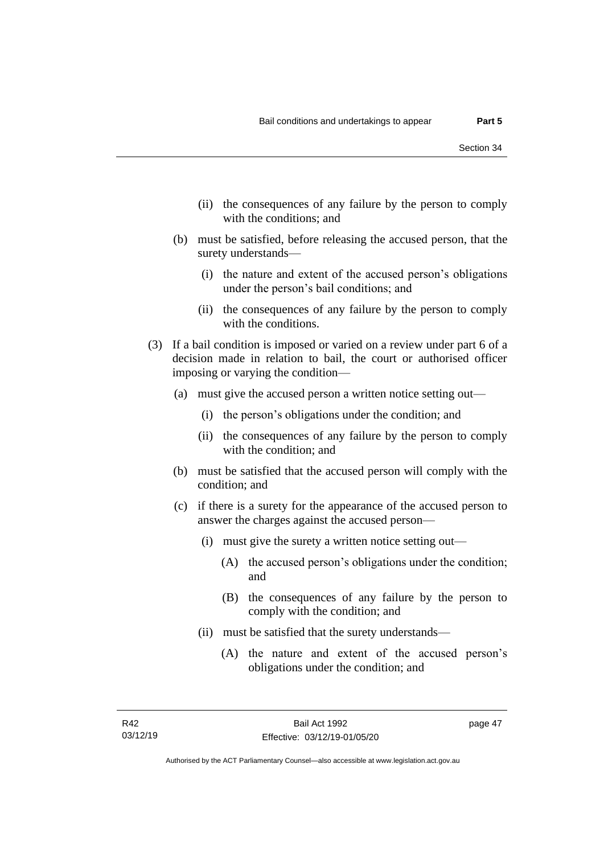- (ii) the consequences of any failure by the person to comply with the conditions; and
- (b) must be satisfied, before releasing the accused person, that the surety understands—
	- (i) the nature and extent of the accused person's obligations under the person's bail conditions; and
	- (ii) the consequences of any failure by the person to comply with the conditions.
- (3) If a bail condition is imposed or varied on a review under part 6 of a decision made in relation to bail, the court or authorised officer imposing or varying the condition—
	- (a) must give the accused person a written notice setting out—
		- (i) the person's obligations under the condition; and
		- (ii) the consequences of any failure by the person to comply with the condition; and
	- (b) must be satisfied that the accused person will comply with the condition; and
	- (c) if there is a surety for the appearance of the accused person to answer the charges against the accused person—
		- (i) must give the surety a written notice setting out—
			- (A) the accused person's obligations under the condition; and
			- (B) the consequences of any failure by the person to comply with the condition; and
		- (ii) must be satisfied that the surety understands—
			- (A) the nature and extent of the accused person's obligations under the condition; and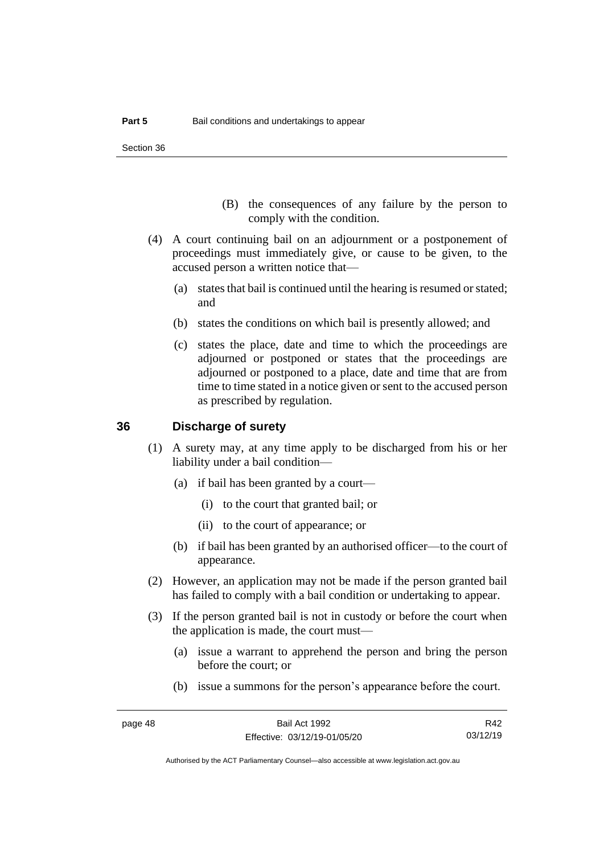Section 36

- (B) the consequences of any failure by the person to comply with the condition.
- (4) A court continuing bail on an adjournment or a postponement of proceedings must immediately give, or cause to be given, to the accused person a written notice that—
	- (a) states that bail is continued until the hearing is resumed or stated; and
	- (b) states the conditions on which bail is presently allowed; and
	- (c) states the place, date and time to which the proceedings are adjourned or postponed or states that the proceedings are adjourned or postponed to a place, date and time that are from time to time stated in a notice given or sent to the accused person as prescribed by regulation.

## **36 Discharge of surety**

- (1) A surety may, at any time apply to be discharged from his or her liability under a bail condition—
	- (a) if bail has been granted by a court—
		- (i) to the court that granted bail; or
		- (ii) to the court of appearance; or
	- (b) if bail has been granted by an authorised officer—to the court of appearance.
- (2) However, an application may not be made if the person granted bail has failed to comply with a bail condition or undertaking to appear.
- (3) If the person granted bail is not in custody or before the court when the application is made, the court must—
	- (a) issue a warrant to apprehend the person and bring the person before the court; or
	- (b) issue a summons for the person's appearance before the court.

R42 03/12/19

Authorised by the ACT Parliamentary Counsel—also accessible at www.legislation.act.gov.au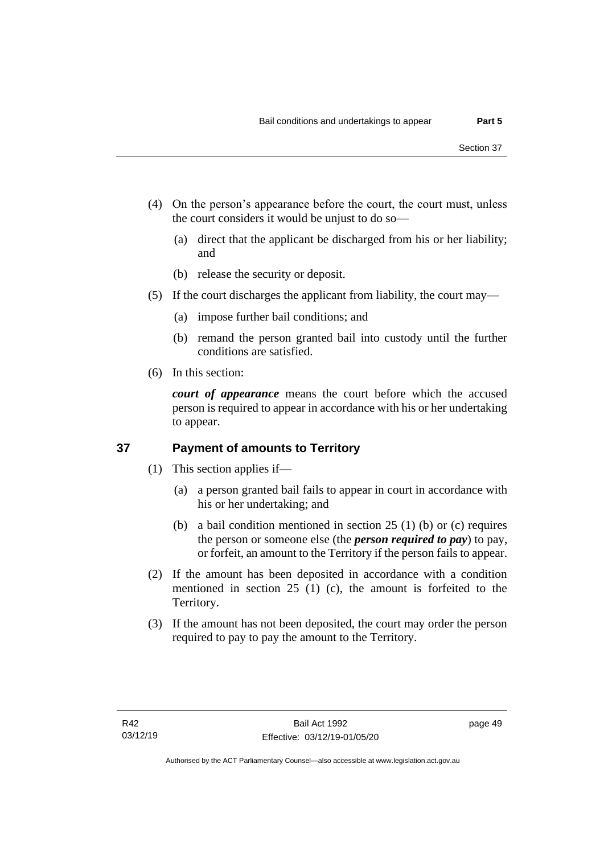- (4) On the person's appearance before the court, the court must, unless the court considers it would be unjust to do so—
	- (a) direct that the applicant be discharged from his or her liability; and
	- (b) release the security or deposit.
- (5) If the court discharges the applicant from liability, the court may—
	- (a) impose further bail conditions; and
	- (b) remand the person granted bail into custody until the further conditions are satisfied.
- (6) In this section:

*court of appearance* means the court before which the accused person is required to appear in accordance with his or her undertaking to appear.

## **37 Payment of amounts to Territory**

- (1) This section applies if—
	- (a) a person granted bail fails to appear in court in accordance with his or her undertaking; and
	- (b) a bail condition mentioned in section 25 (1) (b) or (c) requires the person or someone else (the *person required to pay*) to pay, or forfeit, an amount to the Territory if the person fails to appear.
- (2) If the amount has been deposited in accordance with a condition mentioned in section 25 (1) (c), the amount is forfeited to the Territory.
- (3) If the amount has not been deposited, the court may order the person required to pay to pay the amount to the Territory.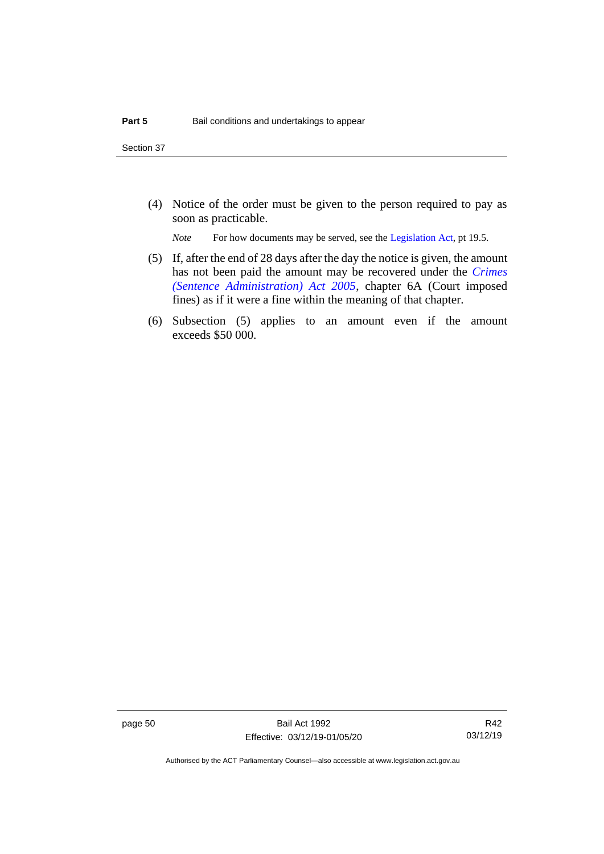Section 37

(4) Notice of the order must be given to the person required to pay as soon as practicable.

*Note* For how documents may be served, see th[e Legislation Act,](http://www.legislation.act.gov.au/a/2001-14) pt 19.5.

- (5) If, after the end of 28 days after the day the notice is given, the amount has not been paid the amount may be recovered under the *[Crimes](http://www.legislation.act.gov.au/a/2005-59)  [\(Sentence Administration\) Act 2005](http://www.legislation.act.gov.au/a/2005-59)*, chapter 6A (Court imposed fines) as if it were a fine within the meaning of that chapter.
- (6) Subsection (5) applies to an amount even if the amount exceeds \$50 000.

page 50 Bail Act 1992 Effective: 03/12/19-01/05/20

R42 03/12/19

Authorised by the ACT Parliamentary Counsel—also accessible at www.legislation.act.gov.au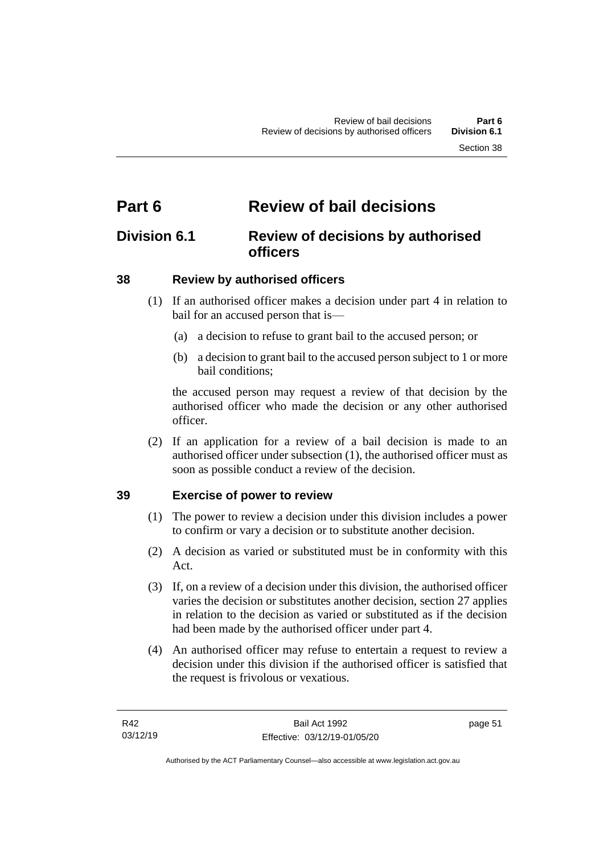# **Part 6 Review of bail decisions**

# **Division 6.1 Review of decisions by authorised officers**

# **38 Review by authorised officers**

- (1) If an authorised officer makes a decision under part 4 in relation to bail for an accused person that is—
	- (a) a decision to refuse to grant bail to the accused person; or
	- (b) a decision to grant bail to the accused person subject to 1 or more bail conditions;

the accused person may request a review of that decision by the authorised officer who made the decision or any other authorised officer.

(2) If an application for a review of a bail decision is made to an authorised officer under subsection (1), the authorised officer must as soon as possible conduct a review of the decision.

# **39 Exercise of power to review**

- (1) The power to review a decision under this division includes a power to confirm or vary a decision or to substitute another decision.
- (2) A decision as varied or substituted must be in conformity with this Act.
- (3) If, on a review of a decision under this division, the authorised officer varies the decision or substitutes another decision, section 27 applies in relation to the decision as varied or substituted as if the decision had been made by the authorised officer under part 4.
- (4) An authorised officer may refuse to entertain a request to review a decision under this division if the authorised officer is satisfied that the request is frivolous or vexatious.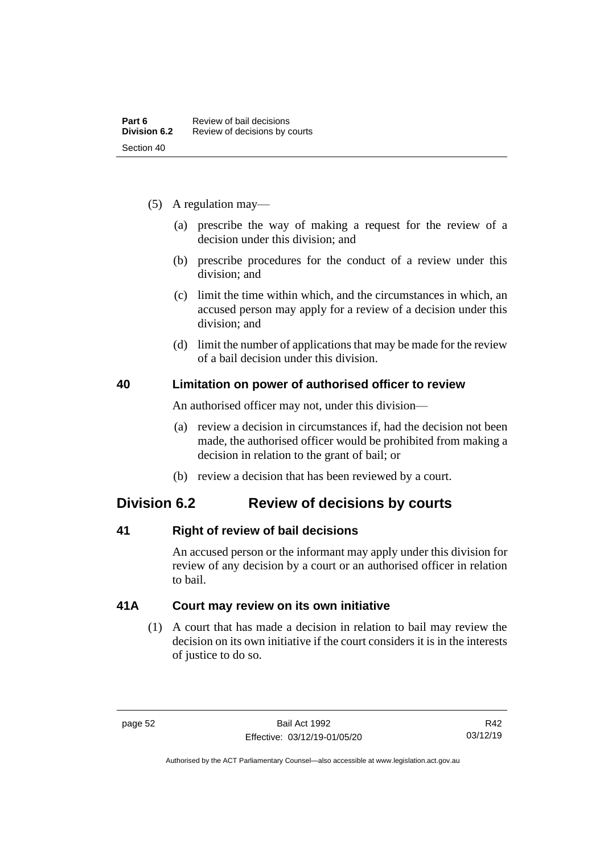- (5) A regulation may—
	- (a) prescribe the way of making a request for the review of a decision under this division; and
	- (b) prescribe procedures for the conduct of a review under this division; and
	- (c) limit the time within which, and the circumstances in which, an accused person may apply for a review of a decision under this division; and
	- (d) limit the number of applications that may be made for the review of a bail decision under this division.

## **40 Limitation on power of authorised officer to review**

An authorised officer may not, under this division—

- (a) review a decision in circumstances if, had the decision not been made, the authorised officer would be prohibited from making a decision in relation to the grant of bail; or
- (b) review a decision that has been reviewed by a court.

# **Division 6.2 Review of decisions by courts**

# **41 Right of review of bail decisions**

An accused person or the informant may apply under this division for review of any decision by a court or an authorised officer in relation to bail.

# **41A Court may review on its own initiative**

(1) A court that has made a decision in relation to bail may review the decision on its own initiative if the court considers it is in the interests of justice to do so.

Authorised by the ACT Parliamentary Counsel—also accessible at www.legislation.act.gov.au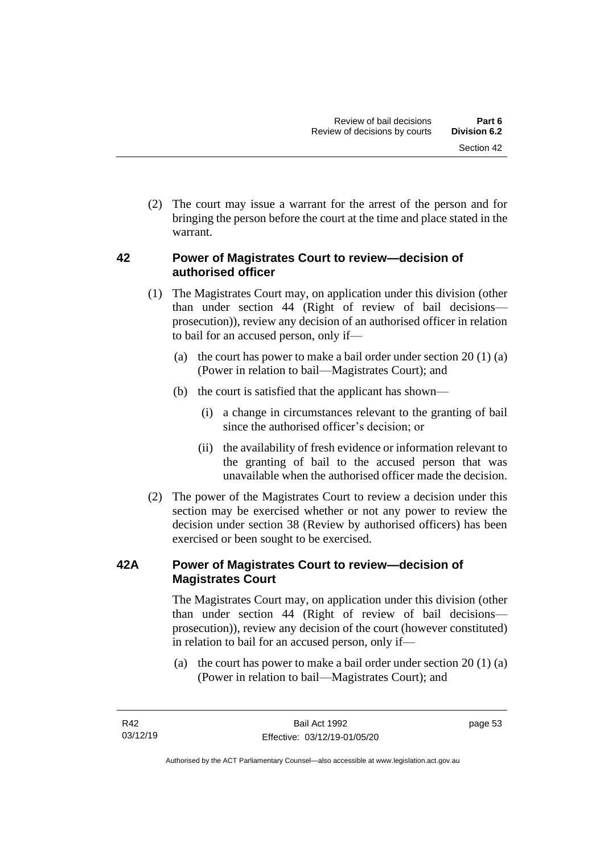(2) The court may issue a warrant for the arrest of the person and for bringing the person before the court at the time and place stated in the warrant.

# **42 Power of Magistrates Court to review—decision of authorised officer**

- (1) The Magistrates Court may, on application under this division (other than under section 44 (Right of review of bail decisions prosecution)), review any decision of an authorised officer in relation to bail for an accused person, only if—
	- (a) the court has power to make a bail order under section  $20(1)(a)$ (Power in relation to bail—Magistrates Court); and
	- (b) the court is satisfied that the applicant has shown—
		- (i) a change in circumstances relevant to the granting of bail since the authorised officer's decision; or
		- (ii) the availability of fresh evidence or information relevant to the granting of bail to the accused person that was unavailable when the authorised officer made the decision.
- (2) The power of the Magistrates Court to review a decision under this section may be exercised whether or not any power to review the decision under section 38 (Review by authorised officers) has been exercised or been sought to be exercised.

# **42A Power of Magistrates Court to review—decision of Magistrates Court**

The Magistrates Court may, on application under this division (other than under section 44 (Right of review of bail decisions prosecution)), review any decision of the court (however constituted) in relation to bail for an accused person, only if—

(a) the court has power to make a bail order under section 20 (1) (a) (Power in relation to bail—Magistrates Court); and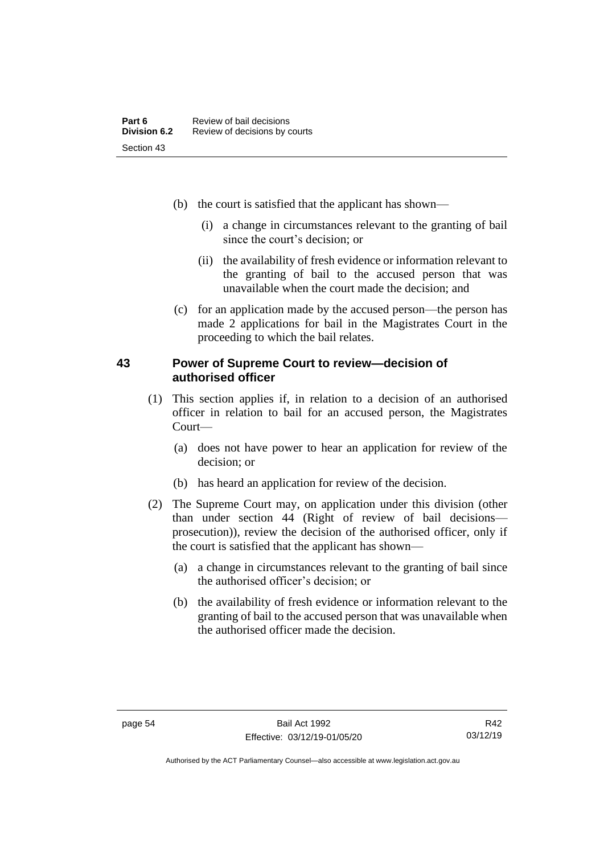- (b) the court is satisfied that the applicant has shown—
	- (i) a change in circumstances relevant to the granting of bail since the court's decision; or
	- (ii) the availability of fresh evidence or information relevant to the granting of bail to the accused person that was unavailable when the court made the decision; and
- (c) for an application made by the accused person—the person has made 2 applications for bail in the Magistrates Court in the proceeding to which the bail relates.

## **43 Power of Supreme Court to review—decision of authorised officer**

- (1) This section applies if, in relation to a decision of an authorised officer in relation to bail for an accused person, the Magistrates Court—
	- (a) does not have power to hear an application for review of the decision; or
	- (b) has heard an application for review of the decision.
- (2) The Supreme Court may, on application under this division (other than under section 44 (Right of review of bail decisions prosecution)), review the decision of the authorised officer, only if the court is satisfied that the applicant has shown—
	- (a) a change in circumstances relevant to the granting of bail since the authorised officer's decision; or
	- (b) the availability of fresh evidence or information relevant to the granting of bail to the accused person that was unavailable when the authorised officer made the decision.

Authorised by the ACT Parliamentary Counsel—also accessible at www.legislation.act.gov.au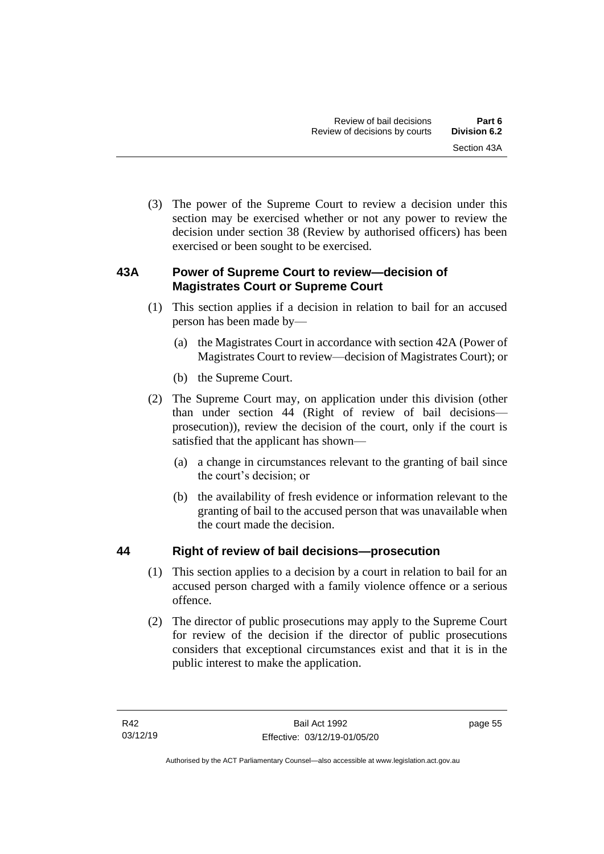(3) The power of the Supreme Court to review a decision under this section may be exercised whether or not any power to review the decision under section 38 (Review by authorised officers) has been exercised or been sought to be exercised.

# **43A Power of Supreme Court to review—decision of Magistrates Court or Supreme Court**

- (1) This section applies if a decision in relation to bail for an accused person has been made by—
	- (a) the Magistrates Court in accordance with section 42A (Power of Magistrates Court to review—decision of Magistrates Court); or
	- (b) the Supreme Court.
- (2) The Supreme Court may, on application under this division (other than under section 44 (Right of review of bail decisions prosecution)), review the decision of the court, only if the court is satisfied that the applicant has shown—
	- (a) a change in circumstances relevant to the granting of bail since the court's decision; or
	- (b) the availability of fresh evidence or information relevant to the granting of bail to the accused person that was unavailable when the court made the decision.

# **44 Right of review of bail decisions—prosecution**

- (1) This section applies to a decision by a court in relation to bail for an accused person charged with a family violence offence or a serious offence.
- (2) The director of public prosecutions may apply to the Supreme Court for review of the decision if the director of public prosecutions considers that exceptional circumstances exist and that it is in the public interest to make the application.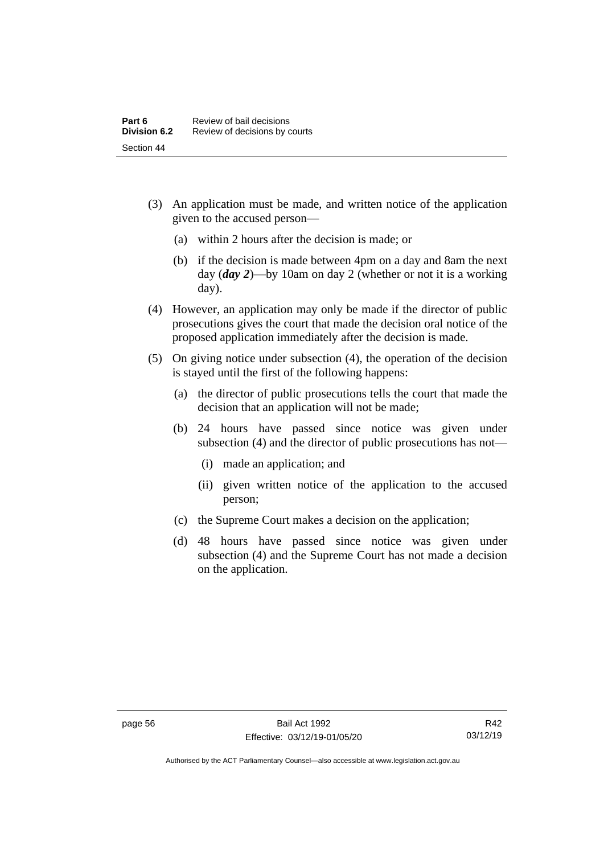- (3) An application must be made, and written notice of the application given to the accused person—
	- (a) within 2 hours after the decision is made; or
	- (b) if the decision is made between 4pm on a day and 8am the next day (*day 2*)—by 10am on day 2 (whether or not it is a working day).
- (4) However, an application may only be made if the director of public prosecutions gives the court that made the decision oral notice of the proposed application immediately after the decision is made.
- (5) On giving notice under subsection (4), the operation of the decision is stayed until the first of the following happens:
	- (a) the director of public prosecutions tells the court that made the decision that an application will not be made;
	- (b) 24 hours have passed since notice was given under subsection (4) and the director of public prosecutions has not—
		- (i) made an application; and
		- (ii) given written notice of the application to the accused person;
	- (c) the Supreme Court makes a decision on the application;
	- (d) 48 hours have passed since notice was given under subsection (4) and the Supreme Court has not made a decision on the application.

Authorised by the ACT Parliamentary Counsel—also accessible at www.legislation.act.gov.au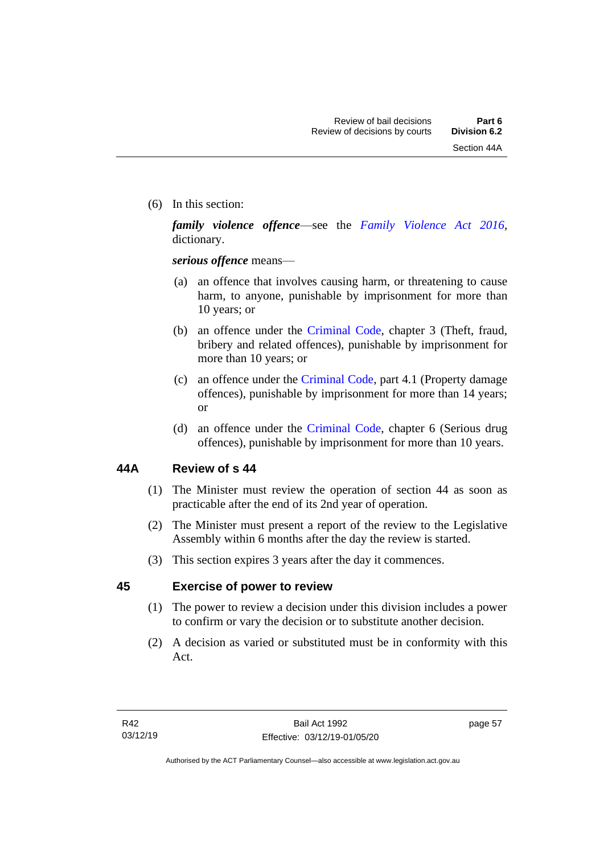(6) In this section:

*family violence offence*—see the *[Family Violence Act 2016](http://www.legislation.act.gov.au/a/2016-42)*, dictionary.

*serious offence* means—

- (a) an offence that involves causing harm, or threatening to cause harm, to anyone, punishable by imprisonment for more than 10 years; or
- (b) an offence under the [Criminal Code,](http://www.legislation.act.gov.au/a/2002-51) chapter 3 (Theft, fraud, bribery and related offences), punishable by imprisonment for more than 10 years; or
- (c) an offence under the [Criminal Code,](http://www.legislation.act.gov.au/a/2002-51) part 4.1 (Property damage offences), punishable by imprisonment for more than 14 years; or
- (d) an offence under the [Criminal Code,](http://www.legislation.act.gov.au/a/2002-51) chapter 6 (Serious drug offences), punishable by imprisonment for more than 10 years.

# **44A Review of s 44**

- (1) The Minister must review the operation of section 44 as soon as practicable after the end of its 2nd year of operation.
- (2) The Minister must present a report of the review to the Legislative Assembly within 6 months after the day the review is started.
- (3) This section expires 3 years after the day it commences.

# **45 Exercise of power to review**

- (1) The power to review a decision under this division includes a power to confirm or vary the decision or to substitute another decision.
- (2) A decision as varied or substituted must be in conformity with this Act.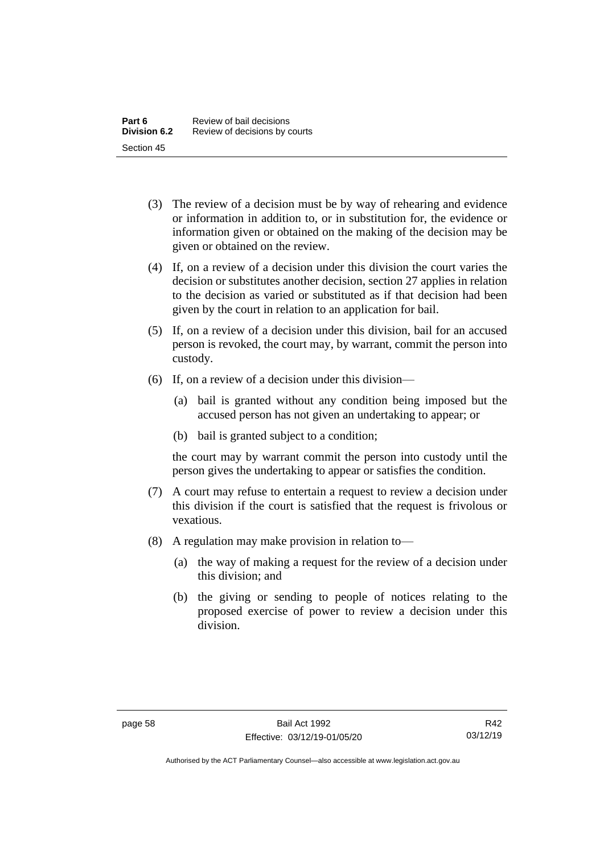- (3) The review of a decision must be by way of rehearing and evidence or information in addition to, or in substitution for, the evidence or information given or obtained on the making of the decision may be given or obtained on the review.
- (4) If, on a review of a decision under this division the court varies the decision or substitutes another decision, section 27 applies in relation to the decision as varied or substituted as if that decision had been given by the court in relation to an application for bail.
- (5) If, on a review of a decision under this division, bail for an accused person is revoked, the court may, by warrant, commit the person into custody.
- (6) If, on a review of a decision under this division—
	- (a) bail is granted without any condition being imposed but the accused person has not given an undertaking to appear; or
	- (b) bail is granted subject to a condition;

the court may by warrant commit the person into custody until the person gives the undertaking to appear or satisfies the condition.

- (7) A court may refuse to entertain a request to review a decision under this division if the court is satisfied that the request is frivolous or vexatious.
- (8) A regulation may make provision in relation to—
	- (a) the way of making a request for the review of a decision under this division; and
	- (b) the giving or sending to people of notices relating to the proposed exercise of power to review a decision under this division.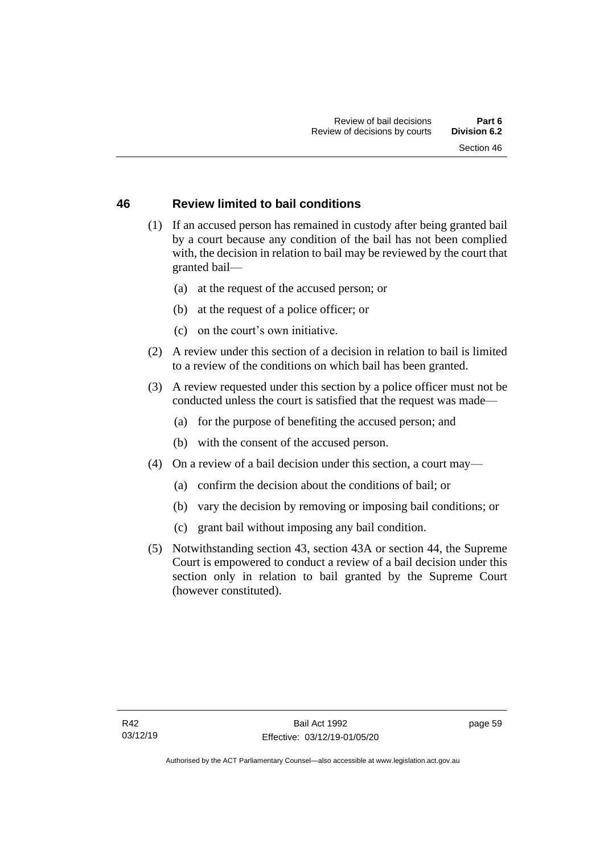## **46 Review limited to bail conditions**

- (1) If an accused person has remained in custody after being granted bail by a court because any condition of the bail has not been complied with, the decision in relation to bail may be reviewed by the court that granted bail—
	- (a) at the request of the accused person; or
	- (b) at the request of a police officer; or
	- (c) on the court's own initiative.
- (2) A review under this section of a decision in relation to bail is limited to a review of the conditions on which bail has been granted.
- (3) A review requested under this section by a police officer must not be conducted unless the court is satisfied that the request was made—
	- (a) for the purpose of benefiting the accused person; and
	- (b) with the consent of the accused person.
- (4) On a review of a bail decision under this section, a court may—
	- (a) confirm the decision about the conditions of bail; or
	- (b) vary the decision by removing or imposing bail conditions; or
	- (c) grant bail without imposing any bail condition.
- (5) Notwithstanding section 43, section 43A or section 44, the Supreme Court is empowered to conduct a review of a bail decision under this section only in relation to bail granted by the Supreme Court (however constituted).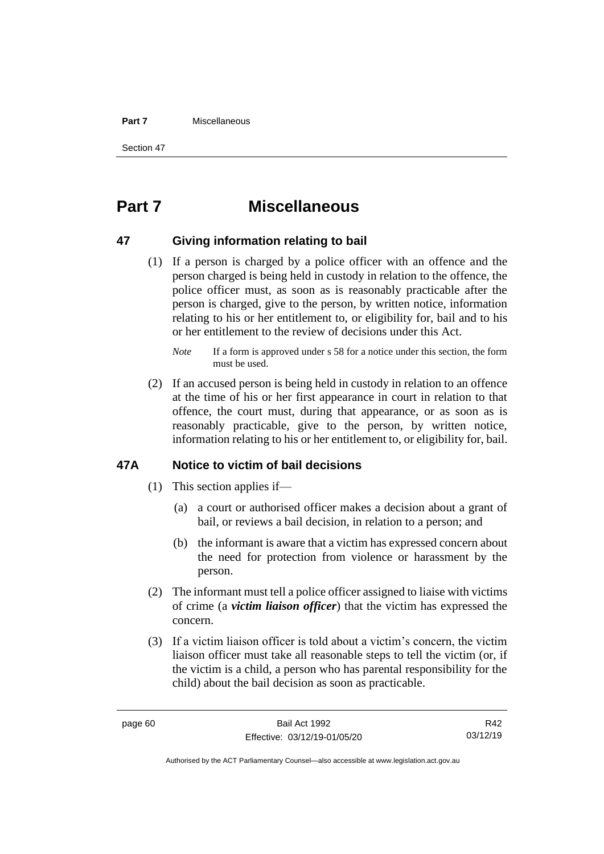#### **Part 7** Miscellaneous

Section 47

# **Part 7 Miscellaneous**

## **47 Giving information relating to bail**

(1) If a person is charged by a police officer with an offence and the person charged is being held in custody in relation to the offence, the police officer must, as soon as is reasonably practicable after the person is charged, give to the person, by written notice, information relating to his or her entitlement to, or eligibility for, bail and to his or her entitlement to the review of decisions under this Act.

(2) If an accused person is being held in custody in relation to an offence at the time of his or her first appearance in court in relation to that offence, the court must, during that appearance, or as soon as is reasonably practicable, give to the person, by written notice, information relating to his or her entitlement to, or eligibility for, bail.

## **47A Notice to victim of bail decisions**

- (1) This section applies if—
	- (a) a court or authorised officer makes a decision about a grant of bail, or reviews a bail decision, in relation to a person; and
	- (b) the informant is aware that a victim has expressed concern about the need for protection from violence or harassment by the person.
- (2) The informant must tell a police officer assigned to liaise with victims of crime (a *victim liaison officer*) that the victim has expressed the concern.
- (3) If a victim liaison officer is told about a victim's concern, the victim liaison officer must take all reasonable steps to tell the victim (or, if the victim is a child, a person who has parental responsibility for the child) about the bail decision as soon as practicable.

R42 03/12/19

*Note* If a form is approved under s 58 for a notice under this section, the form must be used.

Authorised by the ACT Parliamentary Counsel—also accessible at www.legislation.act.gov.au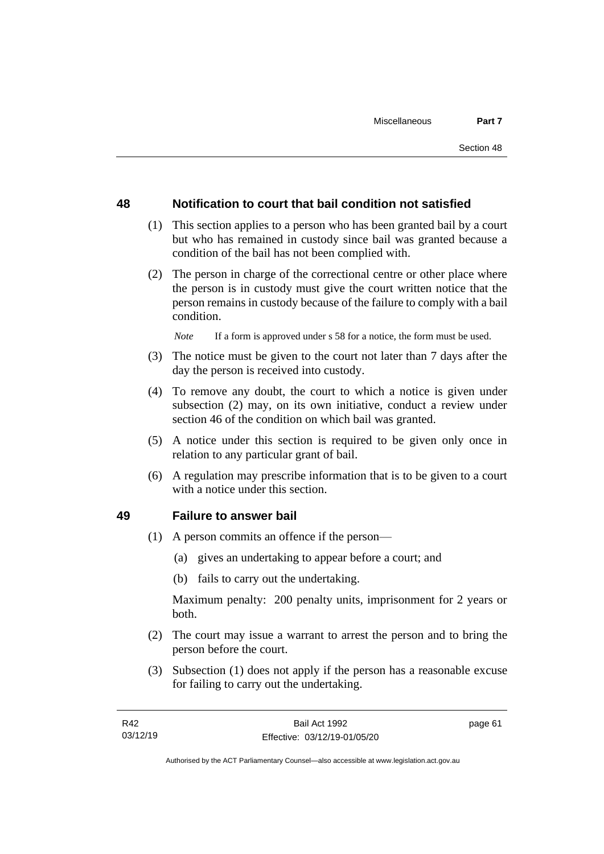## **48 Notification to court that bail condition not satisfied**

- (1) This section applies to a person who has been granted bail by a court but who has remained in custody since bail was granted because a condition of the bail has not been complied with.
- (2) The person in charge of the correctional centre or other place where the person is in custody must give the court written notice that the person remains in custody because of the failure to comply with a bail condition.

*Note* If a form is approved under s 58 for a notice, the form must be used.

- (3) The notice must be given to the court not later than 7 days after the day the person is received into custody.
- (4) To remove any doubt, the court to which a notice is given under subsection (2) may, on its own initiative, conduct a review under section 46 of the condition on which bail was granted.
- (5) A notice under this section is required to be given only once in relation to any particular grant of bail.
- (6) A regulation may prescribe information that is to be given to a court with a notice under this section.

#### **49 Failure to answer bail**

- (1) A person commits an offence if the person—
	- (a) gives an undertaking to appear before a court; and
	- (b) fails to carry out the undertaking.

Maximum penalty: 200 penalty units, imprisonment for 2 years or both.

- (2) The court may issue a warrant to arrest the person and to bring the person before the court.
- (3) Subsection (1) does not apply if the person has a reasonable excuse for failing to carry out the undertaking.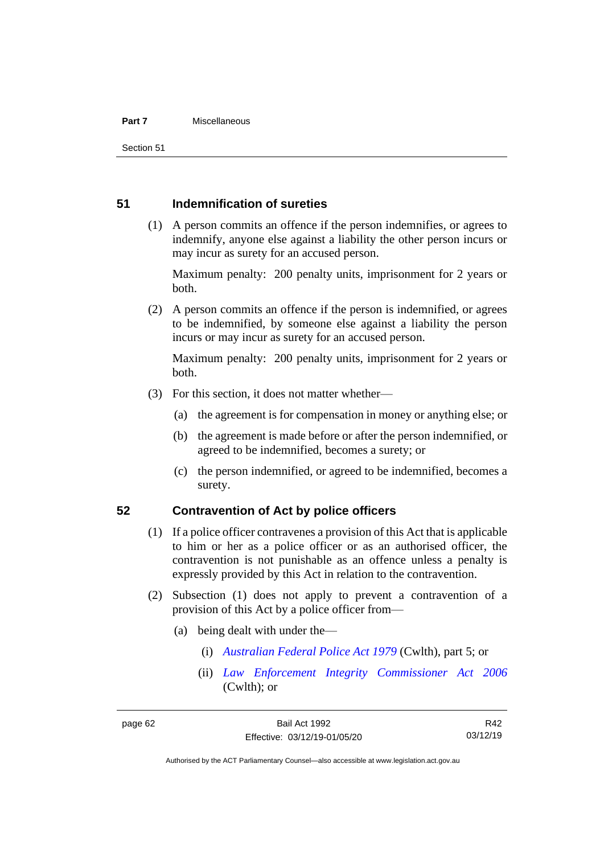#### **Part 7** Miscellaneous

Section 51

## **51 Indemnification of sureties**

(1) A person commits an offence if the person indemnifies, or agrees to indemnify, anyone else against a liability the other person incurs or may incur as surety for an accused person.

Maximum penalty: 200 penalty units, imprisonment for 2 years or both.

(2) A person commits an offence if the person is indemnified, or agrees to be indemnified, by someone else against a liability the person incurs or may incur as surety for an accused person.

Maximum penalty: 200 penalty units, imprisonment for 2 years or both.

- (3) For this section, it does not matter whether—
	- (a) the agreement is for compensation in money or anything else; or
	- (b) the agreement is made before or after the person indemnified, or agreed to be indemnified, becomes a surety; or
	- (c) the person indemnified, or agreed to be indemnified, becomes a surety.

## **52 Contravention of Act by police officers**

- (1) If a police officer contravenes a provision of this Act that is applicable to him or her as a police officer or as an authorised officer, the contravention is not punishable as an offence unless a penalty is expressly provided by this Act in relation to the contravention.
- (2) Subsection (1) does not apply to prevent a contravention of a provision of this Act by a police officer from—
	- (a) being dealt with under the—
		- (i) *[Australian Federal Police Act 1979](http://www.comlaw.gov.au/Series/C2004A02068)* (Cwlth), part 5; or
		- (ii) *[Law Enforcement Integrity Commissioner Act 2006](http://www.comlaw.gov.au/Series/C2006A00085)* (Cwlth); or

R42 03/12/19

Authorised by the ACT Parliamentary Counsel—also accessible at www.legislation.act.gov.au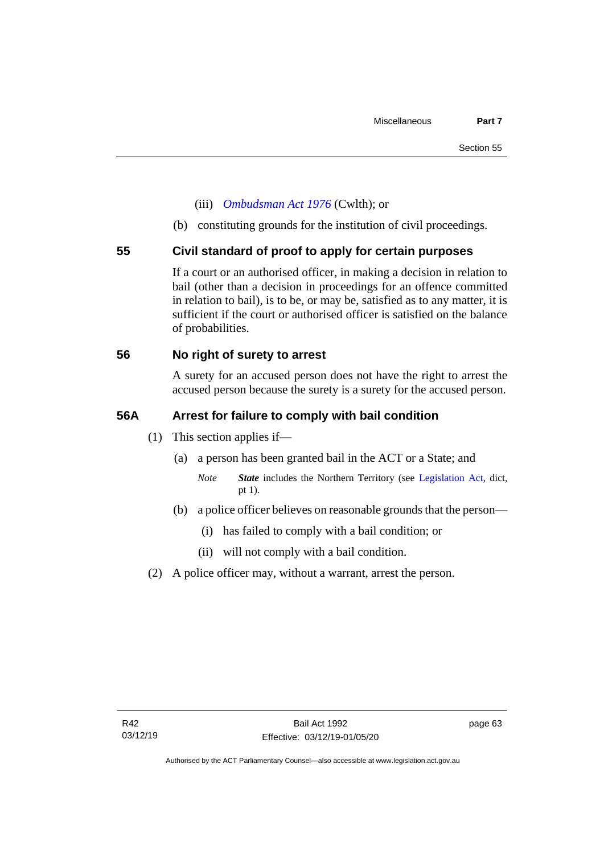- (iii) *[Ombudsman Act 1976](http://www.comlaw.gov.au/Series/C2004A01611)* (Cwlth); or
- (b) constituting grounds for the institution of civil proceedings.

## **55 Civil standard of proof to apply for certain purposes**

If a court or an authorised officer, in making a decision in relation to bail (other than a decision in proceedings for an offence committed in relation to bail), is to be, or may be, satisfied as to any matter, it is sufficient if the court or authorised officer is satisfied on the balance of probabilities.

## **56 No right of surety to arrest**

A surety for an accused person does not have the right to arrest the accused person because the surety is a surety for the accused person.

## **56A Arrest for failure to comply with bail condition**

- (1) This section applies if—
	- (a) a person has been granted bail in the ACT or a State; and
		- *Note State* includes the Northern Territory (see [Legislation Act,](http://www.legislation.act.gov.au/a/2001-14) dict, pt 1).
	- (b) a police officer believes on reasonable grounds that the person—
		- (i) has failed to comply with a bail condition; or
		- (ii) will not comply with a bail condition.
- (2) A police officer may, without a warrant, arrest the person.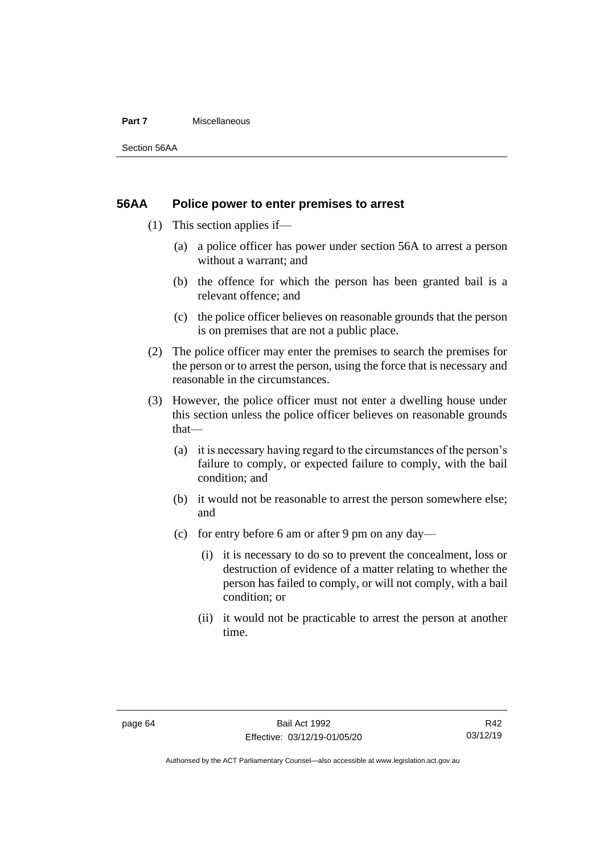#### **Part 7** Miscellaneous

Section 56AA

## **56AA Police power to enter premises to arrest**

- (1) This section applies if—
	- (a) a police officer has power under section 56A to arrest a person without a warrant; and
	- (b) the offence for which the person has been granted bail is a relevant offence; and
	- (c) the police officer believes on reasonable grounds that the person is on premises that are not a public place.
- (2) The police officer may enter the premises to search the premises for the person or to arrest the person, using the force that is necessary and reasonable in the circumstances.
- (3) However, the police officer must not enter a dwelling house under this section unless the police officer believes on reasonable grounds that—
	- (a) it is necessary having regard to the circumstances of the person's failure to comply, or expected failure to comply, with the bail condition; and
	- (b) it would not be reasonable to arrest the person somewhere else; and
	- (c) for entry before 6 am or after 9 pm on any day—
		- (i) it is necessary to do so to prevent the concealment, loss or destruction of evidence of a matter relating to whether the person has failed to comply, or will not comply, with a bail condition; or
		- (ii) it would not be practicable to arrest the person at another time.

Authorised by the ACT Parliamentary Counsel—also accessible at www.legislation.act.gov.au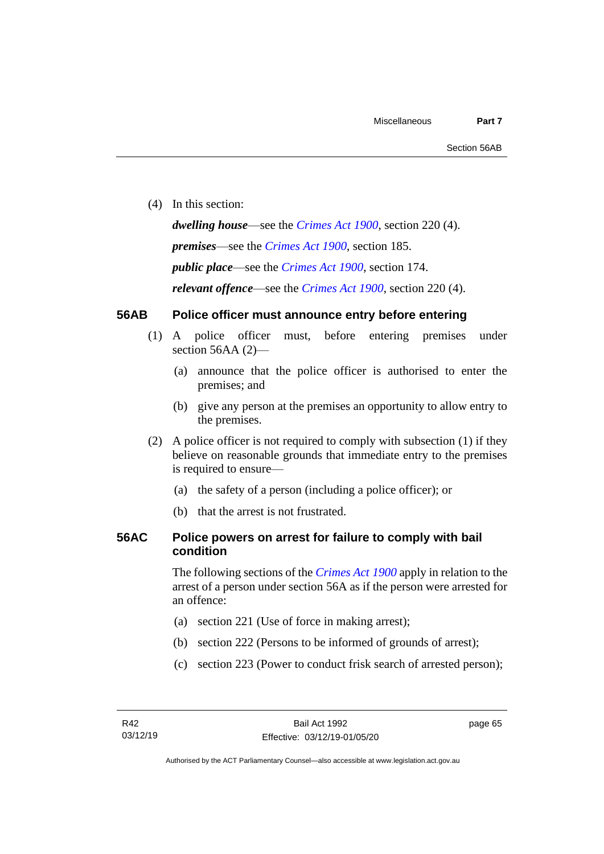(4) In this section:

*dwelling house*—see the *[Crimes Act](http://www.legislation.act.gov.au/a/1900-40) 1900*, section 220 (4).

*premises*—see the *[Crimes Act](http://www.legislation.act.gov.au/a/1900-40) 1900*, section 185.

*public place*—see the *[Crimes Act](http://www.legislation.act.gov.au/a/1900-40) 1900*, section 174.

*relevant offence*—see the *[Crimes Act 1900](http://www.legislation.act.gov.au/a/1900-40)*, section 220 (4).

# **56AB Police officer must announce entry before entering**

- (1) A police officer must, before entering premises under section 56AA (2)-
	- (a) announce that the police officer is authorised to enter the premises; and
	- (b) give any person at the premises an opportunity to allow entry to the premises.
- (2) A police officer is not required to comply with subsection (1) if they believe on reasonable grounds that immediate entry to the premises is required to ensure—
	- (a) the safety of a person (including a police officer); or
	- (b) that the arrest is not frustrated.

# **56AC Police powers on arrest for failure to comply with bail condition**

The following sections of the *[Crimes Act](http://www.legislation.act.gov.au/a/1900-40) 1900* apply in relation to the arrest of a person under section 56A as if the person were arrested for an offence:

- (a) section 221 (Use of force in making arrest);
- (b) section 222 (Persons to be informed of grounds of arrest);
- (c) section 223 (Power to conduct frisk search of arrested person);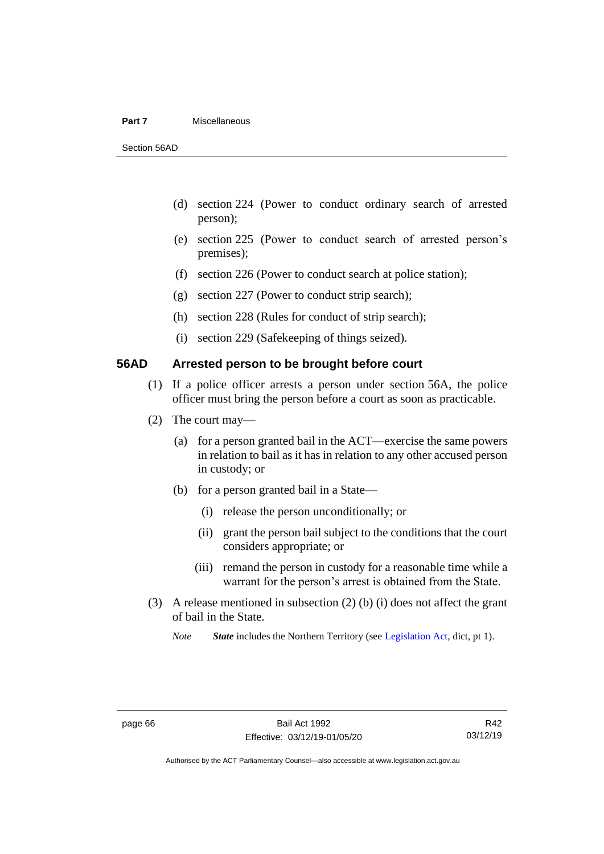## **Part 7** Miscellaneous

Section 56AD

- (d) section 224 (Power to conduct ordinary search of arrested person);
- (e) section 225 (Power to conduct search of arrested person's premises);
- (f) section 226 (Power to conduct search at police station);
- (g) section 227 (Power to conduct strip search);
- (h) section 228 (Rules for conduct of strip search);
- (i) section 229 (Safekeeping of things seized).

# **56AD Arrested person to be brought before court**

- (1) If a police officer arrests a person under section 56A, the police officer must bring the person before a court as soon as practicable.
- (2) The court may—
	- (a) for a person granted bail in the ACT—exercise the same powers in relation to bail as it has in relation to any other accused person in custody; or
	- (b) for a person granted bail in a State—
		- (i) release the person unconditionally; or
		- (ii) grant the person bail subject to the conditions that the court considers appropriate; or
		- (iii) remand the person in custody for a reasonable time while a warrant for the person's arrest is obtained from the State.
- (3) A release mentioned in subsection (2) (b) (i) does not affect the grant of bail in the State.

*Note State* includes the Northern Territory (see [Legislation Act,](http://www.legislation.act.gov.au/a/2001-14) dict, pt 1).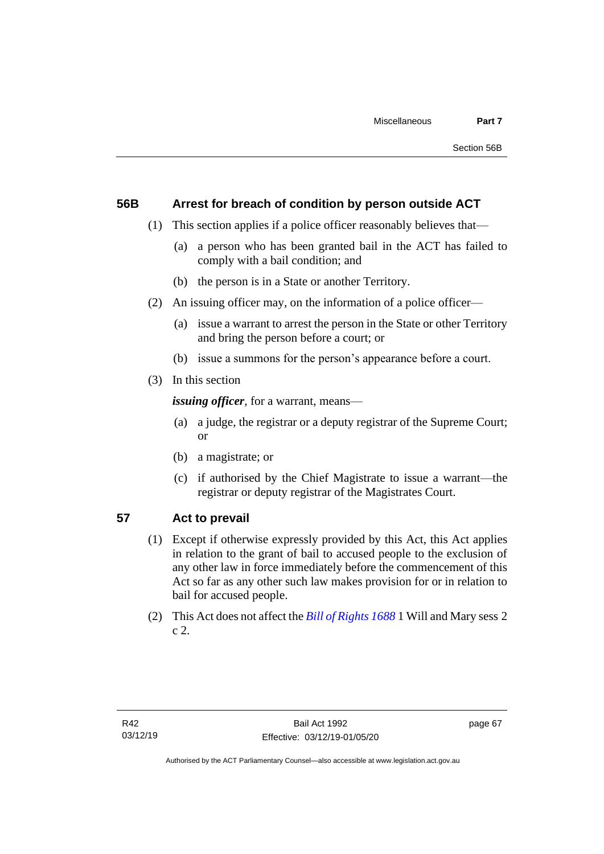# **56B Arrest for breach of condition by person outside ACT**

- (1) This section applies if a police officer reasonably believes that—
	- (a) a person who has been granted bail in the ACT has failed to comply with a bail condition; and
	- (b) the person is in a State or another Territory.
- (2) An issuing officer may, on the information of a police officer—
	- (a) issue a warrant to arrest the person in the State or other Territory and bring the person before a court; or
	- (b) issue a summons for the person's appearance before a court.
- (3) In this section

*issuing officer*, for a warrant, means—

- (a) a judge, the registrar or a deputy registrar of the Supreme Court; or
- (b) a magistrate; or
- (c) if authorised by the Chief Magistrate to issue a warrant—the registrar or deputy registrar of the Magistrates Court.

# **57 Act to prevail**

- (1) Except if otherwise expressly provided by this Act, this Act applies in relation to the grant of bail to accused people to the exclusion of any other law in force immediately before the commencement of this Act so far as any other such law makes provision for or in relation to bail for accused people.
- (2) This Act does not affect the *[Bill of Rights 1688](http://www.legislation.act.gov.au/a/db_1792/default.asp)* 1 Will and Mary sess 2 c 2.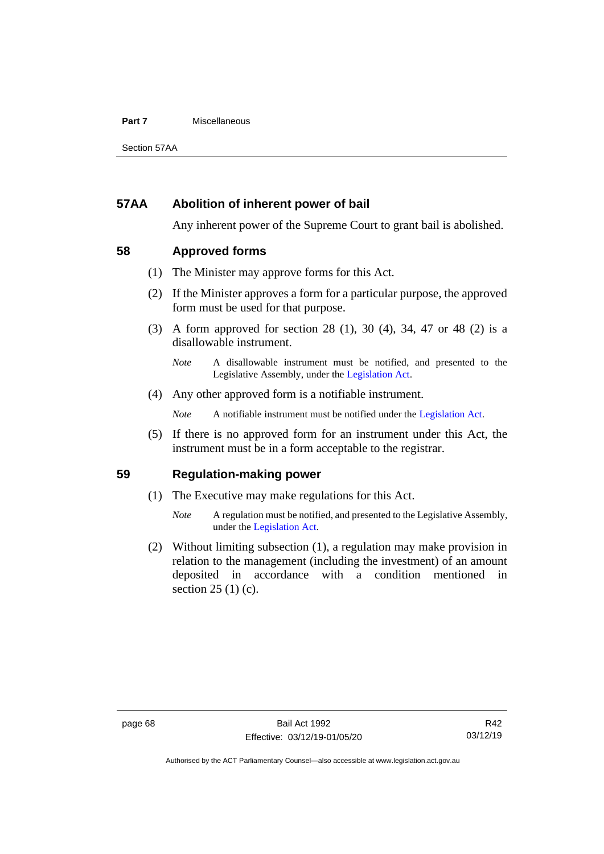## **Part 7** Miscellaneous

Section 57AA

# **57AA Abolition of inherent power of bail**

Any inherent power of the Supreme Court to grant bail is abolished.

# **58 Approved forms**

- (1) The Minister may approve forms for this Act.
- (2) If the Minister approves a form for a particular purpose, the approved form must be used for that purpose.
- (3) A form approved for section 28 (1), 30 (4), 34, 47 or 48 (2) is a disallowable instrument.

(4) Any other approved form is a notifiable instrument.

*Note* A notifiable instrument must be notified under the [Legislation Act.](http://www.legislation.act.gov.au/a/2001-14)

(5) If there is no approved form for an instrument under this Act, the instrument must be in a form acceptable to the registrar.

# **59 Regulation-making power**

- (1) The Executive may make regulations for this Act.
	- *Note* A regulation must be notified, and presented to the Legislative Assembly, under the [Legislation Act.](http://www.legislation.act.gov.au/a/2001-14)
- (2) Without limiting subsection (1), a regulation may make provision in relation to the management (including the investment) of an amount deposited in accordance with a condition mentioned in section 25 (1) (c).

*Note* A disallowable instrument must be notified, and presented to the Legislative Assembly, under the [Legislation Act.](http://www.legislation.act.gov.au/a/2001-14)

Authorised by the ACT Parliamentary Counsel—also accessible at www.legislation.act.gov.au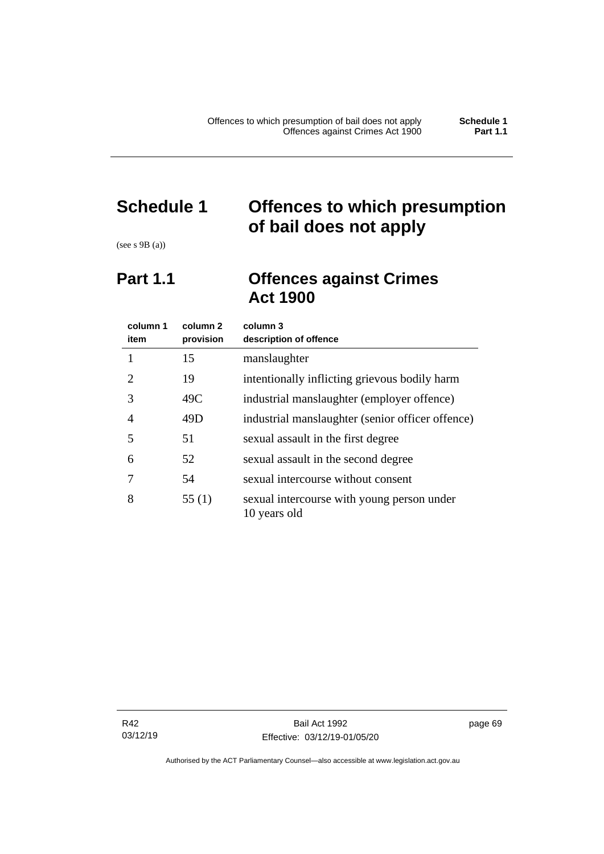# **Schedule 1 Offences to which presumption of bail does not apply**

(see s 9B (a))

# **Part 1.1 Offences against Crimes Act 1900**

| column 1<br>item | column 2<br>provision | column 3<br>description of offence                         |
|------------------|-----------------------|------------------------------------------------------------|
|                  | 15                    | manslaughter                                               |
| 2                | 19                    | intentionally inflicting grievous bodily harm              |
| 3                | 49C                   | industrial manslaughter (employer offence)                 |
| 4                | 49D                   | industrial manslaughter (senior officer offence)           |
| 5                | 51                    | sexual assault in the first degree                         |
| 6                | 52                    | sexual assault in the second degree                        |
|                  | 54                    | sexual intercourse without consent                         |
| 8                | 55(1)                 | sexual intercourse with young person under<br>10 years old |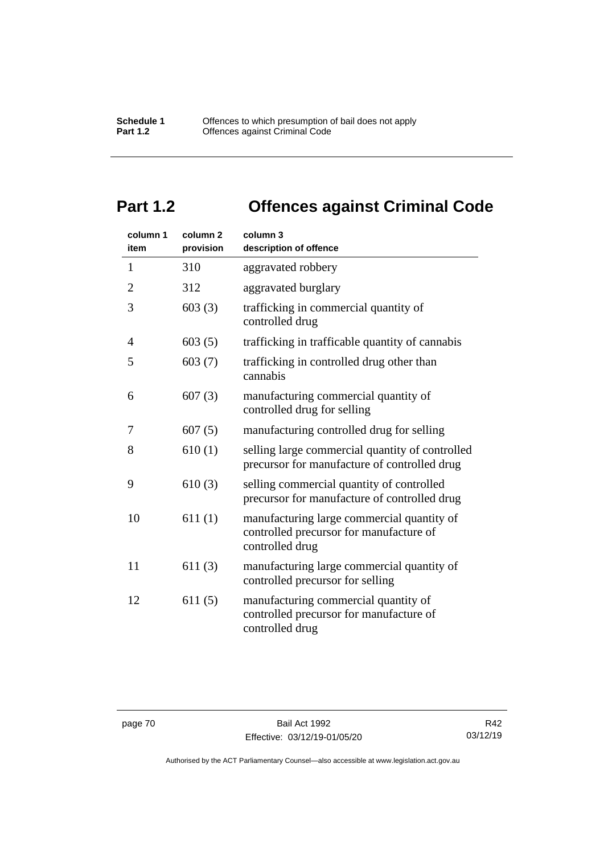# **Part 1.2 Offences against Criminal Code**

| column 1<br>item | column <sub>2</sub><br>provision | column 3<br>description of offence                                                                       |
|------------------|----------------------------------|----------------------------------------------------------------------------------------------------------|
| $\mathbf{1}$     | 310                              | aggravated robbery                                                                                       |
| $\overline{2}$   | 312                              | aggravated burglary                                                                                      |
| 3                | 603(3)                           | trafficking in commercial quantity of<br>controlled drug                                                 |
| 4                | 603(5)                           | trafficking in trafficable quantity of cannabis                                                          |
| 5                | 603(7)                           | trafficking in controlled drug other than<br>cannabis                                                    |
| 6                | 607(3)                           | manufacturing commercial quantity of<br>controlled drug for selling                                      |
| 7                | 607(5)                           | manufacturing controlled drug for selling                                                                |
| 8                | 610(1)                           | selling large commercial quantity of controlled<br>precursor for manufacture of controlled drug          |
| 9                | 610(3)                           | selling commercial quantity of controlled<br>precursor for manufacture of controlled drug                |
| 10               | 611(1)                           | manufacturing large commercial quantity of<br>controlled precursor for manufacture of<br>controlled drug |
| 11               | 611(3)                           | manufacturing large commercial quantity of<br>controlled precursor for selling                           |
| 12               | 611(5)                           | manufacturing commercial quantity of<br>controlled precursor for manufacture of<br>controlled drug       |

Authorised by the ACT Parliamentary Counsel—also accessible at www.legislation.act.gov.au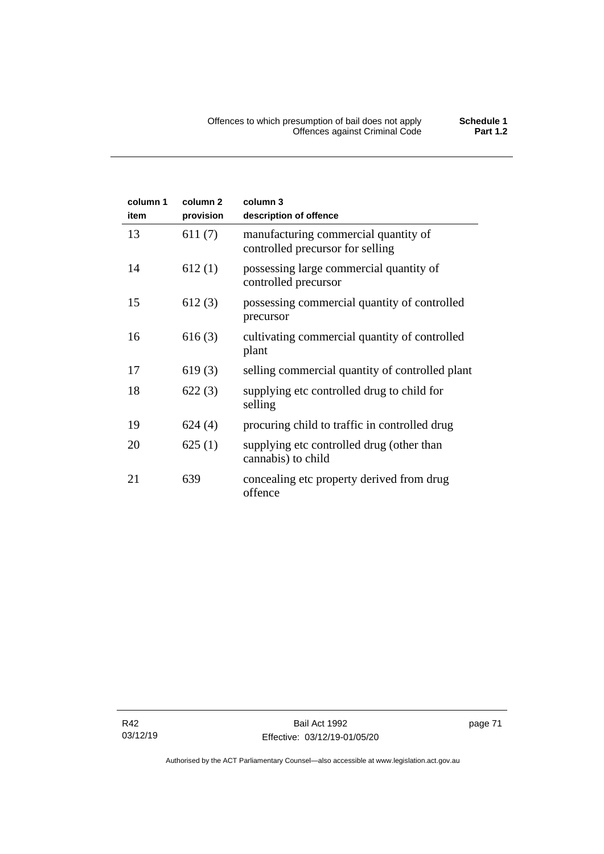| column 1<br>item | column <sub>2</sub><br>provision | column 3<br>description of offence                                       |
|------------------|----------------------------------|--------------------------------------------------------------------------|
| 13               | 611(7)                           | manufacturing commercial quantity of<br>controlled precursor for selling |
| 14               | 612(1)                           | possessing large commercial quantity of<br>controlled precursor          |
| 15               | 612(3)                           | possessing commercial quantity of controlled<br>precursor                |
| 16               | 616(3)                           | cultivating commercial quantity of controlled<br>plant                   |
| 17               | 619(3)                           | selling commercial quantity of controlled plant                          |
| 18               | 622(3)                           | supplying etc controlled drug to child for<br>selling                    |
| 19               | 624(4)                           | procuring child to traffic in controlled drug                            |
| 20               | 625(1)                           | supplying etc controlled drug (other than<br>cannabis) to child          |
| 21               | 639                              | concealing etc property derived from drug<br>offence                     |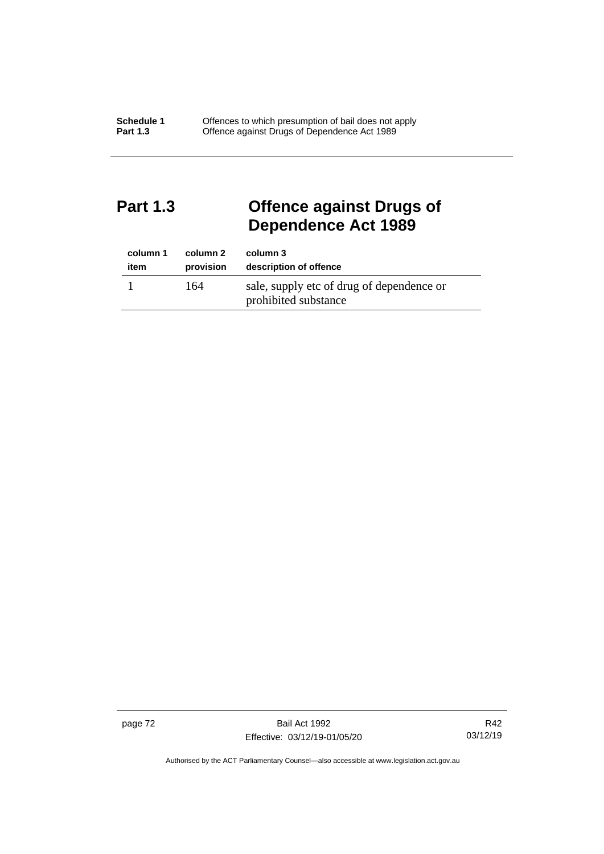# **Part 1.3 Offence against Drugs of Dependence Act 1989**

| column 1 | column 2  | column 3                                                          |
|----------|-----------|-------------------------------------------------------------------|
| item     | provision | description of offence                                            |
|          | 164       | sale, supply etc of drug of dependence or<br>prohibited substance |

page 72 Bail Act 1992 Effective: 03/12/19-01/05/20

R42 03/12/19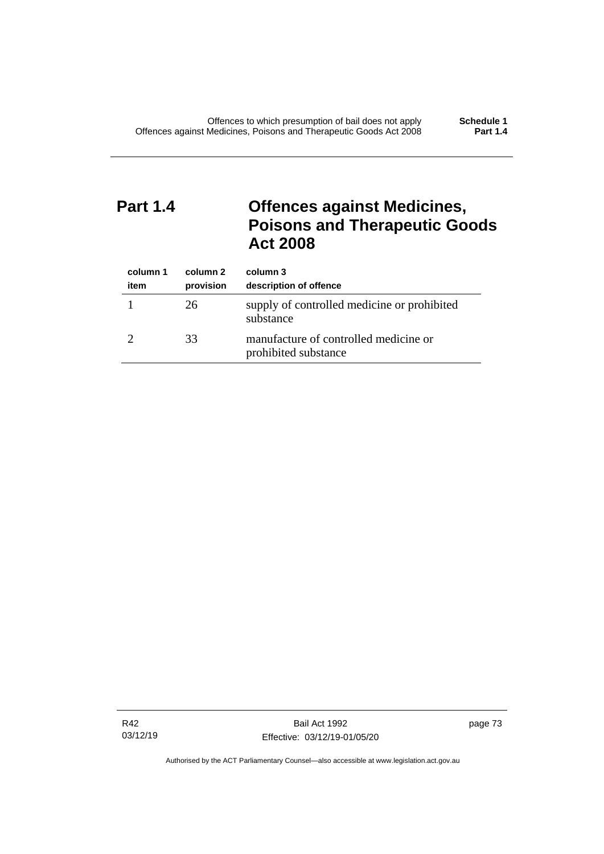# **Part 1.4 Offences against Medicines, Poisons and Therapeutic Goods Act 2008**

| column 1<br>item | column 2<br>provision | column 3<br>description of offence                            |
|------------------|-----------------------|---------------------------------------------------------------|
|                  | 26                    | supply of controlled medicine or prohibited<br>substance      |
|                  | 33                    | manufacture of controlled medicine or<br>prohibited substance |

R42 03/12/19 page 73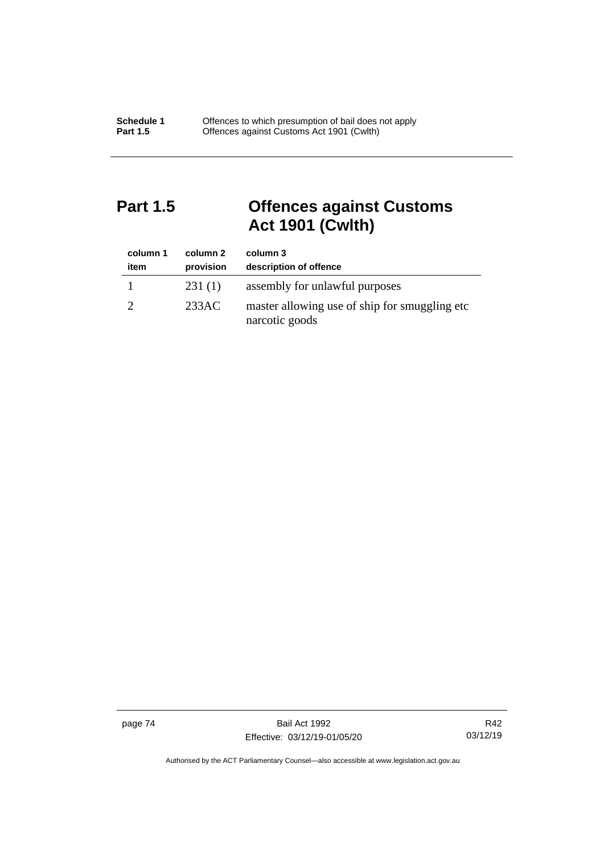# **Part 1.5 Offences against Customs Act 1901 (Cwlth)**

| column 1<br>item | column 2<br>provision | column 3<br>description of offence                               |
|------------------|-----------------------|------------------------------------------------------------------|
|                  | 231(1)                | assembly for unlawful purposes                                   |
|                  | 233AC                 | master allowing use of ship for smuggling etc.<br>narcotic goods |

page 74 Bail Act 1992 Effective: 03/12/19-01/05/20

R42 03/12/19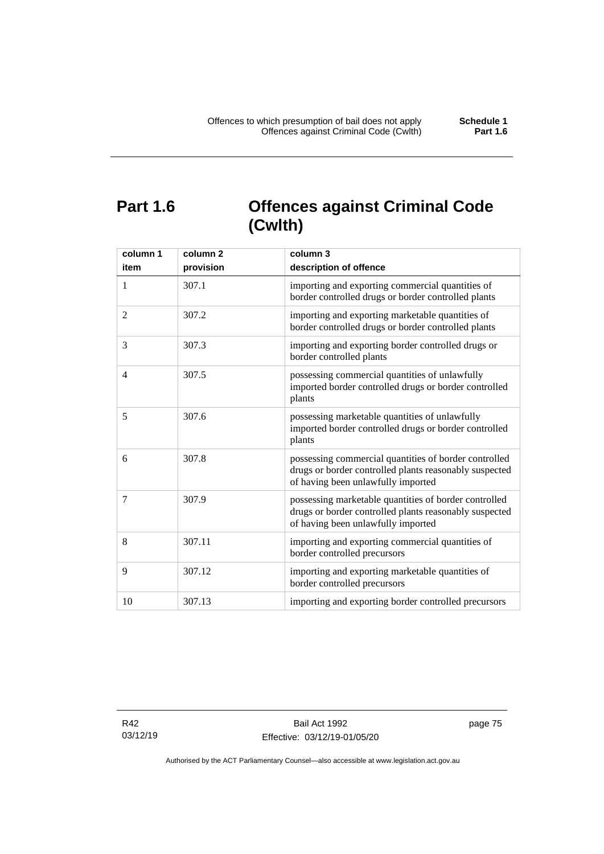# **Part 1.6 Offences against Criminal Code (Cwlth)**

| column 1       | column <sub>2</sub> | column 3                                                                                                                                              |
|----------------|---------------------|-------------------------------------------------------------------------------------------------------------------------------------------------------|
| item           | provision           | description of offence                                                                                                                                |
| 1              | 307.1               | importing and exporting commercial quantities of<br>border controlled drugs or border controlled plants                                               |
| $\overline{2}$ | 307.2               | importing and exporting marketable quantities of<br>border controlled drugs or border controlled plants                                               |
| 3              | 307.3               | importing and exporting border controlled drugs or<br>border controlled plants                                                                        |
| 4              | 307.5               | possessing commercial quantities of unlawfully<br>imported border controlled drugs or border controlled<br>plants                                     |
| 5              | 307.6               | possessing marketable quantities of unlawfully<br>imported border controlled drugs or border controlled<br>plants                                     |
| 6              | 307.8               | possessing commercial quantities of border controlled<br>drugs or border controlled plants reasonably suspected<br>of having been unlawfully imported |
| 7              | 307.9               | possessing marketable quantities of border controlled<br>drugs or border controlled plants reasonably suspected<br>of having been unlawfully imported |
| 8              | 307.11              | importing and exporting commercial quantities of<br>border controlled precursors                                                                      |
| 9              | 307.12              | importing and exporting marketable quantities of<br>border controlled precursors                                                                      |
| 10             | 307.13              | importing and exporting border controlled precursors                                                                                                  |

R42 03/12/19 page 75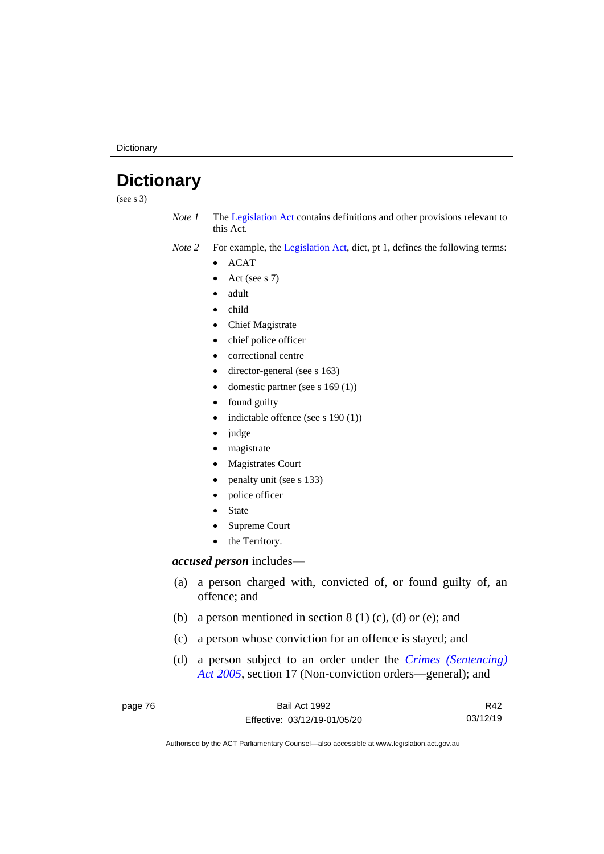**Dictionary** 

# **Dictionary**

(see s 3)

*Note 1* The [Legislation Act](http://www.legislation.act.gov.au/a/2001-14) contains definitions and other provisions relevant to this Act.

*Note 2* For example, the [Legislation Act,](http://www.legislation.act.gov.au/a/2001-14) dict, pt 1, defines the following terms:

- ACAT
- Act (see s 7)
- adult
- child
- Chief Magistrate
- chief police officer
- correctional centre
- director-general (see s 163)
- domestic partner (see s 169 (1))
- found guilty
- indictable offence (see s 190 (1))
- judge
- magistrate
- Magistrates Court
- penalty unit (see s 133)
- police officer
- **State**
- Supreme Court
- the Territory.

# *accused person* includes—

- (a) a person charged with, convicted of, or found guilty of, an offence; and
- (b) a person mentioned in section  $8(1)(c)$ , (d) or (e); and
- (c) a person whose conviction for an offence is stayed; and
- (d) a person subject to an order under the *[Crimes \(Sentencing\)](http://www.legislation.act.gov.au/a/2005-58)  Act [2005](http://www.legislation.act.gov.au/a/2005-58)*, section 17 (Non-conviction orders—general); and

| page 76 | Bail Act 1992                | R42      |
|---------|------------------------------|----------|
|         | Effective: 03/12/19-01/05/20 | 03/12/19 |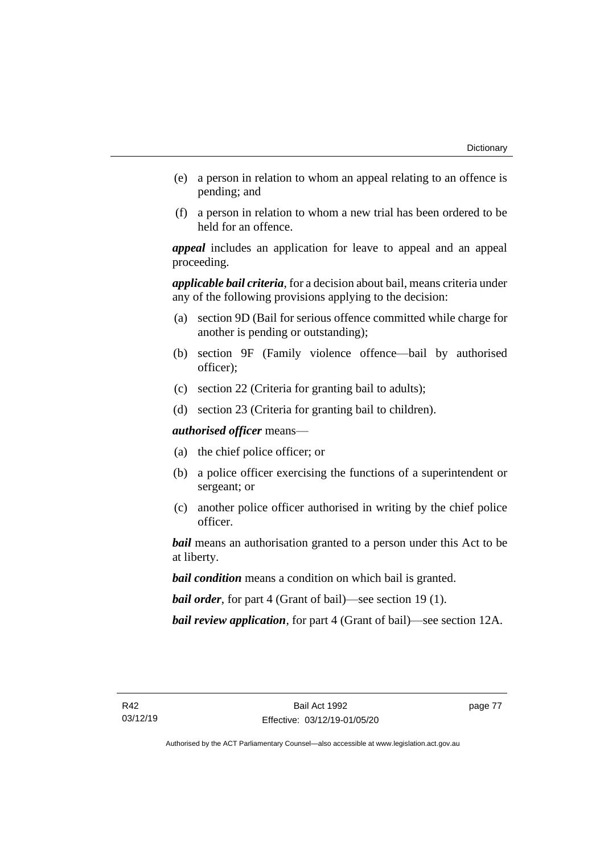- (e) a person in relation to whom an appeal relating to an offence is pending; and
- (f) a person in relation to whom a new trial has been ordered to be held for an offence.

*appeal* includes an application for leave to appeal and an appeal proceeding.

*applicable bail criteria*, for a decision about bail, means criteria under any of the following provisions applying to the decision:

- (a) section 9D (Bail for serious offence committed while charge for another is pending or outstanding);
- (b) section 9F (Family violence offence—bail by authorised officer);
- (c) section 22 (Criteria for granting bail to adults);
- (d) section 23 (Criteria for granting bail to children).

*authorised officer* means—

- (a) the chief police officer; or
- (b) a police officer exercising the functions of a superintendent or sergeant; or
- (c) another police officer authorised in writing by the chief police officer.

*bail* means an authorisation granted to a person under this Act to be at liberty.

*bail condition* means a condition on which bail is granted.

*bail order*, for part 4 (Grant of bail)—see section 19 (1).

*bail review application*, for part 4 (Grant of bail)—see section 12A.

page 77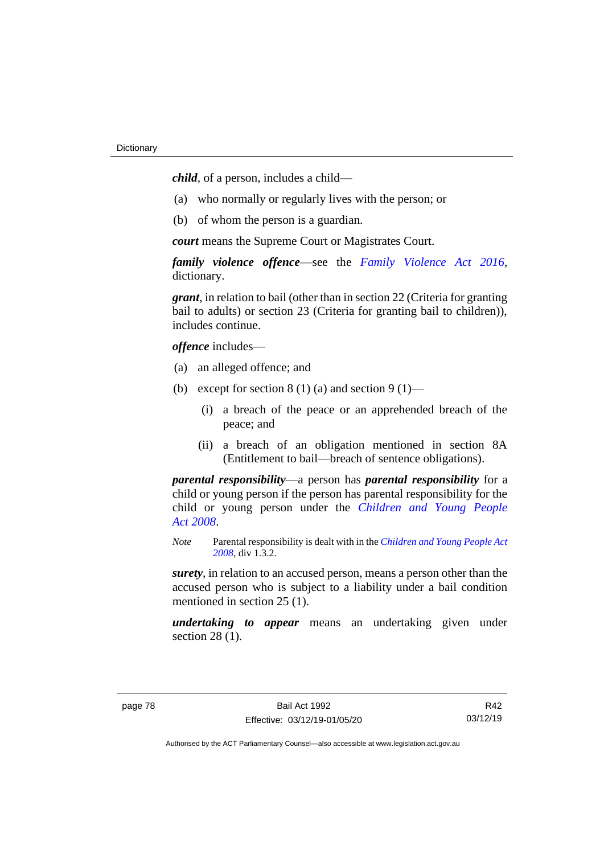*child*, of a person, includes a child—

- (a) who normally or regularly lives with the person; or
- (b) of whom the person is a guardian.

*court* means the Supreme Court or Magistrates Court.

*family violence offence*—see the *Family [Violence Act 2016](http://www.legislation.act.gov.au/a/2016-42)*, dictionary.

*grant*, in relation to bail (other than in section 22 (Criteria for granting bail to adults) or section 23 (Criteria for granting bail to children)), includes continue.

*offence* includes—

- (a) an alleged offence; and
- (b) except for section  $8(1)(a)$  and section  $9(1)$ 
	- (i) a breach of the peace or an apprehended breach of the peace; and
	- (ii) a breach of an obligation mentioned in section 8A (Entitlement to bail—breach of sentence obligations).

*parental responsibility*—a person has *parental responsibility* for a child or young person if the person has parental responsibility for the child or young person under the *[Children and Young People](http://www.legislation.act.gov.au/a/2008-19)  Act [2008](http://www.legislation.act.gov.au/a/2008-19)*.

*Note* Parental responsibility is dealt with in the *[Children and Young People Act](http://www.legislation.act.gov.au/a/2008-19)  [2008](http://www.legislation.act.gov.au/a/2008-19)*, div 1.3.2.

*surety*, in relation to an accused person, means a person other than the accused person who is subject to a liability under a bail condition mentioned in section 25 (1).

*undertaking to appear* means an undertaking given under section 28 (1).

R42 03/12/19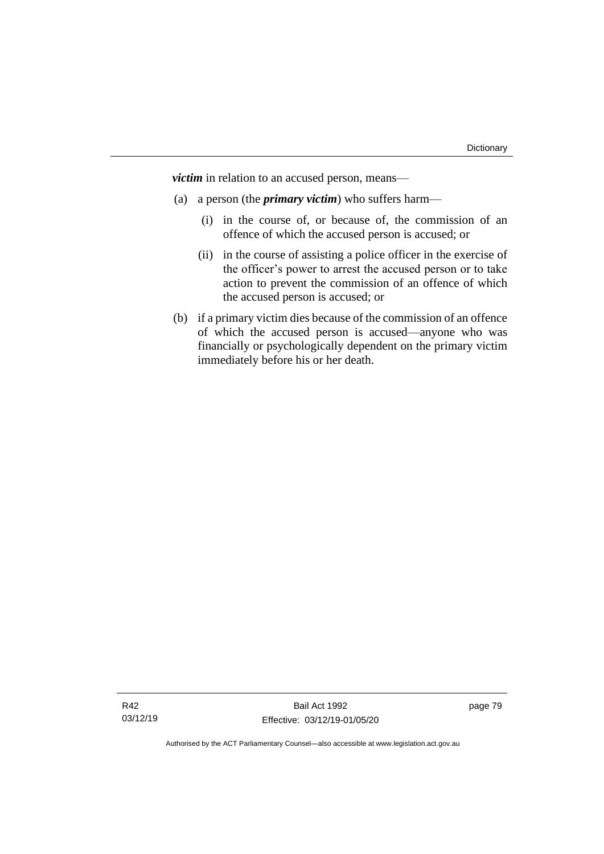*victim* in relation to an accused person, means—

- (a) a person (the *primary victim*) who suffers harm—
	- (i) in the course of, or because of, the commission of an offence of which the accused person is accused; or
	- (ii) in the course of assisting a police officer in the exercise of the officer's power to arrest the accused person or to take action to prevent the commission of an offence of which the accused person is accused; or
- (b) if a primary victim dies because of the commission of an offence of which the accused person is accused—anyone who was financially or psychologically dependent on the primary victim immediately before his or her death.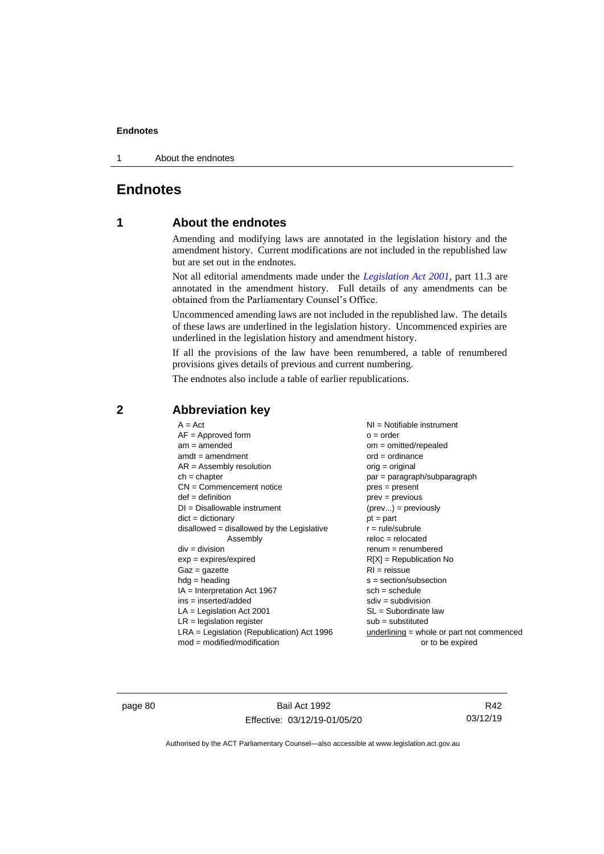1 About the endnotes

# **Endnotes**

# **1 About the endnotes**

Amending and modifying laws are annotated in the legislation history and the amendment history. Current modifications are not included in the republished law but are set out in the endnotes.

Not all editorial amendments made under the *[Legislation Act 2001](http://www.legislation.act.gov.au/a/2001-14)*, part 11.3 are annotated in the amendment history. Full details of any amendments can be obtained from the Parliamentary Counsel's Office.

Uncommenced amending laws are not included in the republished law. The details of these laws are underlined in the legislation history. Uncommenced expiries are underlined in the legislation history and amendment history.

If all the provisions of the law have been renumbered, a table of renumbered provisions gives details of previous and current numbering.

The endnotes also include a table of earlier republications.

| $A = Act$<br>$AF =$ Approved form<br>$am = amended$<br>$amdt = amendment$<br>$AR = Assembly$ resolution | $NI =$ Notifiable instrument<br>$o = order$<br>$om = omitted/repealed$<br>$ord = ordinance$<br>$orig = original$ |
|---------------------------------------------------------------------------------------------------------|------------------------------------------------------------------------------------------------------------------|
| $ch = chapter$                                                                                          | par = paragraph/subparagraph                                                                                     |
| $CN =$ Commencement notice                                                                              | $pres = present$                                                                                                 |
| $def = definition$                                                                                      | prev = previous                                                                                                  |
| $DI = Disallowable instrument$                                                                          | $(\text{prev}) = \text{previously}$                                                                              |
| $dict = dictionary$                                                                                     | $pt = part$                                                                                                      |
| disallowed = disallowed by the Legislative                                                              | $r = rule/subrule$                                                                                               |
| Assembly                                                                                                | $reloc = relocated$                                                                                              |
| $div = division$                                                                                        | $remum = renumbered$                                                                                             |
| $exp = expires/expired$                                                                                 | $R[X]$ = Republication No                                                                                        |
| $Gaz = gazette$                                                                                         | $RI =$ reissue                                                                                                   |
| $hdg =$ heading                                                                                         | s = section/subsection                                                                                           |
| $IA = Interpretation Act 1967$                                                                          | $sch = schedule$                                                                                                 |
| $ins = inserted/added$                                                                                  | $sdiv = subdivision$                                                                                             |
| $LA =$ Legislation Act 2001                                                                             | $SL = Subordinate$ law                                                                                           |
| $LR =$ legislation register                                                                             | $sub =$ substituted                                                                                              |
| $LRA =$ Legislation (Republication) Act 1996<br>$mod = modified/modification$                           | $underlining = whole or part not commenced$<br>or to be expired                                                  |

# **2 Abbreviation key**

page 80 Bail Act 1992 Effective: 03/12/19-01/05/20

R42 03/12/19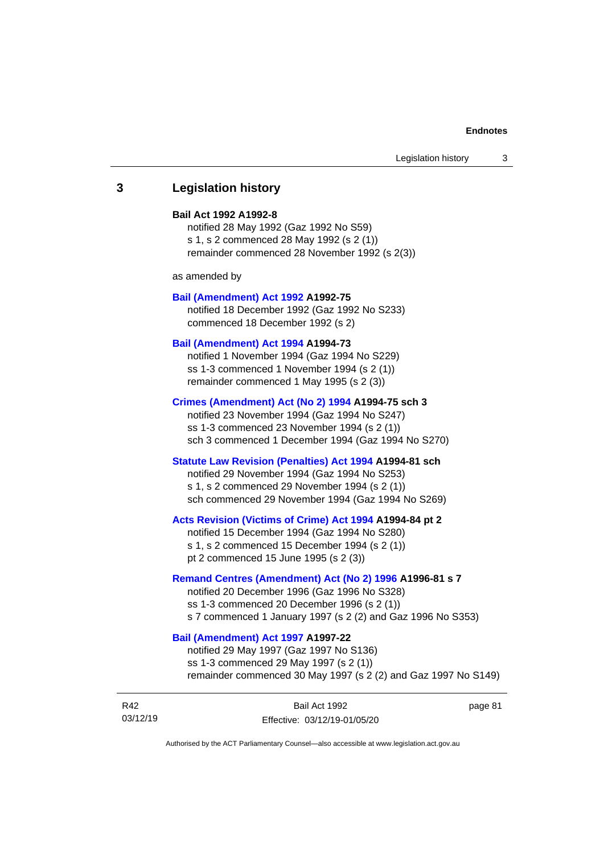# **3 Legislation history**

## **Bail Act 1992 A1992-8**

notified 28 May 1992 (Gaz 1992 No S59) s 1, s 2 commenced 28 May 1992 (s 2 (1)) remainder commenced 28 November 1992 (s 2(3))

as amended by

#### **[Bail \(Amendment\) Act 1992](http://www.legislation.act.gov.au/a/1992-75) A1992-75**

notified 18 December 1992 (Gaz 1992 No S233) commenced 18 December 1992 (s 2)

#### **[Bail \(Amendment\) Act 1994](http://www.legislation.act.gov.au/a/1994-73) A1994-73**

notified 1 November 1994 (Gaz 1994 No S229) ss 1-3 commenced 1 November 1994 (s 2 (1)) remainder commenced 1 May 1995 (s 2 (3))

#### **[Crimes \(Amendment\) Act \(No 2\) 1994](http://www.legislation.act.gov.au/a/1994-75) A1994-75 sch 3**

notified 23 November 1994 (Gaz 1994 No S247) ss 1-3 commenced 23 November 1994 (s 2 (1)) sch 3 commenced 1 December 1994 (Gaz 1994 No S270)

## **[Statute Law Revision \(Penalties\) Act 1994](http://www.legislation.act.gov.au/a/1994-81) A1994-81 sch**

notified 29 November 1994 (Gaz 1994 No S253) s 1, s 2 commenced 29 November 1994 (s 2 (1)) sch commenced 29 November 1994 (Gaz 1994 No S269)

#### **[Acts Revision \(Victims of Crime\) Act 1994](http://www.legislation.act.gov.au/a/1994-84) A1994-84 pt 2**

notified 15 December 1994 (Gaz 1994 No S280) s 1, s 2 commenced 15 December 1994 (s 2 (1)) pt 2 commenced 15 June 1995 (s 2 (3))

# **[Remand Centres \(Amendment\) Act \(No 2\) 1996](http://www.legislation.act.gov.au/a/1996-81) A1996-81 s 7**

notified 20 December 1996 (Gaz 1996 No S328) ss 1-3 commenced 20 December 1996 (s 2 (1)) s 7 commenced 1 January 1997 (s 2 (2) and Gaz 1996 No S353)

# **[Bail \(Amendment\) Act 1997](http://www.legislation.act.gov.au/a/1997-22) A1997-22**

notified 29 May 1997 (Gaz 1997 No S136) ss 1-3 commenced 29 May 1997 (s 2 (1)) remainder commenced 30 May 1997 (s 2 (2) and Gaz 1997 No S149)

| R42      | Bail Act 1992                | page 81 |
|----------|------------------------------|---------|
| 03/12/19 | Effective: 03/12/19-01/05/20 |         |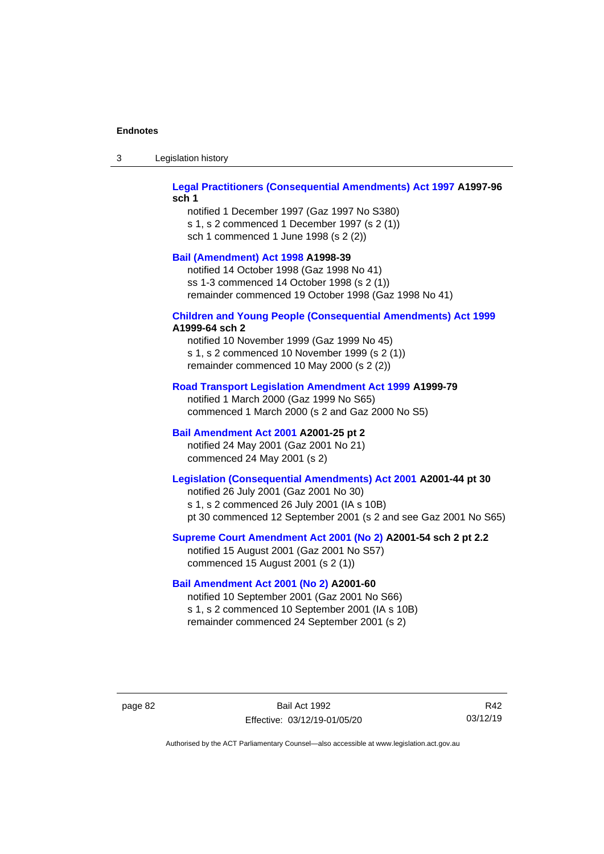| Legislation history<br>-3 |
|---------------------------|
|---------------------------|

# **[Legal Practitioners \(Consequential Amendments\) Act 1997](http://www.legislation.act.gov.au/a/1997-96) A1997-96 sch 1**

notified 1 December 1997 (Gaz 1997 No S380) s 1, s 2 commenced 1 December 1997 (s 2 (1)) sch 1 commenced 1 June 1998 (s 2 (2))

# **[Bail \(Amendment\) Act 1998](http://www.legislation.act.gov.au/a/1998-39) A1998-39**

notified 14 October 1998 (Gaz 1998 No 41) ss 1-3 commenced 14 October 1998 (s 2 (1)) remainder commenced 19 October 1998 (Gaz 1998 No 41)

# **[Children and Young People \(Consequential Amendments\) Act 1999](http://www.legislation.act.gov.au/a/1999-64)**

# **A1999-64 sch 2**

notified 10 November 1999 (Gaz 1999 No 45) s 1, s 2 commenced 10 November 1999 (s 2 (1)) remainder commenced 10 May 2000 (s 2 (2))

## **[Road Transport Legislation Amendment Act 1999](http://www.legislation.act.gov.au/a/1999-79) A1999-79**

notified 1 March 2000 (Gaz 1999 No S65) commenced 1 March 2000 (s 2 and Gaz 2000 No S5)

# **[Bail Amendment Act 2001](http://www.legislation.act.gov.au/a/2001-25) A2001-25 pt 2**

notified 24 May 2001 (Gaz 2001 No 21) commenced 24 May 2001 (s 2)

# **[Legislation \(Consequential Amendments\) Act 2001](http://www.legislation.act.gov.au/a/2001-44) A2001-44 pt 30**

notified 26 July 2001 (Gaz 2001 No 30) s 1, s 2 commenced 26 July 2001 (IA s 10B) pt 30 commenced 12 September 2001 (s 2 and see Gaz 2001 No S65)

# **[Supreme Court Amendment Act 2001 \(No 2\)](http://www.legislation.act.gov.au/a/2001-54) A2001-54 sch 2 pt 2.2**

notified 15 August 2001 (Gaz 2001 No S57) commenced 15 August 2001 (s 2 (1))

# **[Bail Amendment Act 2001 \(No 2\)](http://www.legislation.act.gov.au/a/2001-60) A2001-60**

notified 10 September 2001 (Gaz 2001 No S66) s 1, s 2 commenced 10 September 2001 (IA s 10B) remainder commenced 24 September 2001 (s 2)

page 82 Bail Act 1992 Effective: 03/12/19-01/05/20

R42 03/12/19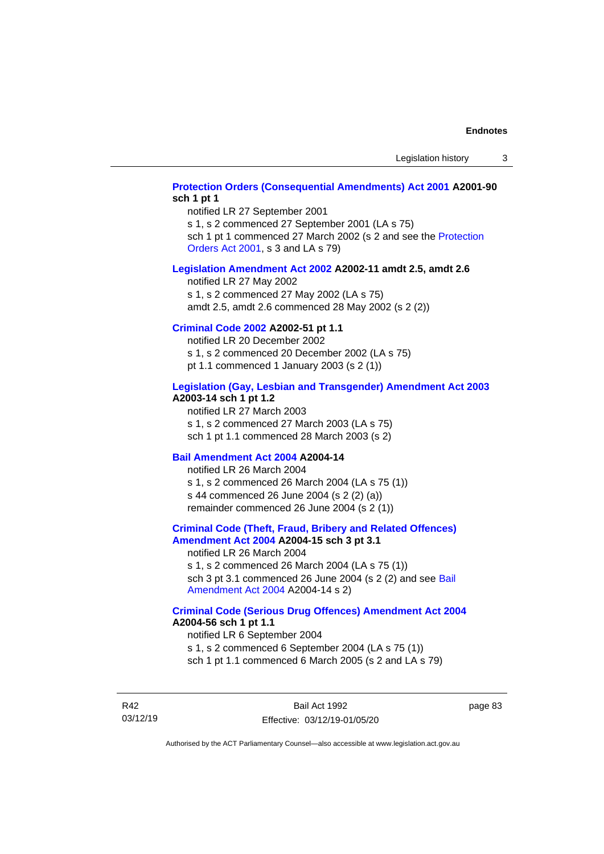# **[Protection Orders \(Consequential Amendments\) Act 2001](http://www.legislation.act.gov.au/a/2001-90) A2001-90 sch 1 pt 1**

notified LR 27 September 2001

s 1, s 2 commenced 27 September 2001 (LA s 75)

sch 1 pt 1 commenced 27 March 2002 (s 2 and see the Protection [Orders Act 2001,](http://www.legislation.act.gov.au/a/2001-89) s 3 and LA s 79)

## **[Legislation Amendment Act 2002](http://www.legislation.act.gov.au/a/2002-11) A2002-11 amdt 2.5, amdt 2.6**

notified LR 27 May 2002 s 1, s 2 commenced 27 May 2002 (LA s 75) amdt 2.5, amdt 2.6 commenced 28 May 2002 (s 2 (2))

# **[Criminal Code 2002](http://www.legislation.act.gov.au/a/2002-51) A2002-51 pt 1.1**

notified LR 20 December 2002 s 1, s 2 commenced 20 December 2002 (LA s 75) pt 1.1 commenced 1 January 2003 (s 2 (1))

#### **[Legislation \(Gay, Lesbian and Transgender\) Amendment Act 2003](http://www.legislation.act.gov.au/a/2003-14) A2003-14 sch 1 pt 1.2**

notified LR 27 March 2003 s 1, s 2 commenced 27 March 2003 (LA s 75) sch 1 pt 1.1 commenced 28 March 2003 (s 2)

# **[Bail Amendment Act 2004](http://www.legislation.act.gov.au/a/2004-14) A2004-14**

notified LR 26 March 2004 s 1, s 2 commenced 26 March 2004 (LA s 75 (1)) s 44 commenced 26 June 2004 (s 2 (2) (a)) remainder commenced 26 June 2004 (s 2 (1))

### **[Criminal Code \(Theft, Fraud, Bribery and Related Offences\)](http://www.legislation.act.gov.au/a/2004-15)  [Amendment Act 2004](http://www.legislation.act.gov.au/a/2004-15) A2004-15 sch 3 pt 3.1**

notified LR 26 March 2004 s 1, s 2 commenced 26 March 2004 (LA s 75 (1)) sch 3 pt 3.1 commenced 26 June 2004 (s 2 (2) and see [Bail](http://www.legislation.act.gov.au/a/2004-14)  [Amendment Act 2004](http://www.legislation.act.gov.au/a/2004-14) A2004-14 s 2)

## **[Criminal Code \(Serious Drug Offences\) Amendment Act 2004](http://www.legislation.act.gov.au/a/2004-56) A2004-56 sch 1 pt 1.1**

notified LR 6 September 2004 s 1, s 2 commenced 6 September 2004 (LA s 75 (1)) sch 1 pt 1.1 commenced 6 March 2005 (s 2 and LA s 79)

R42 03/12/19 page 83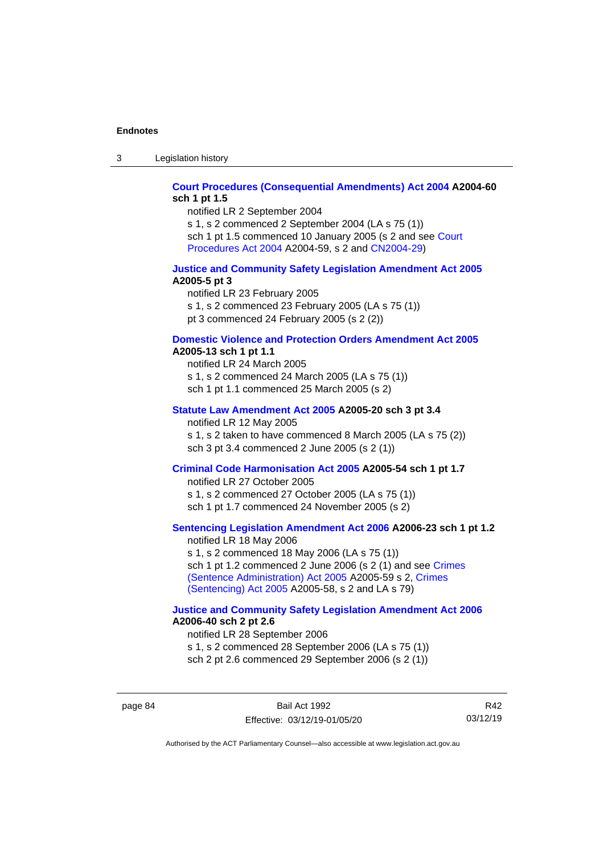3 Legislation history

# **[Court Procedures \(Consequential Amendments\) Act 2004](http://www.legislation.act.gov.au/a/2004-60) A2004-60 sch 1 pt 1.5**

notified LR 2 September 2004

s 1, s 2 commenced 2 September 2004 (LA s 75 (1)) sch 1 pt 1.5 commenced 10 January 2005 (s 2 and see [Court](http://www.legislation.act.gov.au/a/2004-59)  [Procedures Act](http://www.legislation.act.gov.au/a/2004-59) 2004 A2004-59, s 2 and [CN2004-29\)](http://www.legislation.act.gov.au/cn/2004-29/default.asp)

## **[Justice and Community Safety Legislation Amendment Act 2005](http://www.legislation.act.gov.au/a/2005-5) A2005-5 pt 3**

notified LR 23 February 2005 s 1, s 2 commenced 23 February 2005 (LA s 75 (1)) pt 3 commenced 24 February 2005 (s 2 (2))

#### **[Domestic Violence and Protection Orders Amendment Act 2005](http://www.legislation.act.gov.au/a/2005-13) A2005-13 sch 1 pt 1.1**

notified LR 24 March 2005 s 1, s 2 commenced 24 March 2005 (LA s 75 (1)) sch 1 pt 1.1 commenced 25 March 2005 (s 2)

# **[Statute Law Amendment Act 2005](http://www.legislation.act.gov.au/a/2005-20) A2005-20 sch 3 pt 3.4**

notified LR 12 May 2005

s 1, s 2 taken to have commenced 8 March 2005 (LA s 75 (2)) sch 3 pt 3.4 commenced 2 June 2005 (s 2 (1))

# **[Criminal Code Harmonisation Act 2005](http://www.legislation.act.gov.au/a/2005-54) A2005-54 sch 1 pt 1.7**

notified LR 27 October 2005 s 1, s 2 commenced 27 October 2005 (LA s 75 (1)) sch 1 pt 1.7 commenced 24 November 2005 (s 2)

# **[Sentencing Legislation Amendment](http://www.legislation.act.gov.au/a/2006-23) Act 2006 A2006-23 sch 1 pt 1.2**

notified LR 18 May 2006 s 1, s 2 commenced 18 May 2006 (LA s 75 (1)) sch 1 pt 1.2 commenced 2 June 2006 (s 2 (1) and see [Crimes](http://www.legislation.act.gov.au/a/2005-59)  [\(Sentence Administration\) Act 2005](http://www.legislation.act.gov.au/a/2005-59) A2005-59 s 2, [Crimes](http://www.legislation.act.gov.au/a/2005-58)  [\(Sentencing\) Act 2005](http://www.legislation.act.gov.au/a/2005-58) A2005-58, s 2 and LA s 79)

# **[Justice and Community Safety Legislation Amendment Act](http://www.legislation.act.gov.au/a/2006-40) 2006 A2006-40 sch 2 pt 2.6**

notified LR 28 September 2006 s 1, s 2 commenced 28 September 2006 (LA s 75 (1)) sch 2 pt 2.6 commenced 29 September 2006 (s 2 (1))

page 84 Bail Act 1992 Effective: 03/12/19-01/05/20

R42 03/12/19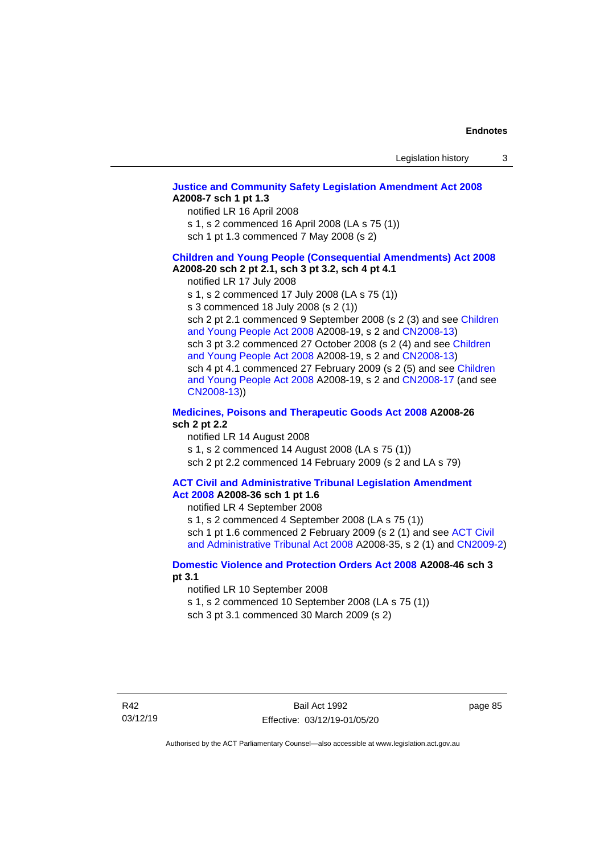# **[Justice and Community Safety Legislation Amendment Act 2008](http://www.legislation.act.gov.au/a/2008-7) A2008-7 sch 1 pt 1.3**

notified LR 16 April 2008

s 1, s 2 commenced 16 April 2008 (LA s 75 (1))

sch 1 pt 1.3 commenced 7 May 2008 (s 2)

#### **Children and [Young People \(Consequential Amendments\) Act 2008](http://www.legislation.act.gov.au/a/2008-20) A2008-20 sch 2 pt 2.1, sch 3 pt 3.2, sch 4 pt 4.1**

notified LR 17 July 2008

s 1, s 2 commenced 17 July 2008 (LA s 75 (1))

s 3 commenced 18 July 2008 (s 2 (1))

sch 2 pt 2.1 commenced 9 September 2008 (s 2 (3) and see Children [and Young People Act 2008](http://www.legislation.act.gov.au/a/2008-19) A2008-19, s 2 and [CN2008-13\)](http://www.legislation.act.gov.au/cn/2008-13/default.asp) sch 3 pt 3.2 commenced 27 October 2008 (s 2 (4) and see Children [and Young People Act 2008](http://www.legislation.act.gov.au/a/2008-19) A2008-19, s 2 and [CN2008-13\)](http://www.legislation.act.gov.au/cn/2008-13/default.asp) sch 4 pt 4.1 commenced 27 February 2009 (s 2 (5) and see [Children](http://www.legislation.act.gov.au/a/2008-19)  [and Young People Act 2008](http://www.legislation.act.gov.au/a/2008-19) A2008-19, s 2 and [CN2008-17 \(](http://www.legislation.act.gov.au/cn/2008-17/default.asp)and see [CN2008-13\)](http://www.legislation.act.gov.au/cn/2008-13/default.asp))

# **[Medicines, Poisons and Therapeutic Goods Act](http://www.legislation.act.gov.au/a/2008-26#history) 2008 A2008-26 sch 2 pt 2.2**

notified LR 14 August 2008 s 1, s 2 commenced 14 August 2008 (LA s 75 (1)) sch 2 pt 2.2 commenced 14 February 2009 (s 2 and LA s 79)

#### **[ACT Civil and Administrative Tribunal Legislation Amendment](http://www.legislation.act.gov.au/a/2008-36)  Act [2008](http://www.legislation.act.gov.au/a/2008-36) A2008-36 sch 1 pt 1.6**

notified LR 4 September 2008

s 1, s 2 commenced 4 September 2008 (LA s 75 (1)) sch 1 pt 1.6 commenced 2 February 2009 (s 2 (1) and see [ACT Civil](http://www.legislation.act.gov.au/a/2008-35)  [and Administrative Tribunal Act 2008](http://www.legislation.act.gov.au/a/2008-35) A2008-35, s 2 (1) and [CN2009-2\)](http://www.legislation.act.gov.au/cn/2009-2/default.asp)

# **[Domestic Violence and Protection Orders Act 2008](http://www.legislation.act.gov.au/a/2008-46#history) A2008-46 sch 3 pt 3.1**

notified LR 10 September 2008

s 1, s 2 commenced 10 September 2008 (LA s 75 (1))

sch 3 pt 3.1 commenced 30 March 2009 (s 2)

page 85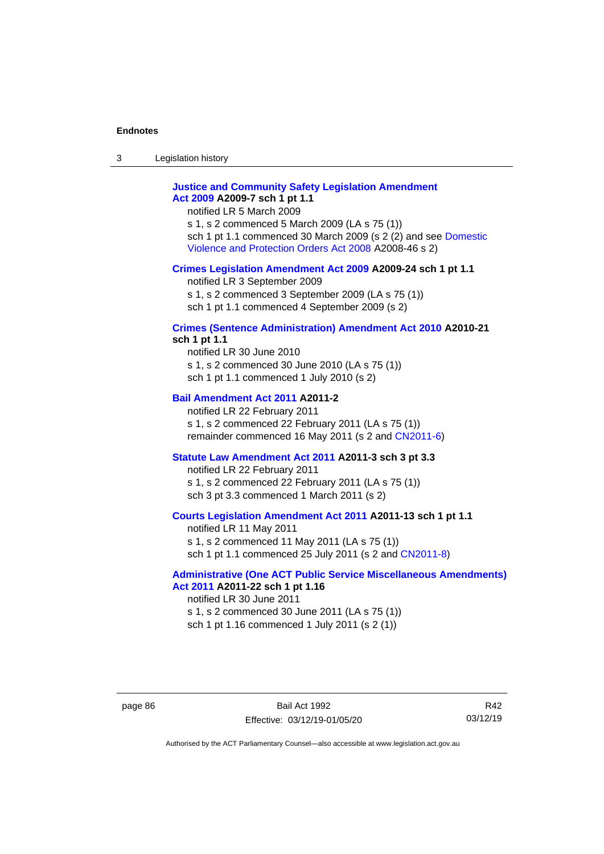3 Legislation history

# **[Justice and Community Safety Legislation Amendment](http://www.legislation.act.gov.au/a/2009-7)  Act [2009](http://www.legislation.act.gov.au/a/2009-7) A2009-7 sch 1 pt 1.1**

notified LR 5 March 2009

s 1, s 2 commenced 5 March 2009 (LA s 75 (1)) sch 1 pt 1.1 commenced 30 March 2009 (s 2 (2) and see [Domestic](http://www.legislation.act.gov.au/a/2008-46)  [Violence and Protection Orders Act 2008](http://www.legislation.act.gov.au/a/2008-46) A2008-46 s 2)

## **[Crimes Legislation Amendment Act 2009](http://www.legislation.act.gov.au/a/2009-24) A2009-24 sch 1 pt 1.1**

notified LR 3 September 2009

s 1, s 2 commenced 3 September 2009 (LA s 75 (1))

sch 1 pt 1.1 commenced 4 September 2009 (s 2)

# **[Crimes \(Sentence Administration\) Amendment Act 2010](http://www.legislation.act.gov.au/a/2010-21) A2010-21**

**sch 1 pt 1.1**

notified LR 30 June 2010 s 1, s 2 commenced 30 June 2010 (LA s 75 (1)) sch 1 pt 1.1 commenced 1 July 2010 (s 2)

## **[Bail Amendment Act 2011](http://www.legislation.act.gov.au/a/2011-2) A2011-2**

notified LR 22 February 2011 s 1, s 2 commenced 22 February 2011 (LA s 75 (1)) remainder commenced 16 May 2011 (s 2 and [CN2011-6\)](http://www.legislation.act.gov.au/cn/2011-6/default.asp)

## **[Statute Law Amendment Act 2011](http://www.legislation.act.gov.au/a/2011-3) A2011-3 sch 3 pt 3.3**

notified LR 22 February 2011 s 1, s 2 commenced 22 February 2011 (LA s 75 (1)) sch 3 pt 3.3 commenced 1 March 2011 (s 2)

# **[Courts Legislation Amendment Act 2011](http://www.legislation.act.gov.au/a/2011-13) A2011-13 sch 1 pt 1.1**

notified LR 11 May 2011 s 1, s 2 commenced 11 May 2011 (LA s 75 (1)) sch 1 pt 1.1 commenced 25 July 2011 (s 2 and [CN2011-8\)](http://www.legislation.act.gov.au/cn/2011-8/default.asp)

# **[Administrative \(One ACT Public Service Miscellaneous Amendments\)](http://www.legislation.act.gov.au/a/2011-22)  Act [2011](http://www.legislation.act.gov.au/a/2011-22) A2011-22 sch 1 pt 1.16**

notified LR 30 June 2011 s 1, s 2 commenced 30 June 2011 (LA s 75 (1)) sch 1 pt 1.16 commenced 1 July 2011 (s 2 (1))

page 86 Bail Act 1992 Effective: 03/12/19-01/05/20

R42 03/12/19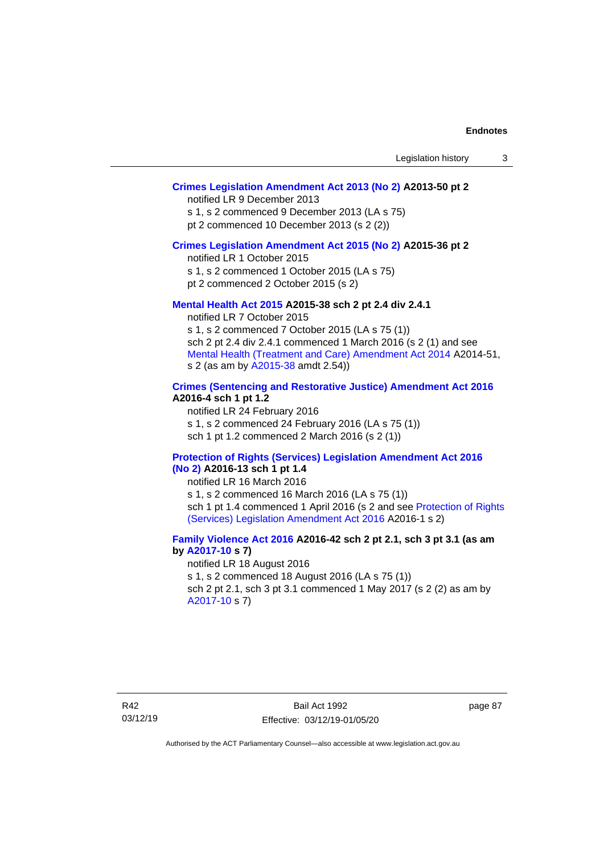# **[Crimes Legislation Amendment Act 2013 \(No 2\)](http://www.legislation.act.gov.au/a/2013-50) A2013-50 pt 2**

notified LR 9 December 2013

s 1, s 2 commenced 9 December 2013 (LA s 75)

pt 2 commenced 10 December 2013 (s 2 (2))

# **[Crimes Legislation Amendment Act 2015 \(No 2\)](http://www.legislation.act.gov.au/a/2015-36) A2015-36 pt 2**

notified LR 1 October 2015

s 1, s 2 commenced 1 October 2015 (LA s 75)

pt 2 commenced 2 October 2015 (s 2)

# **[Mental Health Act 2015](http://www.legislation.act.gov.au/a/2015-38#history) A2015-38 sch 2 pt 2.4 div 2.4.1**

notified LR 7 October 2015 s 1, s 2 commenced 7 October 2015 (LA s 75 (1)) sch 2 pt 2.4 div 2.4.1 commenced 1 March 2016 (s 2 (1) and see [Mental Health \(Treatment and Care\) Amendment Act 2014](http://www.legislation.act.gov.au/a/2014-51/default.asp) A2014-51, s 2 (as am by [A2015-38](http://www.legislation.act.gov.au/a/2015-38) amdt 2.54))

# **[Crimes \(Sentencing and Restorative Justice\) Amendment Act 2016](http://www.legislation.act.gov.au/a/2016-4/default.asp) A2016-4 sch 1 pt 1.2**

notified LR 24 February 2016 s 1, s 2 commenced 24 February 2016 (LA s 75 (1)) sch 1 pt 1.2 commenced 2 March 2016 (s 2 (1))

#### **[Protection of Rights \(Services\) Legislation Amendment Act 2016](http://www.legislation.act.gov.au/a/2016-13)  [\(No](http://www.legislation.act.gov.au/a/2016-13) 2) A2016-13 sch 1 pt 1.4**

notified LR 16 March 2016

s 1, s 2 commenced 16 March 2016 (LA s 75 (1)) sch 1 pt 1.4 commenced 1 April 2016 (s 2 and see [Protection of Rights](http://www.legislation.act.gov.au/a/2016-1/default.asp)  [\(Services\) Legislation Amendment Act 2016](http://www.legislation.act.gov.au/a/2016-1/default.asp) A2016-1 s 2)

# **[Family Violence Act 2016](http://www.legislation.act.gov.au/a/2016-42#history) A2016-42 sch 2 pt 2.1, sch 3 pt 3.1 (as am by [A2017-10](http://www.legislation.act.gov.au/a/2017-10/default.asp) s 7)**

notified LR 18 August 2016 s 1, s 2 commenced 18 August 2016 (LA s 75 (1)) sch 2 pt 2.1, sch 3 pt 3.1 commenced 1 May 2017 (s 2 (2) as am by [A2017-10](http://www.legislation.act.gov.au/a/2017-10/default.asp) s 7)

page 87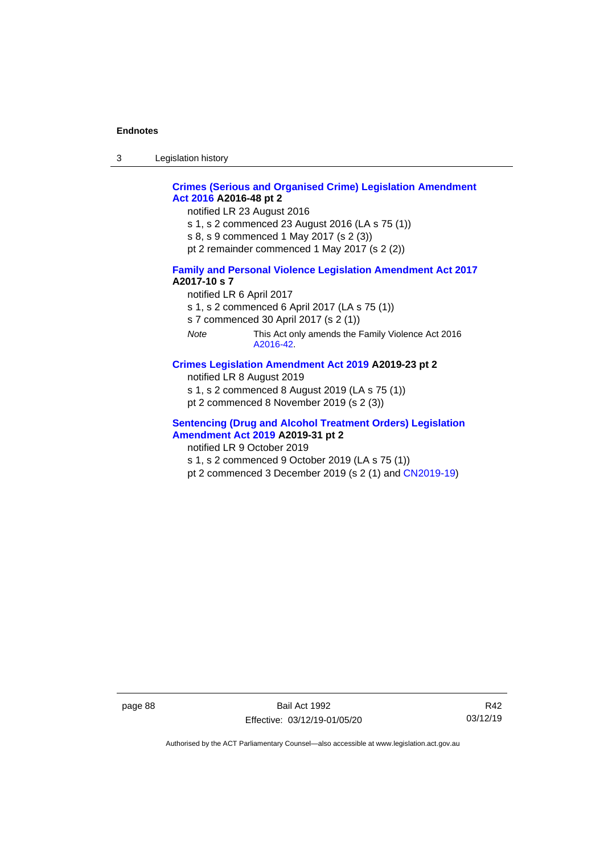3 Legislation history

# **[Crimes \(Serious and Organised Crime\) Legislation Amendment](http://www.legislation.act.gov.au/a/2016-48/default.asp)  Act [2016](http://www.legislation.act.gov.au/a/2016-48/default.asp) A2016-48 pt 2**

notified LR 23 August 2016

- s 1, s 2 commenced 23 August 2016 (LA s 75 (1))
- s 8, s 9 commenced 1 May 2017 (s 2 (3))
- pt 2 remainder commenced 1 May 2017 (s 2 (2))

# **[Family and Personal Violence Legislation Amendment Act 2017](http://www.legislation.act.gov.au/a/2017-10/default.asp) A2017-10 s 7**

- notified LR 6 April 2017
- s 1, s 2 commenced 6 April 2017 (LA s 75 (1))
- s 7 commenced 30 April 2017 (s 2 (1))
- *Note* This Act only amends the Family Violence Act 2016 [A2016-42.](http://www.legislation.act.gov.au/a/2016-42/default.asp)

# **[Crimes Legislation Amendment Act 2019](http://www.legislation.act.gov.au/a/2019-23) A2019-23 pt 2**

- notified LR 8 August 2019
- s 1, s 2 commenced 8 August 2019 (LA s 75 (1))
- pt 2 commenced 8 November 2019 (s 2 (3))

# **[Sentencing \(Drug and Alcohol Treatment Orders\) Legislation](http://www.legislation.act.gov.au/a/2019-31)  [Amendment Act 2019](http://www.legislation.act.gov.au/a/2019-31) A2019-31 pt 2**

- notified LR 9 October 2019
- s 1, s 2 commenced 9 October 2019 (LA s 75 (1))
- pt 2 commenced 3 December 2019 (s 2 (1) and [CN2019-19\)](https://www.legislation.act.gov.au/cn/2019-19/)

page 88 Bail Act 1992 Effective: 03/12/19-01/05/20

R42 03/12/19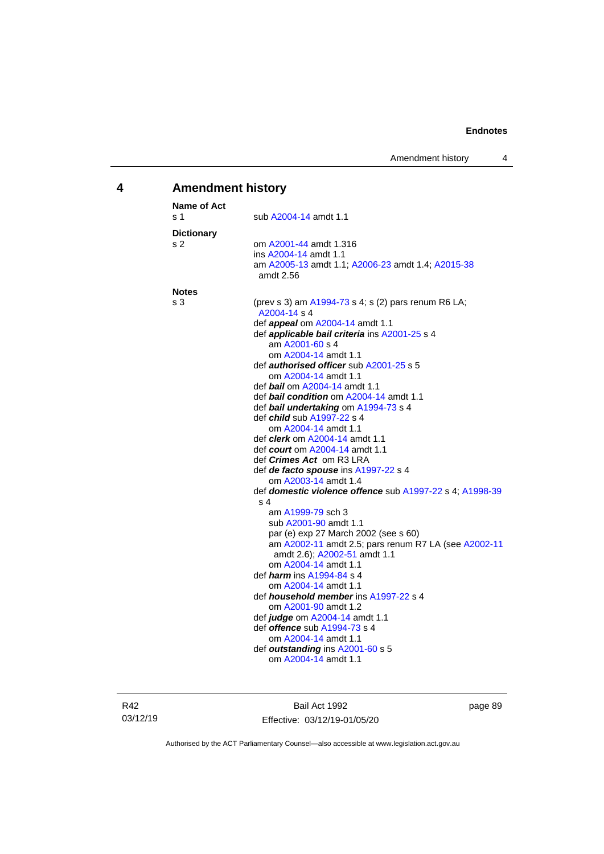# **4 Amendment history**

| Name of Act       |                                                                                              |
|-------------------|----------------------------------------------------------------------------------------------|
| s 1               | sub A2004-14 amdt 1.1                                                                        |
| <b>Dictionary</b> |                                                                                              |
| s 2               | om A2001-44 amdt 1.316                                                                       |
|                   | ins A2004-14 amdt 1.1                                                                        |
|                   | am A2005-13 amdt 1.1; A2006-23 amdt 1.4; A2015-38                                            |
|                   | amdt 2.56                                                                                    |
| <b>Notes</b>      |                                                                                              |
| s 3               | (prev s 3) am A1994-73 s 4; s (2) pars renum R6 LA;<br>A2004-14 s 4                          |
|                   | def <i>appeal</i> om A2004-14 amdt 1.1                                                       |
|                   | def applicable bail criteria ins A2001-25 s 4                                                |
|                   | am A2001-60 s 4                                                                              |
|                   | om A2004-14 amdt 1.1                                                                         |
|                   | def <b>authorised officer</b> sub A2001-25 s 5                                               |
|                   | om A2004-14 amdt 1.1                                                                         |
|                   | def bail om A2004-14 amdt 1.1                                                                |
|                   | def bail condition om A2004-14 amdt 1.1                                                      |
|                   | def bail undertaking om A1994-73 s 4                                                         |
|                   | def <i>child</i> sub A1997-22 s 4                                                            |
|                   | om A2004-14 amdt 1.1                                                                         |
|                   | def <i>clerk</i> om A2004-14 amdt 1.1                                                        |
|                   | def <i>court</i> om A2004-14 amdt 1.1                                                        |
|                   | def <i>Crimes Act</i> om R3 LRA                                                              |
|                   | def de facto spouse ins A1997-22 s 4                                                         |
|                   | om A2003-14 amdt 1.4                                                                         |
|                   | def domestic violence offence sub A1997-22 s 4; A1998-39                                     |
|                   | s 4                                                                                          |
|                   | am A1999-79 sch 3                                                                            |
|                   | sub A2001-90 amdt 1.1                                                                        |
|                   | par (e) exp 27 March 2002 (see s 60)<br>am A2002-11 amdt 2.5; pars renum R7 LA (see A2002-11 |
|                   | amdt 2.6); A2002-51 amdt 1.1                                                                 |
|                   | om A2004-14 amdt 1.1                                                                         |
|                   | def <i><b>harm</b></i> ins A1994-84 s 4                                                      |
|                   | om A2004-14 amdt 1.1                                                                         |
|                   | def <i>household member</i> ins A1997-22 s 4                                                 |
|                   | om A2001-90 amdt 1.2                                                                         |
|                   | def <i>judge</i> om A2004-14 amdt 1.1                                                        |
|                   | def <b>offence</b> sub A1994-73 s 4                                                          |
|                   | om A2004-14 amdt 1.1                                                                         |
|                   | def outstanding ins A2001-60 s 5                                                             |
|                   | om A2004-14 amdt 1.1                                                                         |
|                   |                                                                                              |

R42 03/12/19

Bail Act 1992 Effective: 03/12/19-01/05/20 page 89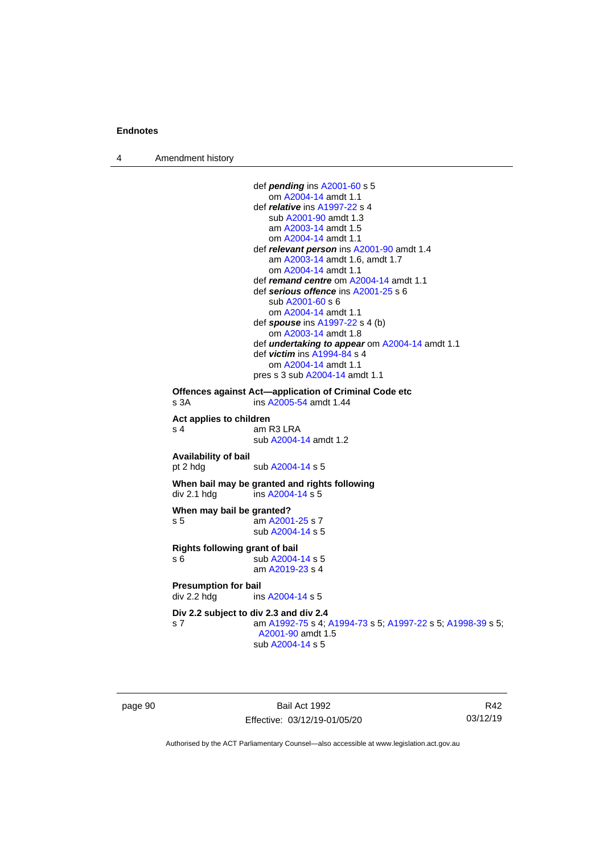4 Amendment history

```
def pending ins A2001-60 s 5
                    om A2004-14 amdt 1.1
                 def relative ins A1997-22 s 4
                    sub A2001-90 amdt 1.3
                    am A2003-14 amdt 1.5
                    om A2004-14 amdt 1.1
                 def relevant person ins A2001-90 amdt 1.4
                    am A2003-14 amdt 1.6, amdt 1.7
                    om A2004-14 amdt 1.1
                 def remand centre om A2004-14 amdt 1.1
                 def serious offence ins A2001-25 s 6
                    sub A2001-60 s 6
                    om A2004-14 amdt 1.1
                 def spouse ins A1997-22 s 4 (b)
                    om A2003-14 amdt 1.8
                 def undertaking to appear om A2004-14 amdt 1.1
                 def victim ins A1994-84 s 4
                    om A2004-14 amdt 1.1
                 pres s 3 sub A2004-14 amdt 1.1
Offences against Act—application of Criminal Code etc
s 3A  A2005-54 amdt 1.44
Act applies to children
s 4 am R3 LRA
                 sub A2004-14 amdt 1.2
Availability of bail
 A2004-14 s 5
When bail may be granted and rights following
div 2.1 hdg ins A2004-14 s 5When may bail be granted?
s 5 am A2001-25 s 7
                 sub A2004-14 s 5
Rights following grant of bail
s 6 sub A2004-14 s 5
                 am A2019-23 s 4
Presumption for bail<br>div 2.2 hdg ins
                  A2004-14 s 5
Div 2.2 subject to div 2.3 and div 2.4
s 7 am A1992-75 s 4; A1994-73 s 5; A1997-22 s 5; A1998-39 s 5; 
                  A2001-90 amdt 1.5
                 sub A2004-14 s 5
```
page 90 Bail Act 1992 Effective: 03/12/19-01/05/20

R42 03/12/19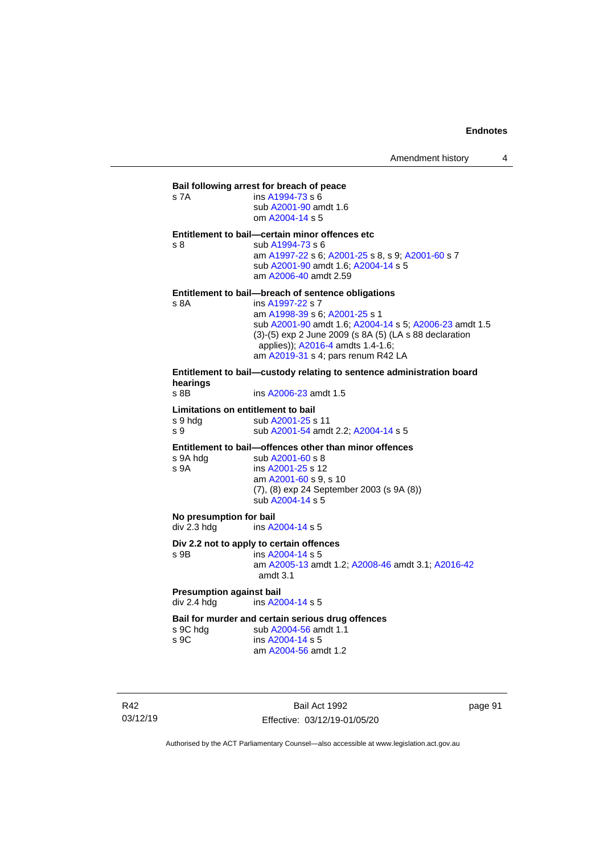| s 7A                                                 | Bail following arrest for breach of peace<br>ins A1994-73 s 6<br>sub A2001-90 amdt 1.6<br>om A2004-14 s 5                                                                                                                                                                                              |
|------------------------------------------------------|--------------------------------------------------------------------------------------------------------------------------------------------------------------------------------------------------------------------------------------------------------------------------------------------------------|
| s <sub>8</sub>                                       | Entitlement to bail-certain minor offences etc<br>sub A1994-73 s 6<br>am A1997-22 s 6; A2001-25 s 8, s 9; A2001-60 s 7<br>sub A2001-90 amdt 1.6; A2004-14 s 5<br>am A2006-40 amdt 2.59                                                                                                                 |
| s 8A                                                 | Entitlement to bail—breach of sentence obligations<br>ins A1997-22 s 7<br>am A1998-39 s 6; A2001-25 s 1<br>sub A2001-90 amdt 1.6; A2004-14 s 5; A2006-23 amdt 1.5<br>(3)-(5) exp 2 June 2009 (s 8A (5) (LA s 88 declaration<br>applies)); A2016-4 amdts 1.4-1.6;<br>am A2019-31 s 4; pars renum R42 LA |
| hearings<br>$s$ 8B                                   | Entitlement to bail-custody relating to sentence administration board<br>ins A2006-23 amdt 1.5                                                                                                                                                                                                         |
| Limitations on entitlement to bail<br>s 9 hdg<br>s 9 | sub A2001-25 s 11<br>sub A2001-54 amdt 2.2; A2004-14 s 5                                                                                                                                                                                                                                               |
| s 9A hdg<br>s 9A                                     | Entitlement to bail-offences other than minor offences<br>sub A2001-60 s 8<br>ins A2001-25 s 12                                                                                                                                                                                                        |

| s 9A hda | sub A2001-60 s 8                                                                       |
|----------|----------------------------------------------------------------------------------------|
| s 9A     | ins A2001-25 s 12                                                                      |
|          | am A2001-60 s 9, s 10<br>(7), (8) exp 24 September 2003 (s 9A (8))<br>sub A2004-14 s 5 |
|          |                                                                                        |

**No presumption for bail**<br>div 2.3 hdg ins A2

ins [A2004-14](http://www.legislation.act.gov.au/a/2004-14) s 5

# **Div 2.2 not to apply to certain offences**

s 9B ins [A2004-14](http://www.legislation.act.gov.au/a/2004-14) s 5

am [A2005-13](http://www.legislation.act.gov.au/a/2005-13) amdt 1.2[; A2008-46](http://www.legislation.act.gov.au/a/2008-46) amdt 3.1; [A2016-42](http://www.legislation.act.gov.au/a/2016-42/default.asp) amdt 3.1

# **Presumption against bail**<br>div 2.4 hdg ins A20

ins [A2004-14](http://www.legislation.act.gov.au/a/2004-14) s 5

# **Bail for murder and certain serious drug offences**<br>s 9C hdg sub A2004-56 amdt 1.1

s 9C hdg sub [A2004-56](http://www.legislation.act.gov.au/a/2004-56) amdt 1.1<br>s 9C ins A2004-14 s 5 ins [A2004-14](http://www.legislation.act.gov.au/a/2004-14) s 5 am [A2004-56](http://www.legislation.act.gov.au/a/2004-56) amdt 1.2

R42 03/12/19

Bail Act 1992 Effective: 03/12/19-01/05/20 page 91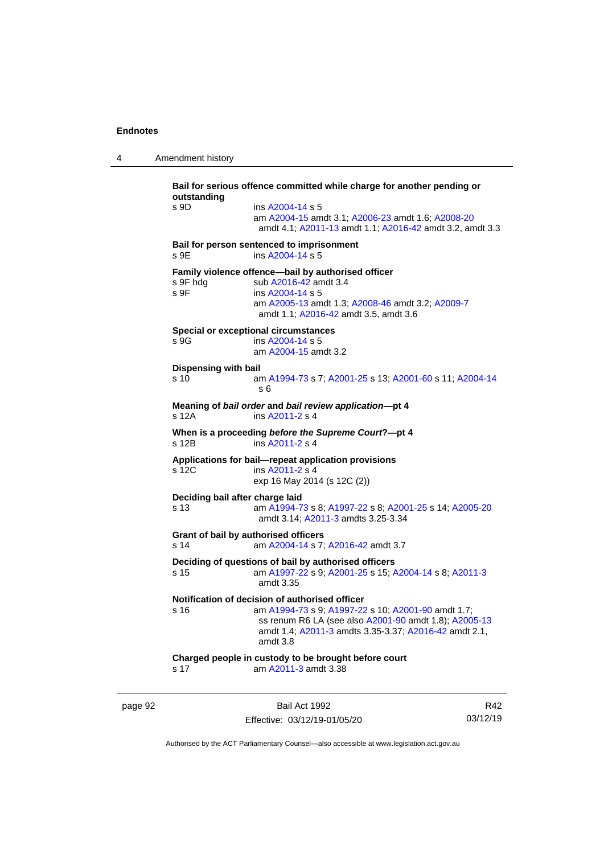4 Amendment history

**Bail for serious offence committed while charge for another pending or outstanding** s 9D ins [A2004-14](http://www.legislation.act.gov.au/a/2004-14) s 5 am [A2004-15](http://www.legislation.act.gov.au/a/2004-15) amdt 3.1[; A2006-23](http://www.legislation.act.gov.au/a/2006-23) amdt 1.6; [A2008-20](http://www.legislation.act.gov.au/a/2008-20) amdt 4.1; [A2011-13](http://www.legislation.act.gov.au/a/2011-13) amdt 1.1[; A2016-42](http://www.legislation.act.gov.au/a/2016-42/default.asp) amdt 3.2, amdt 3.3 **Bail for person sentenced to imprisonment** s 9E ins [A2004-14](http://www.legislation.act.gov.au/a/2004-14) s 5 **Family violence offence—bail by authorised officer**<br>s 9F hdg sub A2016-42 amdt 3.4 sub [A2016-42](http://www.legislation.act.gov.au/a/2016-42/default.asp) amdt 3.4 s 9F ins [A2004-14](http://www.legislation.act.gov.au/a/2004-14) s 5 am [A2005-13](http://www.legislation.act.gov.au/a/2005-13) amdt 1.3[; A2008-46](http://www.legislation.act.gov.au/a/2008-46) amdt 3.2; [A2009-7](http://www.legislation.act.gov.au/a/2009-7) amdt 1.1; [A2016-42](http://www.legislation.act.gov.au/a/2016-42/default.asp) amdt 3.5, amdt 3.6 **Special or exceptional circumstances** s 9G ins [A2004-14](http://www.legislation.act.gov.au/a/2004-14) s 5 am [A2004-15](http://www.legislation.act.gov.au/a/2004-15) amdt 3.2 **Dispensing with bail** s 10 am [A1994-73](http://www.legislation.act.gov.au/a/1994-73) s 7[; A2001-25](http://www.legislation.act.gov.au/a/2001-25) s 13; [A2001-60](http://www.legislation.act.gov.au/a/2001-60) s 11[; A2004-14](http://www.legislation.act.gov.au/a/2004-14) s 6 **Meaning of** *bail order* **and** *bail review application***—pt 4** ins [A2011-2](http://www.legislation.act.gov.au/a/2011-2) s 4 **When is a proceeding** *before the Supreme Court***?—pt 4** s 12B ins [A2011-2](http://www.legislation.act.gov.au/a/2011-2) s 4 **Applications for bail—repeat application provisions** ins [A2011-2](http://www.legislation.act.gov.au/a/2011-2) s 4 exp 16 May 2014 (s 12C (2)) **Deciding bail after charge laid** s 13 am [A1994-73](http://www.legislation.act.gov.au/a/1994-73) s 8[; A1997-22](http://www.legislation.act.gov.au/a/1997-22) s 8; [A2001-25](http://www.legislation.act.gov.au/a/2001-25) s 14[; A2005-20](http://www.legislation.act.gov.au/a/2005-20) amdt 3.14; [A2011-3](http://www.legislation.act.gov.au/a/2011-3) amdts 3.25-3.34 **Grant of bail by authorised officers** s 14 am [A2004-14](http://www.legislation.act.gov.au/a/2004-14) s 7[; A2016-42](http://www.legislation.act.gov.au/a/2016-42/default.asp) amdt 3.7 **Deciding of questions of bail by authorised officers** s 15 am [A1997-22](http://www.legislation.act.gov.au/a/1997-22) s 9[; A2001-25](http://www.legislation.act.gov.au/a/2001-25) s 15; [A2004-14](http://www.legislation.act.gov.au/a/2004-14) s 8[; A2011-3](http://www.legislation.act.gov.au/a/2011-3) amdt 3.35 **Notification of decision of authorised officer**<br>s 16 am A1994-73 s 9: A1997-22 am [A1994-73](http://www.legislation.act.gov.au/a/1994-73) s 9[; A1997-22](http://www.legislation.act.gov.au/a/1997-22) s 10; [A2001-90](http://www.legislation.act.gov.au/a/2001-90) amdt 1.7; ss renum R6 LA (see also [A2001-90](http://www.legislation.act.gov.au/a/2001-90) amdt 1.8)[; A2005-13](http://www.legislation.act.gov.au/a/2005-13) amdt 1.4; [A2011-3](http://www.legislation.act.gov.au/a/2011-3) amdts 3.35-3.37[; A2016-42](http://www.legislation.act.gov.au/a/2016-42/default.asp) amdt 2.1, amdt 3.8 **Charged people in custody to be brought before court** s 17 am [A2011-3](http://www.legislation.act.gov.au/a/2011-3) amdt 3.38

page 92 Bail Act 1992 Effective: 03/12/19-01/05/20

R42 03/12/19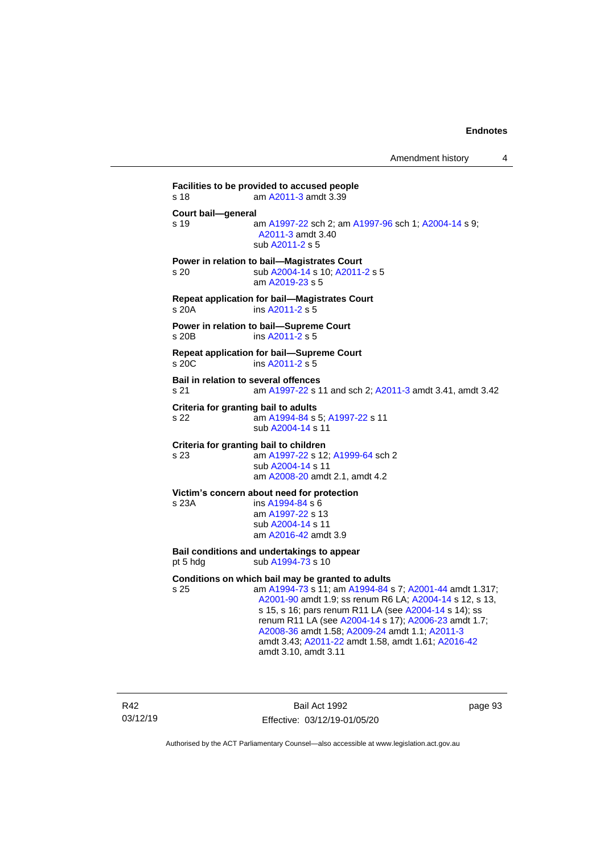**Facilities to be provided to accused people** s 18 am [A2011-3](http://www.legislation.act.gov.au/a/2011-3) amdt 3.39 **Court bail—general** s 19 **am [A1997-22](http://www.legislation.act.gov.au/a/1997-22) sch 2; am [A1997-96](http://www.legislation.act.gov.au/a/1997-96) sch 1; [A2004-14](http://www.legislation.act.gov.au/a/2004-14) s 9;** [A2011-3](http://www.legislation.act.gov.au/a/2011-3) amdt 3.40 sub [A2011-2](http://www.legislation.act.gov.au/a/2011-2) s 5 **Power in relation to bail—Magistrates Court** s 20 sub [A2004-14](http://www.legislation.act.gov.au/a/2004-14) s 10[; A2011-2](http://www.legislation.act.gov.au/a/2011-2) s 5 am [A2019-23](http://www.legislation.act.gov.au/a/2019-23/default.asp) s 5 **Repeat application for bail—Magistrates Court** s 20A ins [A2011-2](http://www.legislation.act.gov.au/a/2011-2) s 5 **Power in relation to bail—Supreme Court** s 20B ins [A2011-2](http://www.legislation.act.gov.au/a/2011-2) s 5 **Repeat application for bail—Supreme Court** s 20C ins [A2011-2](http://www.legislation.act.gov.au/a/2011-2) s 5 **Bail in relation to several offences** s 21 am [A1997-22](http://www.legislation.act.gov.au/a/1997-22) s 11 and sch 2; [A2011-3](http://www.legislation.act.gov.au/a/2011-3) amdt 3.41, amdt 3.42 **Criteria for granting bail to adults** s 22 am [A1994-84](http://www.legislation.act.gov.au/a/1994-84) s 5[; A1997-22](http://www.legislation.act.gov.au/a/1997-22) s 11 sub [A2004-14](http://www.legislation.act.gov.au/a/2004-14) s 11 **Criteria for granting bail to children** s 23 am [A1997-22](http://www.legislation.act.gov.au/a/1997-22) s 12[; A1999-64](http://www.legislation.act.gov.au/a/1999-64) sch 2 sub [A2004-14](http://www.legislation.act.gov.au/a/2004-14) s 11 am [A2008-20](http://www.legislation.act.gov.au/a/2008-20) amdt 2.1, amdt 4.2 **Victim's concern about need for protection** s 23A ins [A1994-84](http://www.legislation.act.gov.au/a/1994-84) s 6 am [A1997-22](http://www.legislation.act.gov.au/a/1997-22) s 13 sub [A2004-14](http://www.legislation.act.gov.au/a/2004-14) s 11 am [A2016-42](http://www.legislation.act.gov.au/a/2016-42/default.asp) amdt 3.9 **Bail conditions and undertakings to appear** pt 5 hdg sub  $A1994-73$  s 10 **Conditions on which bail may be granted to adults** s 25 am [A1994-73](http://www.legislation.act.gov.au/a/1994-73) s 11; a[m A1994-84](http://www.legislation.act.gov.au/a/1994-84) s 7; [A2001-44](http://www.legislation.act.gov.au/a/2001-44) amdt 1.317; [A2001-90](http://www.legislation.act.gov.au/a/2001-90) amdt 1.9; ss renum R6 LA; [A2004-14](http://www.legislation.act.gov.au/a/2004-14) s 12, s 13, s 15, s 16; pars renum R11 LA (see [A2004-14](http://www.legislation.act.gov.au/a/2004-14) s 14); ss renum R11 LA (see [A2004-14](http://www.legislation.act.gov.au/a/2004-14) s 17); [A2006-23](http://www.legislation.act.gov.au/a/2006-23) amdt 1.7; [A2008-36](http://www.legislation.act.gov.au/a/2008-36) amdt 1.58[; A2009-24](http://www.legislation.act.gov.au/a/2009-24) amdt 1.1; [A2011-3](http://www.legislation.act.gov.au/a/2011-3) amdt 3.43; [A2011-22](http://www.legislation.act.gov.au/a/2011-22) amdt 1.58, amdt 1.61[; A2016-42](http://www.legislation.act.gov.au/a/2016-42/default.asp)

amdt 3.10, amdt 3.11

R42 03/12/19

Bail Act 1992 Effective: 03/12/19-01/05/20 page 93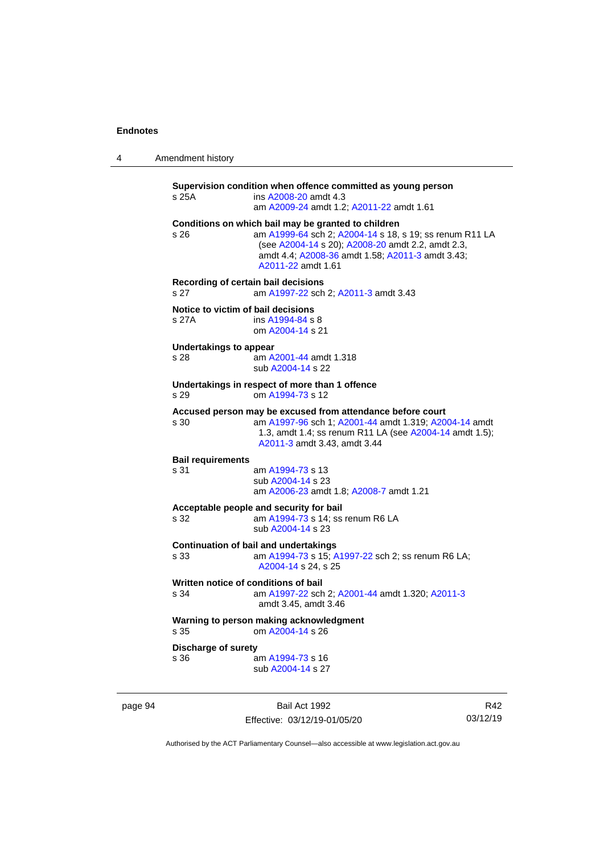| 4 | Amendment history |  |
|---|-------------------|--|
|---|-------------------|--|

**Supervision condition when offence committed as young person** s 25A ins [A2008-20](http://www.legislation.act.gov.au/a/2008-20) amdt 4.3 am [A2009-24](http://www.legislation.act.gov.au/a/2009-24) amdt 1.2[; A2011-22](http://www.legislation.act.gov.au/a/2011-22) amdt 1.61 **Conditions on which bail may be granted to children** s 26 am [A1999-64](http://www.legislation.act.gov.au/a/1999-64) sch 2; [A2004-14](http://www.legislation.act.gov.au/a/2004-14) s 18, s 19; ss renum R11 LA (see [A2004-14](http://www.legislation.act.gov.au/a/2004-14) s 20)[; A2008-20](http://www.legislation.act.gov.au/a/2008-20) amdt 2.2, amdt 2.3, amdt 4.4; [A2008-36](http://www.legislation.act.gov.au/a/2008-36) amdt 1.58[; A2011-3](http://www.legislation.act.gov.au/a/2011-3) amdt 3.43; [A2011-22](http://www.legislation.act.gov.au/a/2011-22) amdt 1.61 **Recording of certain bail decisions** s 27 am [A1997-22](http://www.legislation.act.gov.au/a/1997-22) sch 2; [A2011-3](http://www.legislation.act.gov.au/a/2011-3) amdt 3.43 **Notice to victim of bail decisions** s 27A ins [A1994-84](http://www.legislation.act.gov.au/a/1994-84) s 8 om [A2004-14](http://www.legislation.act.gov.au/a/2004-14) s 21 **Undertakings to appear** s 28 am [A2001-44](http://www.legislation.act.gov.au/a/2001-44) amdt 1.318 sub [A2004-14](http://www.legislation.act.gov.au/a/2004-14) s 22 **Undertakings in respect of more than 1 offence** s 29 om [A1994-73](http://www.legislation.act.gov.au/a/1994-73) s 12 **Accused person may be excused from attendance before court** s 30 am [A1997-96](http://www.legislation.act.gov.au/a/1997-96) sch 1; [A2001-44](http://www.legislation.act.gov.au/a/2001-44) amdt 1.319[; A2004-14](http://www.legislation.act.gov.au/a/2004-14) amdt 1.3, amdt 1.4; ss renum R11 LA (se[e A2004-14](http://www.legislation.act.gov.au/a/2004-14) amdt 1.5); [A2011-3](http://www.legislation.act.gov.au/a/2011-3) amdt 3.43, amdt 3.44 **Bail requirements** am [A1994-73](http://www.legislation.act.gov.au/a/1994-73) s 13 sub [A2004-14](http://www.legislation.act.gov.au/a/2004-14) s 23 am [A2006-23](http://www.legislation.act.gov.au/a/2006-23) amdt 1.8[; A2008-7](http://www.legislation.act.gov.au/a/2008-7) amdt 1.21 **Acceptable people and security for bail** s 32 am [A1994-73](http://www.legislation.act.gov.au/a/1994-73) s 14; ss renum R6 LA sub [A2004-14](http://www.legislation.act.gov.au/a/2004-14) s 23 **Continuation of bail and undertakings** s 33 am [A1994-73](http://www.legislation.act.gov.au/a/1994-73) s 15[; A1997-22](http://www.legislation.act.gov.au/a/1997-22) sch 2; ss renum R6 LA; [A2004-14](http://www.legislation.act.gov.au/a/2004-14) s 24, s 25 **Written notice of conditions of bail** s 34 am [A1997-22](http://www.legislation.act.gov.au/a/1997-22) sch 2; [A2001-44](http://www.legislation.act.gov.au/a/2001-44) amdt 1.320[; A2011-3](http://www.legislation.act.gov.au/a/2011-3) amdt 3.45, amdt 3.46 **Warning to person making acknowledgment** s 35 om [A2004-14](http://www.legislation.act.gov.au/a/2004-14) s 26 **Discharge of surety** s 36 am [A1994-73](http://www.legislation.act.gov.au/a/1994-73) s 16 sub [A2004-14](http://www.legislation.act.gov.au/a/2004-14) s 27

page 94 Bail Act 1992 Effective: 03/12/19-01/05/20

R42 03/12/19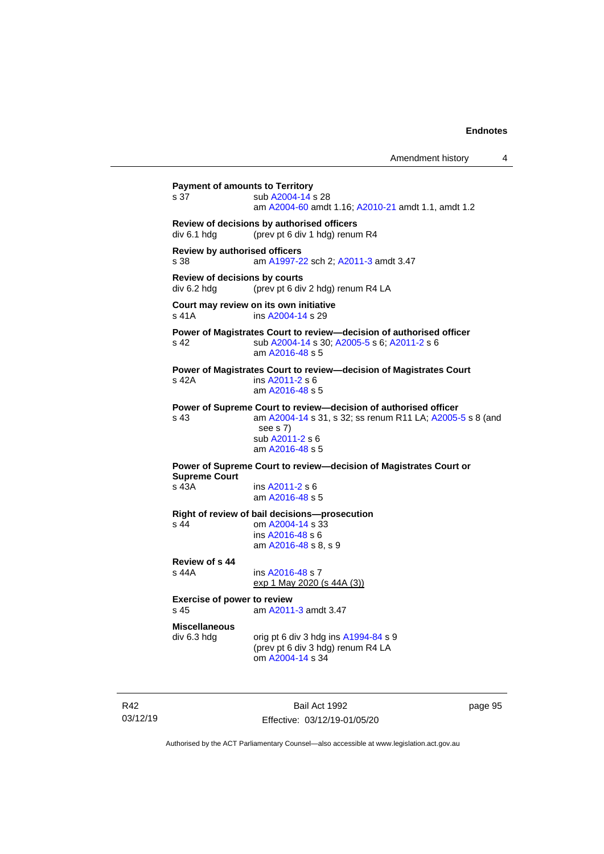Amendment history 4

| s 37                                                  | sub A2004-14 s 28<br>am A2004-60 amdt 1.16; A2010-21 amdt 1.1, amdt 1.2                                                                                                        |
|-------------------------------------------------------|--------------------------------------------------------------------------------------------------------------------------------------------------------------------------------|
| div 6.1 hdg                                           | Review of decisions by authorised officers<br>(prev pt 6 div 1 hdg) renum R4                                                                                                   |
| s 38                                                  | <b>Review by authorised officers</b><br>am A1997-22 sch 2; A2011-3 amdt 3.47                                                                                                   |
| div 6.2 hdg                                           | Review of decisions by courts<br>(prev pt 6 div 2 hdg) renum R4 LA                                                                                                             |
| s 41A                                                 | Court may review on its own initiative<br>ins A2004-14 s 29                                                                                                                    |
| s 42.                                                 | Power of Magistrates Court to review-decision of authorised officer<br>sub A2004-14 s 30; A2005-5 s 6; A2011-2 s 6<br>am A2016-48 s 5                                          |
| s 42A                                                 | Power of Magistrates Court to review—decision of Magistrates Court<br>ins A2011-2 s 6<br>am A2016-48 s 5                                                                       |
| s 43                                                  | Power of Supreme Court to review-decision of authorised officer<br>am A2004-14 s 31, s 32; ss renum R11 LA; A2005-5 s 8 (and<br>see s 7)<br>sub A2011-2 s 6<br>am A2016-48 s 5 |
| <b>Supreme Court</b>                                  | Power of Supreme Court to review-decision of Magistrates Court or                                                                                                              |
| s 43A                                                 | ins A2011-2 s 6<br>am A2016-48 s 5                                                                                                                                             |
| s 44                                                  | Right of review of bail decisions-prosecution<br>om A2004-14 s 33<br>ins A2016-48 s 6<br>am A2016-48 s 8, s 9                                                                  |
| Review of s 44<br>s 44A                               | ins A2016-48 s 7<br>exp 1 May 2020 (s 44A (3))                                                                                                                                 |
| <b>Exercise of power to review</b><br>s <sub>45</sub> | am A2011-3 amdt 3.47                                                                                                                                                           |
| <b>Miscellaneous</b><br>div 6.3 hdg                   | orig pt 6 div 3 hdg ins $A1994-84$ s 9<br>(prev pt 6 div 3 hdg) renum R4 LA<br>om A2004-14 s 34                                                                                |

R42 03/12/19

Bail Act 1992 Effective: 03/12/19-01/05/20 page 95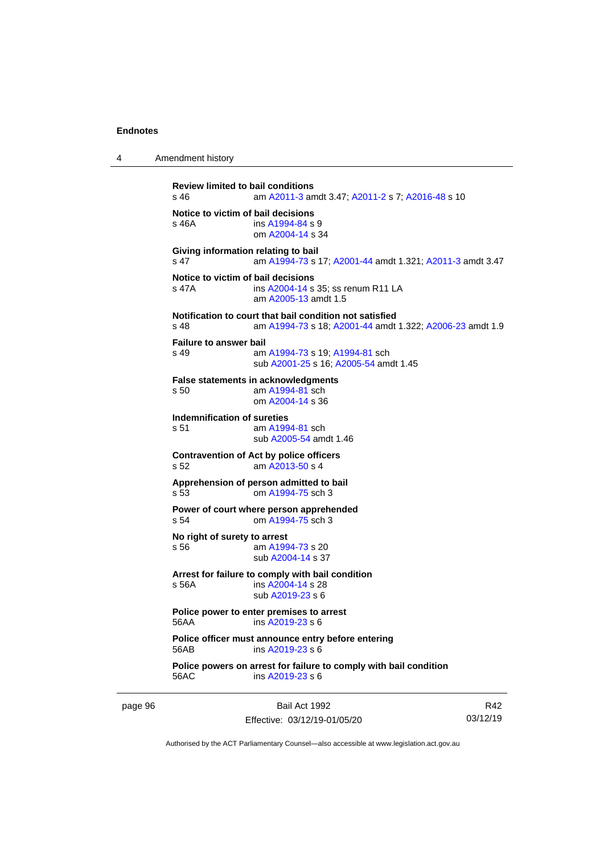|  |  | . |  |                             |
|--|--|---|--|-----------------------------|
|  |  |   |  |                             |
|  |  |   |  |                             |
|  |  |   |  |                             |
|  |  |   |  | Review limited to bail cone |
|  |  |   |  |                             |

4 Amendment history

```
Review limited to bail conditions<br>s 46 am A2011-3 and
                 A2011-3; A2011-2 A2016-48 s 10
Notice to victim of bail decisions
 A1994-84 s 9
                om A2004-14 s 34
Giving information relating to bail
s 47 am A1994-73 s 17; A2001-44 amdt 1.321; A2011-3 amdt 3.47
Notice to victim of bail decisions
s 47A ins A2004-14 s 35; ss renum R11 LA
                am A2005-13 amdt 1.5
Notification to court that bail condition not satisfied
s 48 am A1994-73 s 18; A2001-44 amdt 1.322; A2006-23 amdt 1.9
Failure to answer bail
s 49 am A1994-73 s 19; A1994-81 sch
                sub A2001-25 s 16; A2005-54 amdt 1.45
False statements in acknowledgments
s 50 am A1994-81 sch
                om A2004-14 s 36
Indemnification of sureties<br>s 51 am A199
                 A1994-81 sch
                sub A2005-54 amdt 1.46
Contravention of Act by police officers
s 52 am A2013-50 s 4
Apprehension of person admitted to bail
s 53 om A1994-75 sch 3
Power of court where person apprehended
s 54 om A1994-75 sch 3
No right of surety to arrest
 A1994-73 s 20
                sub A2004-14 s 37
Arrest for failure to comply with bail condition
s 56A ins A2004-14 s 28
                sub A2019-23 s 6
Police power to enter premises to arrest
56AA ins A2019-23 s 6
Police officer must announce entry before entering
56AB ins A2019-23 s 6
Police powers on arrest for failure to comply with bail condition
56AC ins A2019-23 s 6
```
page 96 Bail Act 1992 Effective: 03/12/19-01/05/20

R42 03/12/19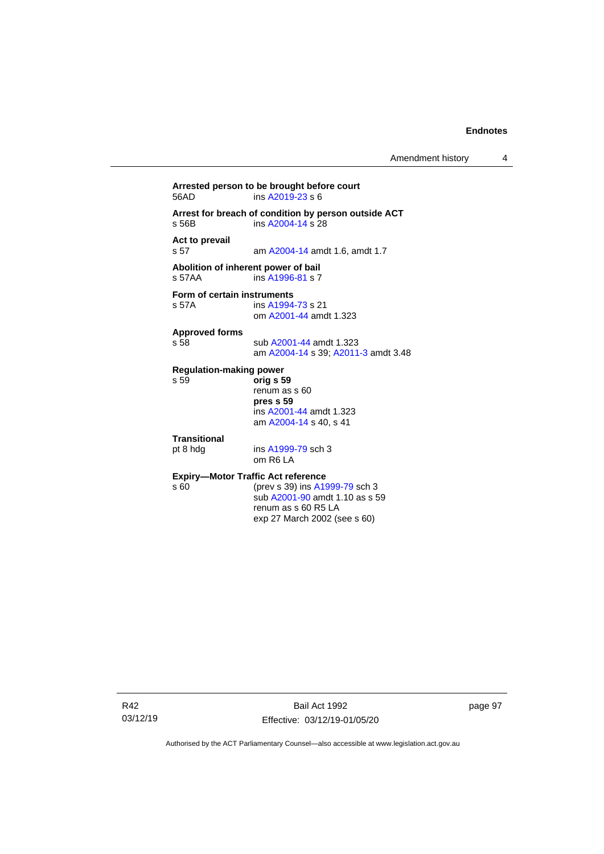**Arrested person to be brought before court** ins  $A2019-23 s 6$ **Arrest for breach of condition by person outside ACT** s 56B ins [A2004-14](http://www.legislation.act.gov.au/a/2004-14) s 28 **Act to prevail** am [A2004-14](http://www.legislation.act.gov.au/a/2004-14) amdt 1.6, amdt 1.7 **Abolition of inherent power of bail** s 57AA ins [A1996-81](http://www.legislation.act.gov.au/a/1996-81) s 7 **Form of certain instruments**<br>s 57A **ins** A1994 ins [A1994-73](http://www.legislation.act.gov.au/a/1994-73) s 21 om [A2001-44](http://www.legislation.act.gov.au/a/2001-44) amdt 1.323 **Approved forms** s 58 sub [A2001-44](http://www.legislation.act.gov.au/a/2001-44) amdt 1.323 am [A2004-14](http://www.legislation.act.gov.au/a/2004-14) s 39[; A2011-3](http://www.legislation.act.gov.au/a/2011-3) amdt 3.48 **Regulation-making power** s 59 **orig s 59** renum as s 60 **pres s 59** ins [A2001-44](http://www.legislation.act.gov.au/a/2001-44) amdt 1.323 am [A2004-14](http://www.legislation.act.gov.au/a/2004-14) s 40, s 41 **Transitional** pt 8 hdg ins [A1999-79](http://www.legislation.act.gov.au/a/1999-79) sch 3 om R6 LA **Expiry—Motor Traffic Act reference**<br>s 60 (prev s 39) ins A19 (prev s 39) in[s A1999-79](http://www.legislation.act.gov.au/a/1999-79) sch 3 sub [A2001-90](http://www.legislation.act.gov.au/a/2001-90) amdt 1.10 as s 59 renum as s 60 R5 LA exp 27 March 2002 (see s 60)

R42 03/12/19 page 97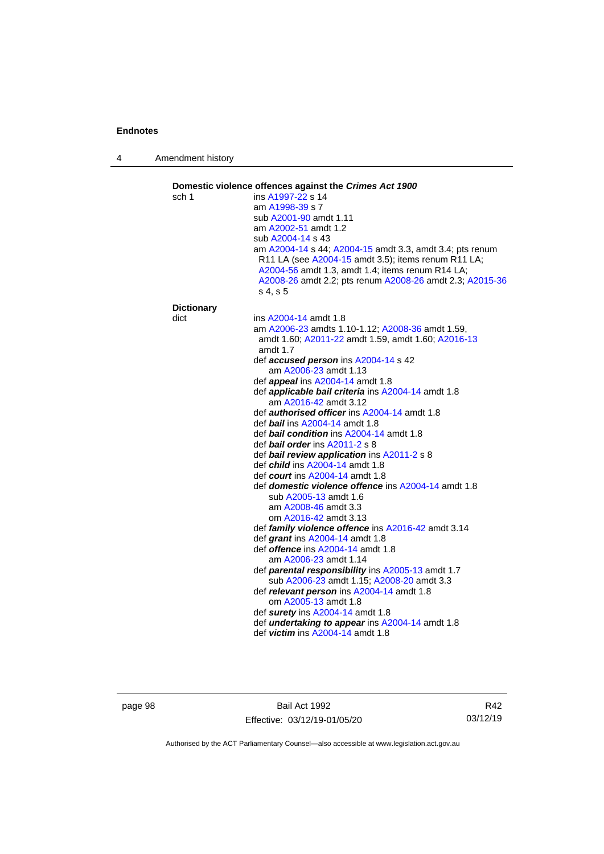4 Amendment history

| sch 1             | ins A1997-22 s 14                                                                                                                                                                                                                           |
|-------------------|---------------------------------------------------------------------------------------------------------------------------------------------------------------------------------------------------------------------------------------------|
|                   | am A1998-39 s 7                                                                                                                                                                                                                             |
|                   | sub A2001-90 amdt 1.11                                                                                                                                                                                                                      |
|                   | am A2002-51 amdt 1.2                                                                                                                                                                                                                        |
|                   | sub A2004-14 s 43                                                                                                                                                                                                                           |
|                   | am A2004-14 s 44; A2004-15 amdt 3.3, amdt 3.4; pts renum<br>R11 LA (see A2004-15 amdt 3.5); items renum R11 LA;<br>A2004-56 amdt 1.3, amdt 1.4; items renum R14 LA;<br>A2008-26 amdt 2.2; pts renum A2008-26 amdt 2.3; A2015-36<br>s 4, s 5 |
| <b>Dictionary</b> |                                                                                                                                                                                                                                             |
| dict              | ins A2004-14 amdt 1.8                                                                                                                                                                                                                       |
|                   | am A2006-23 amdts 1.10-1.12; A2008-36 amdt 1.59,                                                                                                                                                                                            |
|                   | amdt 1.60; A2011-22 amdt 1.59, amdt 1.60; A2016-13<br>amdt $1.7$                                                                                                                                                                            |
|                   | def accused person ins A2004-14 s 42                                                                                                                                                                                                        |
|                   | am A2006-23 amdt 1.13                                                                                                                                                                                                                       |
|                   | def <i>appeal</i> ins A2004-14 amdt 1.8                                                                                                                                                                                                     |
|                   | def <i>applicable bail criteria</i> ins A2004-14 amdt 1.8<br>am A2016-42 amdt 3.12                                                                                                                                                          |
|                   | def <b>authorised officer</b> ins A2004-14 amdt 1.8                                                                                                                                                                                         |
|                   | def bail ins A2004-14 amdt 1.8                                                                                                                                                                                                              |
|                   | def <b>bail condition</b> ins A2004-14 amdt 1.8                                                                                                                                                                                             |
|                   | def bail order ins A2011-2 s 8                                                                                                                                                                                                              |
|                   | def bail review application ins A2011-2 s 8                                                                                                                                                                                                 |
|                   | def <i>child</i> ins A2004-14 amdt 1.8<br>def <i>court</i> ins A2004-14 amdt 1.8                                                                                                                                                            |
|                   | def domestic violence offence ins A2004-14 amdt 1.8                                                                                                                                                                                         |
|                   | sub A2005-13 amdt 1.6                                                                                                                                                                                                                       |
|                   | am A2008-46 amdt 3.3                                                                                                                                                                                                                        |
|                   | om A2016-42 amdt 3.13                                                                                                                                                                                                                       |
|                   | def family violence offence ins A2016-42 amdt 3.14                                                                                                                                                                                          |
|                   | def grant ins A2004-14 amdt 1.8                                                                                                                                                                                                             |
|                   | def <i>offence</i> ins A2004-14 amdt 1.8                                                                                                                                                                                                    |
|                   | am A2006-23 amdt 1.14                                                                                                                                                                                                                       |
|                   | def parental responsibility ins A2005-13 amdt 1.7<br>sub A2006-23 amdt 1.15; A2008-20 amdt 3.3                                                                                                                                              |
|                   | def relevant person ins A2004-14 amdt 1.8<br>om A2005-13 amdt 1.8                                                                                                                                                                           |
|                   | def surety ins A2004-14 amdt 1.8                                                                                                                                                                                                            |
|                   | def <i>undertaking to appear</i> ins A2004-14 amdt 1.8<br>def <i>victim</i> ins A2004-14 amdt 1.8                                                                                                                                           |

page 98 Bail Act 1992 Effective: 03/12/19-01/05/20

R42 03/12/19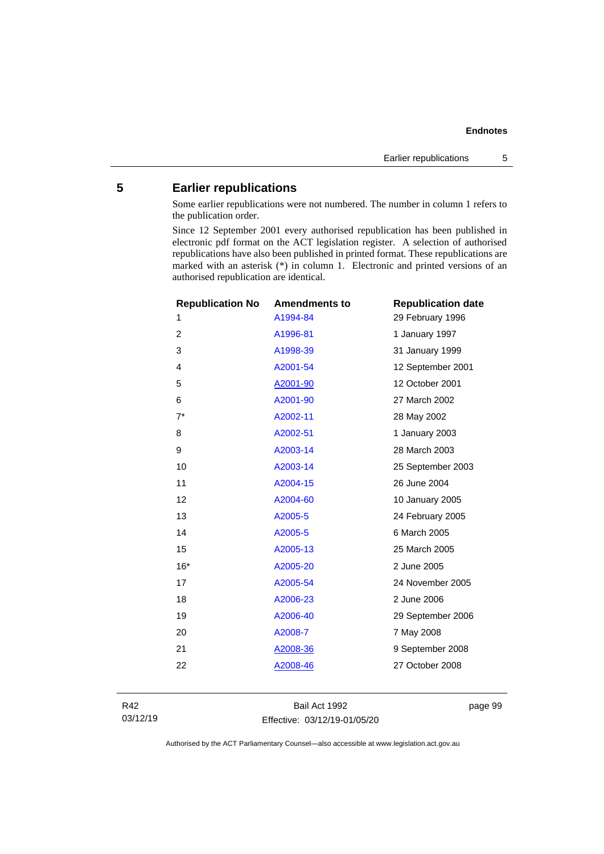# **5 Earlier republications**

Some earlier republications were not numbered. The number in column 1 refers to the publication order.

Since 12 September 2001 every authorised republication has been published in electronic pdf format on the ACT legislation register. A selection of authorised republications have also been published in printed format. These republications are marked with an asterisk (\*) in column 1. Electronic and printed versions of an authorised republication are identical.

| <b>Republication No</b> | <b>Amendments to</b> | <b>Republication date</b> |
|-------------------------|----------------------|---------------------------|
| 1                       | A1994-84             | 29 February 1996          |
| 2                       | A1996-81             | 1 January 1997            |
| 3                       | A1998-39             | 31 January 1999           |
| 4                       | A2001-54             | 12 September 2001         |
| 5                       | A2001-90             | 12 October 2001           |
| 6                       | A2001-90             | 27 March 2002             |
| $7^*$                   | A2002-11             | 28 May 2002               |
| 8                       | A2002-51             | 1 January 2003            |
| 9                       | A2003-14             | 28 March 2003             |
| 10                      | A2003-14             | 25 September 2003         |
| 11                      | A2004-15             | 26 June 2004              |
| 12                      | A2004-60             | 10 January 2005           |
| 13                      | A2005-5              | 24 February 2005          |
| 14                      | A2005-5              | 6 March 2005              |
| 15                      | A2005-13             | 25 March 2005             |
| $16*$                   | A2005-20             | 2 June 2005               |
| 17                      | A2005-54             | 24 November 2005          |
| 18                      | A2006-23             | 2 June 2006               |
| 19                      | A2006-40             | 29 September 2006         |
| 20                      | A2008-7              | 7 May 2008                |
| 21                      | A2008-36             | 9 September 2008          |
| 22                      | A2008-46             | 27 October 2008           |
|                         |                      |                           |

R42 03/12/19

Bail Act 1992 Effective: 03/12/19-01/05/20 page 99